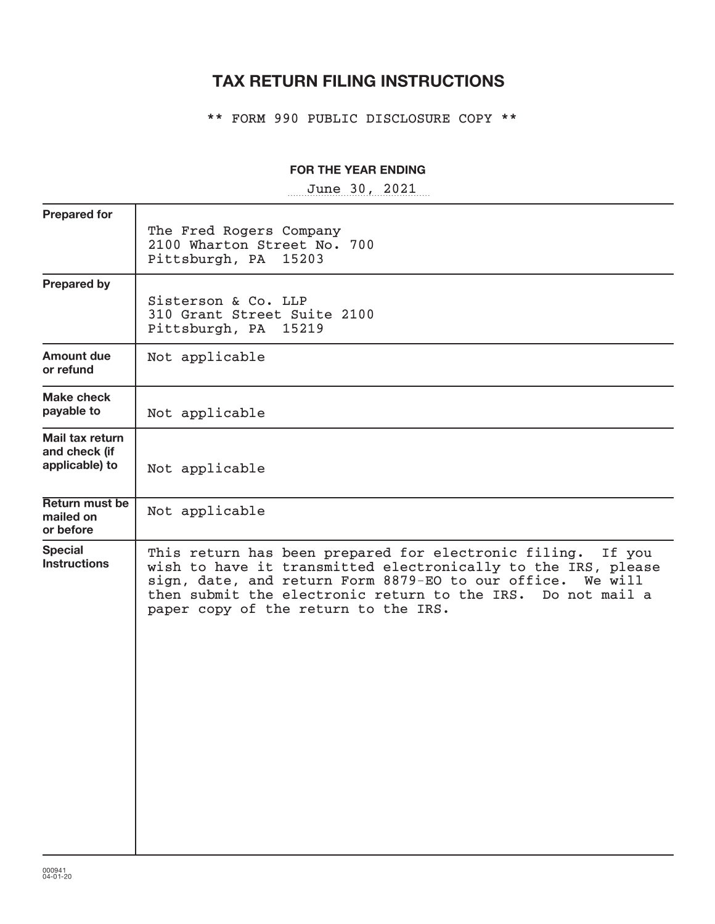# **TAX RETURN FILING INSTRUCTIONS**

\*\* FORM 990 PUBLIC DISCLOSURE COPY \*\*

# **FOR THE YEAR ENDING**

~~~~~~~~~~~~~~~~~ June 30, 2021

| The Fred Rogers Company<br>2100 Wharton Street No. 700<br>Pittsburgh, PA 15203                                                                                                                                                                                                                       |
|------------------------------------------------------------------------------------------------------------------------------------------------------------------------------------------------------------------------------------------------------------------------------------------------------|
| Sisterson & Co. LLP<br>310 Grant Street Suite 2100<br>Pittsburgh, PA 15219                                                                                                                                                                                                                           |
| Not applicable                                                                                                                                                                                                                                                                                       |
| Not applicable                                                                                                                                                                                                                                                                                       |
| Not applicable                                                                                                                                                                                                                                                                                       |
| Not applicable                                                                                                                                                                                                                                                                                       |
| This return has been prepared for electronic filing.<br>If you<br>wish to have it transmitted electronically to the IRS, please<br>sign, date, and return Form 8879-EO to our office. We will<br>then submit the electronic return to the IRS. Do not mail a<br>paper copy of the return to the IRS. |
|                                                                                                                                                                                                                                                                                                      |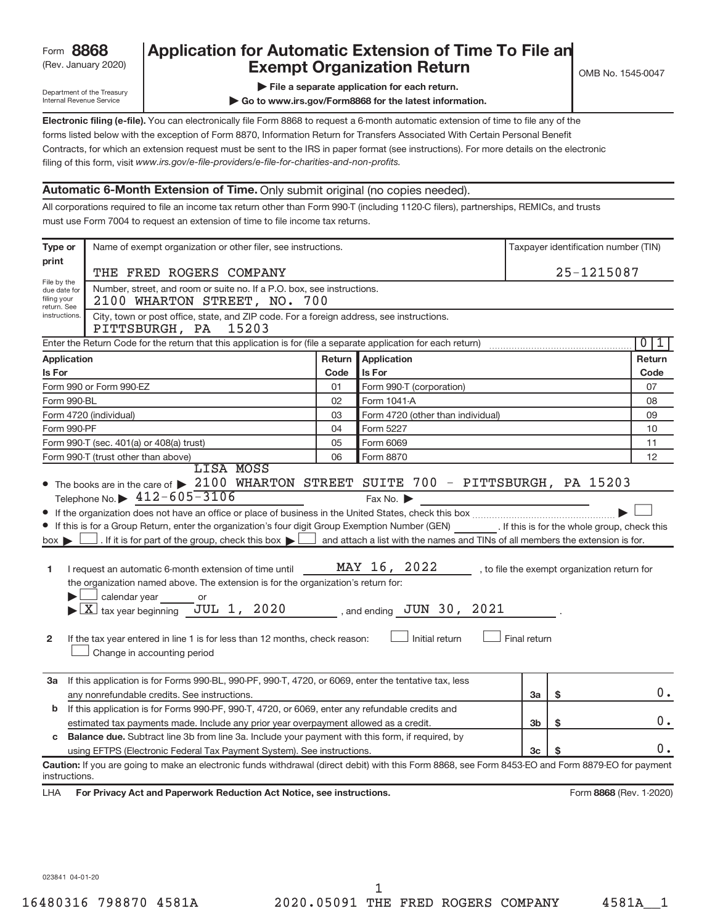# (Rev. January 2020) **Cxempt Organization Return** Manuary 2020) and MS 1545-0047 Form **8868** Application for Automatic Extension of Time To File an<br>**Exempt Organization Return**

Department of the Treasury Internal Revenue Service

**| Go to www.irs.gov/Form8868 for the latest information.**

**Electronic filing (e-file).**  You can electronically file Form 8868 to request a 6-month automatic extension of time to file any of the filing of this form, visit www.irs.gov/e-file-providers/e-file-for-charities-and-non-profits. forms listed below with the exception of Form 8870, Information Return for Transfers Associated With Certain Personal Benefit Contracts, for which an extension request must be sent to the IRS in paper format (see instructions). For more details on the electronic

# **Automatic 6-Month Extension of Time.** Only submit original (no copies needed).

All corporations required to file an income tax return other than Form 990-T (including 1120-C filers), partnerships, REMICs, and trusts must use Form 7004 to request an extension of time to file income tax returns.

| 25-1215087<br>THE FRED ROGERS COMPANY<br>Number, street, and room or suite no. If a P.O. box, see instructions.<br>due date for<br>2100 WHARTON STREET, NO. 700<br>return. See<br>instructions.<br>City, town or post office, state, and ZIP code. For a foreign address, see instructions.<br>PITTSBURGH, PA 15203<br>Enter the Return Code for the return that this application is for (file a separate application for each return)<br>0<br>1<br>Application<br><b>Application</b><br>Return  <br>Return<br>Code<br>Is For<br><b>Is For</b><br>Code<br>Form 990 or Form 990-EZ<br>Form 990-T (corporation)<br>07<br>01<br>Form 990-BL<br>02<br>Form 1041-A<br>08<br>03<br>Form 4720 (other than individual)<br>09<br>Form 4720 (individual)<br>10<br>Form 990-PF<br>04<br>Form 5227<br>05<br>Form 6069<br>11<br>Form 990-T (sec. 401(a) or 408(a) trust)<br>Form 990-T (trust other than above)<br>06<br>Form 8870<br>12<br>LISA MOSS<br>• The books are in the care of > 2100 WHARTON STREET SUITE 700 - PITTSBURGH, PA 15203<br>Telephone No. $\triangleright$ 412-605-3106<br>Fax No.<br>If this is for a Group Return, enter the organization's four digit Group Exemption Number (GEN) [If this is for the whole group, check this<br>. If it is for part of the group, check this box $\blacktriangleright$<br>and attach a list with the names and TINs of all members the extension is for.<br>$box \triangleright$<br>MAY 16, 2022<br>I request an automatic 6-month extension of time until<br>, to file the exempt organization return for<br>1<br>the organization named above. The extension is for the organization's return for:<br>calendar year<br>or<br>$\blacktriangleright$ $\boxed{\text{X}}$ tax year beginning JUL 1, 2020<br>, and ending $JUN$ 30, 2021<br>Initial return<br>Final return<br>$\mathbf{2}$<br>If the tax year entered in line 1 is for less than 12 months, check reason:<br>Change in accounting period<br>If this application is for Forms 990-BL, 990-PF, 990-T, 4720, or 6069, enter the tentative tax, less<br>За<br>0.<br>\$<br>any nonrefundable credits. See instructions.<br>За<br>If this application is for Forms 990-PF, 990-T, 4720, or 6069, enter any refundable credits and<br>b<br>0.<br>\$<br>estimated tax payments made. Include any prior year overpayment allowed as a credit.<br>3b<br><b>Balance due.</b> Subtract line 3b from line 3a. Include your payment with this form, if required, by<br>c<br>0.<br>using EFTPS (Electronic Federal Tax Payment System). See instructions.<br>3c<br>Caution: If you are going to make an electronic funds withdrawal (direct debit) with this Form 8868, see Form 8453-EO and Form 8879-EO for payment<br>instructions.<br>Form 8868 (Rev. 1-2020)<br>For Privacy Act and Paperwork Reduction Act Notice, see instructions. | Type or     | Name of exempt organization or other filer, see instructions. |  |  |  | Taxpayer identification number (TIN) |  |
|----------------------------------------------------------------------------------------------------------------------------------------------------------------------------------------------------------------------------------------------------------------------------------------------------------------------------------------------------------------------------------------------------------------------------------------------------------------------------------------------------------------------------------------------------------------------------------------------------------------------------------------------------------------------------------------------------------------------------------------------------------------------------------------------------------------------------------------------------------------------------------------------------------------------------------------------------------------------------------------------------------------------------------------------------------------------------------------------------------------------------------------------------------------------------------------------------------------------------------------------------------------------------------------------------------------------------------------------------------------------------------------------------------------------------------------------------------------------------------------------------------------------------------------------------------------------------------------------------------------------------------------------------------------------------------------------------------------------------------------------------------------------------------------------------------------------------------------------------------------------------------------------------------------------------------------------------------------------------------------------------------------------------------------------------------------------------------------------------------------------------------------------------------------------------------------------------------------------------------------------------------------------------------------------------------------------------------------------------------------------------------------------------------------------------------------------------------------------------------------------------------------------------------------------------------------------------------------------------------------------------------------------------------------------------------------------------------------------------------------------------------------------------------------------------------------------------------------|-------------|---------------------------------------------------------------|--|--|--|--------------------------------------|--|
|                                                                                                                                                                                                                                                                                                                                                                                                                                                                                                                                                                                                                                                                                                                                                                                                                                                                                                                                                                                                                                                                                                                                                                                                                                                                                                                                                                                                                                                                                                                                                                                                                                                                                                                                                                                                                                                                                                                                                                                                                                                                                                                                                                                                                                                                                                                                                                                                                                                                                                                                                                                                                                                                                                                                                                                                                                        | print       |                                                               |  |  |  |                                      |  |
|                                                                                                                                                                                                                                                                                                                                                                                                                                                                                                                                                                                                                                                                                                                                                                                                                                                                                                                                                                                                                                                                                                                                                                                                                                                                                                                                                                                                                                                                                                                                                                                                                                                                                                                                                                                                                                                                                                                                                                                                                                                                                                                                                                                                                                                                                                                                                                                                                                                                                                                                                                                                                                                                                                                                                                                                                                        | File by the |                                                               |  |  |  |                                      |  |
|                                                                                                                                                                                                                                                                                                                                                                                                                                                                                                                                                                                                                                                                                                                                                                                                                                                                                                                                                                                                                                                                                                                                                                                                                                                                                                                                                                                                                                                                                                                                                                                                                                                                                                                                                                                                                                                                                                                                                                                                                                                                                                                                                                                                                                                                                                                                                                                                                                                                                                                                                                                                                                                                                                                                                                                                                                        | filing your |                                                               |  |  |  |                                      |  |
|                                                                                                                                                                                                                                                                                                                                                                                                                                                                                                                                                                                                                                                                                                                                                                                                                                                                                                                                                                                                                                                                                                                                                                                                                                                                                                                                                                                                                                                                                                                                                                                                                                                                                                                                                                                                                                                                                                                                                                                                                                                                                                                                                                                                                                                                                                                                                                                                                                                                                                                                                                                                                                                                                                                                                                                                                                        |             |                                                               |  |  |  |                                      |  |
|                                                                                                                                                                                                                                                                                                                                                                                                                                                                                                                                                                                                                                                                                                                                                                                                                                                                                                                                                                                                                                                                                                                                                                                                                                                                                                                                                                                                                                                                                                                                                                                                                                                                                                                                                                                                                                                                                                                                                                                                                                                                                                                                                                                                                                                                                                                                                                                                                                                                                                                                                                                                                                                                                                                                                                                                                                        |             |                                                               |  |  |  |                                      |  |
|                                                                                                                                                                                                                                                                                                                                                                                                                                                                                                                                                                                                                                                                                                                                                                                                                                                                                                                                                                                                                                                                                                                                                                                                                                                                                                                                                                                                                                                                                                                                                                                                                                                                                                                                                                                                                                                                                                                                                                                                                                                                                                                                                                                                                                                                                                                                                                                                                                                                                                                                                                                                                                                                                                                                                                                                                                        |             |                                                               |  |  |  |                                      |  |
|                                                                                                                                                                                                                                                                                                                                                                                                                                                                                                                                                                                                                                                                                                                                                                                                                                                                                                                                                                                                                                                                                                                                                                                                                                                                                                                                                                                                                                                                                                                                                                                                                                                                                                                                                                                                                                                                                                                                                                                                                                                                                                                                                                                                                                                                                                                                                                                                                                                                                                                                                                                                                                                                                                                                                                                                                                        |             |                                                               |  |  |  |                                      |  |
|                                                                                                                                                                                                                                                                                                                                                                                                                                                                                                                                                                                                                                                                                                                                                                                                                                                                                                                                                                                                                                                                                                                                                                                                                                                                                                                                                                                                                                                                                                                                                                                                                                                                                                                                                                                                                                                                                                                                                                                                                                                                                                                                                                                                                                                                                                                                                                                                                                                                                                                                                                                                                                                                                                                                                                                                                                        |             |                                                               |  |  |  |                                      |  |
|                                                                                                                                                                                                                                                                                                                                                                                                                                                                                                                                                                                                                                                                                                                                                                                                                                                                                                                                                                                                                                                                                                                                                                                                                                                                                                                                                                                                                                                                                                                                                                                                                                                                                                                                                                                                                                                                                                                                                                                                                                                                                                                                                                                                                                                                                                                                                                                                                                                                                                                                                                                                                                                                                                                                                                                                                                        |             |                                                               |  |  |  |                                      |  |
|                                                                                                                                                                                                                                                                                                                                                                                                                                                                                                                                                                                                                                                                                                                                                                                                                                                                                                                                                                                                                                                                                                                                                                                                                                                                                                                                                                                                                                                                                                                                                                                                                                                                                                                                                                                                                                                                                                                                                                                                                                                                                                                                                                                                                                                                                                                                                                                                                                                                                                                                                                                                                                                                                                                                                                                                                                        |             |                                                               |  |  |  |                                      |  |
|                                                                                                                                                                                                                                                                                                                                                                                                                                                                                                                                                                                                                                                                                                                                                                                                                                                                                                                                                                                                                                                                                                                                                                                                                                                                                                                                                                                                                                                                                                                                                                                                                                                                                                                                                                                                                                                                                                                                                                                                                                                                                                                                                                                                                                                                                                                                                                                                                                                                                                                                                                                                                                                                                                                                                                                                                                        |             |                                                               |  |  |  |                                      |  |
|                                                                                                                                                                                                                                                                                                                                                                                                                                                                                                                                                                                                                                                                                                                                                                                                                                                                                                                                                                                                                                                                                                                                                                                                                                                                                                                                                                                                                                                                                                                                                                                                                                                                                                                                                                                                                                                                                                                                                                                                                                                                                                                                                                                                                                                                                                                                                                                                                                                                                                                                                                                                                                                                                                                                                                                                                                        |             |                                                               |  |  |  |                                      |  |
|                                                                                                                                                                                                                                                                                                                                                                                                                                                                                                                                                                                                                                                                                                                                                                                                                                                                                                                                                                                                                                                                                                                                                                                                                                                                                                                                                                                                                                                                                                                                                                                                                                                                                                                                                                                                                                                                                                                                                                                                                                                                                                                                                                                                                                                                                                                                                                                                                                                                                                                                                                                                                                                                                                                                                                                                                                        |             |                                                               |  |  |  |                                      |  |
|                                                                                                                                                                                                                                                                                                                                                                                                                                                                                                                                                                                                                                                                                                                                                                                                                                                                                                                                                                                                                                                                                                                                                                                                                                                                                                                                                                                                                                                                                                                                                                                                                                                                                                                                                                                                                                                                                                                                                                                                                                                                                                                                                                                                                                                                                                                                                                                                                                                                                                                                                                                                                                                                                                                                                                                                                                        |             |                                                               |  |  |  |                                      |  |
|                                                                                                                                                                                                                                                                                                                                                                                                                                                                                                                                                                                                                                                                                                                                                                                                                                                                                                                                                                                                                                                                                                                                                                                                                                                                                                                                                                                                                                                                                                                                                                                                                                                                                                                                                                                                                                                                                                                                                                                                                                                                                                                                                                                                                                                                                                                                                                                                                                                                                                                                                                                                                                                                                                                                                                                                                                        |             |                                                               |  |  |  |                                      |  |
|                                                                                                                                                                                                                                                                                                                                                                                                                                                                                                                                                                                                                                                                                                                                                                                                                                                                                                                                                                                                                                                                                                                                                                                                                                                                                                                                                                                                                                                                                                                                                                                                                                                                                                                                                                                                                                                                                                                                                                                                                                                                                                                                                                                                                                                                                                                                                                                                                                                                                                                                                                                                                                                                                                                                                                                                                                        |             |                                                               |  |  |  |                                      |  |
|                                                                                                                                                                                                                                                                                                                                                                                                                                                                                                                                                                                                                                                                                                                                                                                                                                                                                                                                                                                                                                                                                                                                                                                                                                                                                                                                                                                                                                                                                                                                                                                                                                                                                                                                                                                                                                                                                                                                                                                                                                                                                                                                                                                                                                                                                                                                                                                                                                                                                                                                                                                                                                                                                                                                                                                                                                        |             |                                                               |  |  |  |                                      |  |
|                                                                                                                                                                                                                                                                                                                                                                                                                                                                                                                                                                                                                                                                                                                                                                                                                                                                                                                                                                                                                                                                                                                                                                                                                                                                                                                                                                                                                                                                                                                                                                                                                                                                                                                                                                                                                                                                                                                                                                                                                                                                                                                                                                                                                                                                                                                                                                                                                                                                                                                                                                                                                                                                                                                                                                                                                                        |             |                                                               |  |  |  |                                      |  |
|                                                                                                                                                                                                                                                                                                                                                                                                                                                                                                                                                                                                                                                                                                                                                                                                                                                                                                                                                                                                                                                                                                                                                                                                                                                                                                                                                                                                                                                                                                                                                                                                                                                                                                                                                                                                                                                                                                                                                                                                                                                                                                                                                                                                                                                                                                                                                                                                                                                                                                                                                                                                                                                                                                                                                                                                                                        |             |                                                               |  |  |  |                                      |  |
|                                                                                                                                                                                                                                                                                                                                                                                                                                                                                                                                                                                                                                                                                                                                                                                                                                                                                                                                                                                                                                                                                                                                                                                                                                                                                                                                                                                                                                                                                                                                                                                                                                                                                                                                                                                                                                                                                                                                                                                                                                                                                                                                                                                                                                                                                                                                                                                                                                                                                                                                                                                                                                                                                                                                                                                                                                        |             |                                                               |  |  |  |                                      |  |
|                                                                                                                                                                                                                                                                                                                                                                                                                                                                                                                                                                                                                                                                                                                                                                                                                                                                                                                                                                                                                                                                                                                                                                                                                                                                                                                                                                                                                                                                                                                                                                                                                                                                                                                                                                                                                                                                                                                                                                                                                                                                                                                                                                                                                                                                                                                                                                                                                                                                                                                                                                                                                                                                                                                                                                                                                                        |             |                                                               |  |  |  |                                      |  |
|                                                                                                                                                                                                                                                                                                                                                                                                                                                                                                                                                                                                                                                                                                                                                                                                                                                                                                                                                                                                                                                                                                                                                                                                                                                                                                                                                                                                                                                                                                                                                                                                                                                                                                                                                                                                                                                                                                                                                                                                                                                                                                                                                                                                                                                                                                                                                                                                                                                                                                                                                                                                                                                                                                                                                                                                                                        |             |                                                               |  |  |  |                                      |  |
|                                                                                                                                                                                                                                                                                                                                                                                                                                                                                                                                                                                                                                                                                                                                                                                                                                                                                                                                                                                                                                                                                                                                                                                                                                                                                                                                                                                                                                                                                                                                                                                                                                                                                                                                                                                                                                                                                                                                                                                                                                                                                                                                                                                                                                                                                                                                                                                                                                                                                                                                                                                                                                                                                                                                                                                                                                        |             |                                                               |  |  |  |                                      |  |
|                                                                                                                                                                                                                                                                                                                                                                                                                                                                                                                                                                                                                                                                                                                                                                                                                                                                                                                                                                                                                                                                                                                                                                                                                                                                                                                                                                                                                                                                                                                                                                                                                                                                                                                                                                                                                                                                                                                                                                                                                                                                                                                                                                                                                                                                                                                                                                                                                                                                                                                                                                                                                                                                                                                                                                                                                                        |             |                                                               |  |  |  |                                      |  |
|                                                                                                                                                                                                                                                                                                                                                                                                                                                                                                                                                                                                                                                                                                                                                                                                                                                                                                                                                                                                                                                                                                                                                                                                                                                                                                                                                                                                                                                                                                                                                                                                                                                                                                                                                                                                                                                                                                                                                                                                                                                                                                                                                                                                                                                                                                                                                                                                                                                                                                                                                                                                                                                                                                                                                                                                                                        |             |                                                               |  |  |  |                                      |  |
|                                                                                                                                                                                                                                                                                                                                                                                                                                                                                                                                                                                                                                                                                                                                                                                                                                                                                                                                                                                                                                                                                                                                                                                                                                                                                                                                                                                                                                                                                                                                                                                                                                                                                                                                                                                                                                                                                                                                                                                                                                                                                                                                                                                                                                                                                                                                                                                                                                                                                                                                                                                                                                                                                                                                                                                                                                        |             |                                                               |  |  |  |                                      |  |
|                                                                                                                                                                                                                                                                                                                                                                                                                                                                                                                                                                                                                                                                                                                                                                                                                                                                                                                                                                                                                                                                                                                                                                                                                                                                                                                                                                                                                                                                                                                                                                                                                                                                                                                                                                                                                                                                                                                                                                                                                                                                                                                                                                                                                                                                                                                                                                                                                                                                                                                                                                                                                                                                                                                                                                                                                                        |             |                                                               |  |  |  |                                      |  |
|                                                                                                                                                                                                                                                                                                                                                                                                                                                                                                                                                                                                                                                                                                                                                                                                                                                                                                                                                                                                                                                                                                                                                                                                                                                                                                                                                                                                                                                                                                                                                                                                                                                                                                                                                                                                                                                                                                                                                                                                                                                                                                                                                                                                                                                                                                                                                                                                                                                                                                                                                                                                                                                                                                                                                                                                                                        |             |                                                               |  |  |  |                                      |  |
|                                                                                                                                                                                                                                                                                                                                                                                                                                                                                                                                                                                                                                                                                                                                                                                                                                                                                                                                                                                                                                                                                                                                                                                                                                                                                                                                                                                                                                                                                                                                                                                                                                                                                                                                                                                                                                                                                                                                                                                                                                                                                                                                                                                                                                                                                                                                                                                                                                                                                                                                                                                                                                                                                                                                                                                                                                        |             |                                                               |  |  |  |                                      |  |
|                                                                                                                                                                                                                                                                                                                                                                                                                                                                                                                                                                                                                                                                                                                                                                                                                                                                                                                                                                                                                                                                                                                                                                                                                                                                                                                                                                                                                                                                                                                                                                                                                                                                                                                                                                                                                                                                                                                                                                                                                                                                                                                                                                                                                                                                                                                                                                                                                                                                                                                                                                                                                                                                                                                                                                                                                                        |             |                                                               |  |  |  |                                      |  |
|                                                                                                                                                                                                                                                                                                                                                                                                                                                                                                                                                                                                                                                                                                                                                                                                                                                                                                                                                                                                                                                                                                                                                                                                                                                                                                                                                                                                                                                                                                                                                                                                                                                                                                                                                                                                                                                                                                                                                                                                                                                                                                                                                                                                                                                                                                                                                                                                                                                                                                                                                                                                                                                                                                                                                                                                                                        |             |                                                               |  |  |  |                                      |  |
|                                                                                                                                                                                                                                                                                                                                                                                                                                                                                                                                                                                                                                                                                                                                                                                                                                                                                                                                                                                                                                                                                                                                                                                                                                                                                                                                                                                                                                                                                                                                                                                                                                                                                                                                                                                                                                                                                                                                                                                                                                                                                                                                                                                                                                                                                                                                                                                                                                                                                                                                                                                                                                                                                                                                                                                                                                        |             |                                                               |  |  |  |                                      |  |
|                                                                                                                                                                                                                                                                                                                                                                                                                                                                                                                                                                                                                                                                                                                                                                                                                                                                                                                                                                                                                                                                                                                                                                                                                                                                                                                                                                                                                                                                                                                                                                                                                                                                                                                                                                                                                                                                                                                                                                                                                                                                                                                                                                                                                                                                                                                                                                                                                                                                                                                                                                                                                                                                                                                                                                                                                                        |             |                                                               |  |  |  |                                      |  |
|                                                                                                                                                                                                                                                                                                                                                                                                                                                                                                                                                                                                                                                                                                                                                                                                                                                                                                                                                                                                                                                                                                                                                                                                                                                                                                                                                                                                                                                                                                                                                                                                                                                                                                                                                                                                                                                                                                                                                                                                                                                                                                                                                                                                                                                                                                                                                                                                                                                                                                                                                                                                                                                                                                                                                                                                                                        |             |                                                               |  |  |  |                                      |  |
|                                                                                                                                                                                                                                                                                                                                                                                                                                                                                                                                                                                                                                                                                                                                                                                                                                                                                                                                                                                                                                                                                                                                                                                                                                                                                                                                                                                                                                                                                                                                                                                                                                                                                                                                                                                                                                                                                                                                                                                                                                                                                                                                                                                                                                                                                                                                                                                                                                                                                                                                                                                                                                                                                                                                                                                                                                        |             |                                                               |  |  |  |                                      |  |
|                                                                                                                                                                                                                                                                                                                                                                                                                                                                                                                                                                                                                                                                                                                                                                                                                                                                                                                                                                                                                                                                                                                                                                                                                                                                                                                                                                                                                                                                                                                                                                                                                                                                                                                                                                                                                                                                                                                                                                                                                                                                                                                                                                                                                                                                                                                                                                                                                                                                                                                                                                                                                                                                                                                                                                                                                                        | LHA         |                                                               |  |  |  |                                      |  |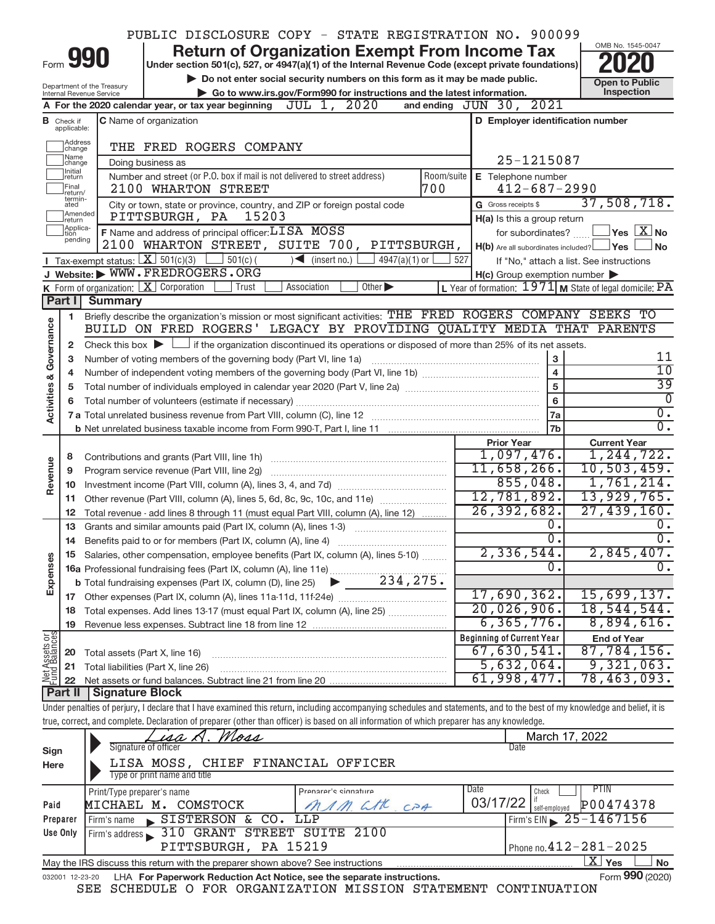|               |                               |                                                        | PUBLIC DISCLOSURE COPY - STATE REGISTRATION NO. 900099                                                                                                                     |                                                                             |            |                                                     |                                                                        |
|---------------|-------------------------------|--------------------------------------------------------|----------------------------------------------------------------------------------------------------------------------------------------------------------------------------|-----------------------------------------------------------------------------|------------|-----------------------------------------------------|------------------------------------------------------------------------|
|               |                               |                                                        |                                                                                                                                                                            | <b>Return of Organization Exempt From Income Tax</b>                        |            |                                                     | OMB No. 1545-0047                                                      |
|               | Form 990                      |                                                        | Under section 501(c), 527, or 4947(a)(1) of the Internal Revenue Code (except private foundations)                                                                         |                                                                             |            |                                                     |                                                                        |
|               |                               |                                                        |                                                                                                                                                                            | Do not enter social security numbers on this form as it may be made public. |            |                                                     | <b>Open to Public</b>                                                  |
|               |                               | Department of the Treasury<br>Internal Revenue Service | Go to www.irs.gov/Form990 for instructions and the latest information.                                                                                                     |                                                                             |            | Inspection                                          |                                                                        |
|               |                               |                                                        | A For the 2020 calendar year, or tax year beginning                                                                                                                        | JUL 1, 2020                                                                 |            | and ending JUN 30, 2021                             |                                                                        |
|               | <b>B</b> Check if applicable: |                                                        | <b>C</b> Name of organization                                                                                                                                              |                                                                             |            | D Employer identification number                    |                                                                        |
|               |                               |                                                        |                                                                                                                                                                            |                                                                             |            |                                                     |                                                                        |
|               | Address<br> change            |                                                        | THE FRED ROGERS COMPANY                                                                                                                                                    |                                                                             |            |                                                     |                                                                        |
|               | Name<br>change                |                                                        | Doing business as                                                                                                                                                          |                                                                             |            | 25-1215087                                          |                                                                        |
|               | Ilnitial<br> return           |                                                        | Number and street (or P.O. box if mail is not delivered to street address)                                                                                                 |                                                                             | Room/suite | E Telephone number                                  |                                                                        |
|               | Final<br>lreturn/             |                                                        | 2100 WHARTON STREET                                                                                                                                                        |                                                                             | 700        | $412 - 687 - 2990$                                  |                                                                        |
|               | termin-<br>ated               |                                                        | City or town, state or province, country, and ZIP or foreign postal code                                                                                                   |                                                                             |            | G Gross receipts \$                                 | 37,508,718.                                                            |
|               | Amended<br>Ireturn            |                                                        | 15203<br>PITTSBURGH, PA                                                                                                                                                    |                                                                             |            | H(a) Is this a group return                         |                                                                        |
|               | Applica-<br>ltion<br>pending  |                                                        | <b>F</b> Name and address of principal officer: $LT\overline{SA}$ MOSS                                                                                                     |                                                                             |            | for subordinates?                                   | $\sqrt{}$ Yes $\left\lfloor \frac{X}{X} \right\rfloor$ No              |
|               |                               |                                                        | 2100 WHARTON STREET, SUITE 700, PITTSBURGH,                                                                                                                                |                                                                             |            | $H(b)$ Are all subordinates included? $\Box$ Yes    | ⊥No                                                                    |
|               |                               |                                                        | Tax-exempt status: $X \overline{3}$ 501(c)(3) $361(c)$ 501(c)(                                                                                                             | $\bigcup$ (insert no.) $\bigcup$<br>$4947(a)(1)$ or                         | 527        |                                                     | If "No," attach a list. See instructions                               |
|               |                               |                                                        | J Website: WWW.FREDROGERS.ORG                                                                                                                                              |                                                                             |            | $H(c)$ Group exemption number $\blacktriangleright$ |                                                                        |
|               |                               |                                                        | K Form of organization: $X$ Corporation<br>Trust                                                                                                                           | Association<br>Other $\blacktriangleright$                                  |            |                                                     | L Year of formation: $1971$ M State of legal domicile: $\overline{PA}$ |
|               | Part I                        | <b>Summary</b>                                         |                                                                                                                                                                            |                                                                             |            |                                                     |                                                                        |
|               | 1                             |                                                        | Briefly describe the organization's mission or most significant activities: THE FRED ROGERS COMPANY SEEKS TO                                                               |                                                                             |            |                                                     |                                                                        |
| Governance    |                               |                                                        | BUILD ON FRED ROGERS' LEGACY BY PROVIDING QUALITY MEDIA THAT PARENTS                                                                                                       |                                                                             |            |                                                     |                                                                        |
|               | 2                             |                                                        | Check this box $\blacktriangleright$ $\Box$ if the organization discontinued its operations or disposed of more than 25% of its net assets.                                |                                                                             |            |                                                     |                                                                        |
|               | з                             |                                                        | Number of voting members of the governing body (Part VI, line 1a)                                                                                                          |                                                                             |            | 3                                                   | 11                                                                     |
| જ             | 4                             |                                                        |                                                                                                                                                                            |                                                                             |            | $\overline{\mathbf{4}}$                             | $\overline{10}$                                                        |
| Activities    | 5                             |                                                        |                                                                                                                                                                            |                                                                             |            | 5                                                   | $\overline{39}$<br>$\overline{0}$                                      |
|               | 6                             |                                                        |                                                                                                                                                                            |                                                                             |            | $6\phantom{a}$                                      | $\overline{0}$ .                                                       |
|               |                               |                                                        |                                                                                                                                                                            |                                                                             |            | 7a                                                  | $\overline{0}$ .                                                       |
|               |                               |                                                        |                                                                                                                                                                            |                                                                             |            | <b>7b</b>                                           |                                                                        |
|               |                               |                                                        |                                                                                                                                                                            |                                                                             |            | <b>Prior Year</b><br>1,097,476.                     | <b>Current Year</b><br>1,244,722.                                      |
| Revenue       | 8                             |                                                        |                                                                                                                                                                            |                                                                             |            | 11,658,266.                                         | 10, 503, 459.                                                          |
|               | 9                             |                                                        | Program service revenue (Part VIII, line 2g)                                                                                                                               |                                                                             |            | 855,048.                                            | 1,761,214.                                                             |
|               | 10<br>11                      |                                                        | Other revenue (Part VIII, column (A), lines 5, 6d, 8c, 9c, 10c, and 11e)                                                                                                   |                                                                             |            | 12,781,892.                                         | 13,929,765.                                                            |
|               | 12                            |                                                        | Total revenue - add lines 8 through 11 (must equal Part VIII, column (A), line 12)                                                                                         |                                                                             |            | 26, 392, 682.                                       | 27,439,160.                                                            |
|               | 13                            |                                                        | Grants and similar amounts paid (Part IX, column (A), lines 1-3)                                                                                                           |                                                                             |            | 0.                                                  | 0.                                                                     |
|               | 14                            |                                                        |                                                                                                                                                                            |                                                                             |            | $\overline{0}$ .                                    | $\overline{0}$ .                                                       |
|               |                               |                                                        | Salaries, other compensation, employee benefits (Part IX, column (A), lines 5-10)                                                                                          |                                                                             |            | 2,336,544.                                          | 2,845,407.                                                             |
|               |                               |                                                        | 16a Professional fundraising fees (Part IX, column (A), line 11e)                                                                                                          |                                                                             |            | 0                                                   | $\overline{0}$ .                                                       |
| Expenses      |                               |                                                        | <b>b</b> Total fundraising expenses (Part IX, column (D), line 25)                                                                                                         | 234,275.                                                                    |            |                                                     |                                                                        |
|               |                               |                                                        |                                                                                                                                                                            |                                                                             |            | 17,690,362.                                         | 15,699,137.                                                            |
|               | 18                            |                                                        | Total expenses. Add lines 13-17 (must equal Part IX, column (A), line 25) <i></i>                                                                                          |                                                                             |            | 20,026,906.                                         | 18, 544, 544.                                                          |
|               | 19                            |                                                        |                                                                                                                                                                            |                                                                             |            | 6, 365, 776.                                        | 8,894,616.                                                             |
| Net Assets or |                               |                                                        |                                                                                                                                                                            |                                                                             |            | <b>Beginning of Current Year</b>                    | <b>End of Year</b>                                                     |
|               | 20                            |                                                        | Total assets (Part X, line 16)                                                                                                                                             |                                                                             |            | 67,630,541.                                         | 87,784,156.                                                            |
|               | 21                            |                                                        | Total liabilities (Part X, line 26)                                                                                                                                        |                                                                             |            | 5,632,064.                                          | 9,321,063.                                                             |
|               | 22                            |                                                        | Net assets or fund balances. Subtract line 21 from line 20                                                                                                                 |                                                                             |            | 61,998,477.                                         | 78,463,093.                                                            |
|               | <b>Part II</b>                | Signature Block                                        |                                                                                                                                                                            |                                                                             |            |                                                     |                                                                        |
|               |                               |                                                        | Under penalties of perjury, I declare that I have examined this return, including accompanying schedules and statements, and to the best of my knowledge and belief, it is |                                                                             |            |                                                     |                                                                        |
|               |                               |                                                        | true, correct, and complete. Declaration of preparer (other than officer) is based on all information of which preparer has any knowledge.                                 |                                                                             |            |                                                     |                                                                        |
|               |                               |                                                        | isa A. Moss<br>Signature of officer                                                                                                                                        |                                                                             |            | March 17, 2022<br>Date                              |                                                                        |
| Sign          |                               |                                                        |                                                                                                                                                                            |                                                                             |            |                                                     |                                                                        |
| Here          |                               |                                                        | LISA MOSS, CHIEF FINANCIAL OFFICER<br>Type or print name and title                                                                                                         |                                                                             |            |                                                     |                                                                        |
|               |                               |                                                        |                                                                                                                                                                            |                                                                             |            |                                                     |                                                                        |
|               |                               |                                                        |                                                                                                                                                                            |                                                                             |            |                                                     |                                                                        |
|               |                               |                                                        | Print/Type preparer's name                                                                                                                                                 | Pranarar'e einnatura                                                        |            | Date<br>Check                                       | PTIN                                                                   |
| Paid          |                               |                                                        | MICHAEL M. COMSTOCK                                                                                                                                                        | CHC<br>$\sqrt{M}$                                                           | CPA        | 03/17/22<br>self-employed                           | P00474378                                                              |
|               | Preparer<br><b>Use Only</b>   | Firm's name                                            | SISTERSON & CO.<br>Firm's address 310 GRANT STREET SUITE 2100                                                                                                              | LLP                                                                         |            | Firm's EIN                                          | 25-1467156                                                             |

|                 | PITTSBURGH, PA 15219                                                            | Phone no. $412 - 281 - 2025$ |                 |      |
|-----------------|---------------------------------------------------------------------------------|------------------------------|-----------------|------|
|                 | May the IRS discuss this return with the preparer shown above? See instructions |                              | ' Yes<br>Δ∣     | l No |
| 032001 12-23-20 | LHA For Paperwork Reduction Act Notice, see the separate instructions.          |                              | Form 990 (2020) |      |

|  |  | SEE SCHEDULE O FOR ORGANIZATION MISSION STATEMENT CONTINUATION |  |  |
|--|--|----------------------------------------------------------------|--|--|

Form **990** (2020)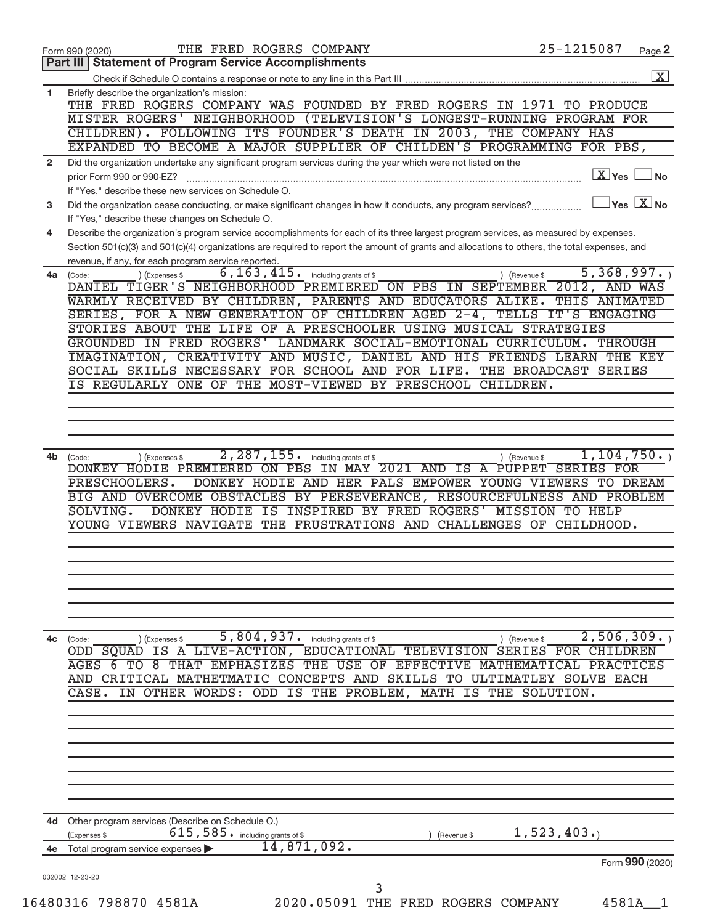|                | THE FRED ROGERS COMPANY<br>Form 990 (2020)                                                                                                                                                                                                                                                          | 25-1215087                                                      | Page 2 |
|----------------|-----------------------------------------------------------------------------------------------------------------------------------------------------------------------------------------------------------------------------------------------------------------------------------------------------|-----------------------------------------------------------------|--------|
|                | <b>Part III   Statement of Program Service Accomplishments</b>                                                                                                                                                                                                                                      |                                                                 |        |
|                |                                                                                                                                                                                                                                                                                                     |                                                                 |        |
| 1              | Briefly describe the organization's mission:<br>THE FRED ROGERS COMPANY WAS FOUNDED BY FRED ROGERS IN 1971 TO PRODUCE<br>(TELEVISION'S LONGEST-RUNNING PROGRAM FOR<br>MISTER ROGERS' NEIGHBORHOOD                                                                                                   |                                                                 |        |
|                | CHILDREN). FOLLOWING ITS FOUNDER'S DEATH IN 2003, THE COMPANY HAS<br>EXPANDED TO BECOME A MAJOR SUPPLIER OF CHILDEN'S PROGRAMMING FOR PBS,                                                                                                                                                          |                                                                 |        |
| $\overline{2}$ | Did the organization undertake any significant program services during the year which were not listed on the                                                                                                                                                                                        |                                                                 |        |
|                | prior Form 990 or 990-EZ?<br>If "Yes," describe these new services on Schedule O.                                                                                                                                                                                                                   | $\boxed{\text{X}}$ Yes                                          |        |
| 3              | Did the organization cease conducting, or make significant changes in how it conducts, any program services?<br>If "Yes," describe these changes on Schedule O.                                                                                                                                     | $ {\mathsf Y} {\mathsf e} {\mathsf s} \mid {\mathrm X} \,  $ No |        |
| 4              | Describe the organization's program service accomplishments for each of its three largest program services, as measured by expenses.<br>Section 501(c)(3) and 501(c)(4) organizations are required to report the amount of grants and allocations to others, the total expenses, and                |                                                                 |        |
|                | revenue, if any, for each program service reported.                                                                                                                                                                                                                                                 |                                                                 |        |
|                | 6, 163, 415.<br>$4a$ (Code:<br>(Expenses \$<br>including grants of \$<br>DANIEL TIGER'S NEIGHBORHOOD PREMIERED ON PBS IN SEPTEMBER 2012, AND WAS<br>WARMLY RECEIVED BY CHILDREN, PARENTS AND EDUCATORS ALIKE.<br>SERIES, FOR A NEW GENERATION OF CHILDREN AGED 2-4, TELLS                           | 5,368,997.<br>Gevenue \$<br>THIS ANIMATED<br>IT'S ENGAGING      |        |
|                | STORIES ABOUT THE LIFE OF A PRESCHOOLER USING MUSICAL STRATEGIES                                                                                                                                                                                                                                    |                                                                 |        |
|                | LANDMARK SOCIAL-EMOTIONAL CURRICULUM.<br>GROUNDED IN FRED ROGERS'                                                                                                                                                                                                                                   | <b>THROUGH</b>                                                  |        |
|                | IMAGINATION, CREATIVITY AND MUSIC, DANIEL AND HIS FRIENDS LEARN THE KEY                                                                                                                                                                                                                             |                                                                 |        |
|                | SOCIAL SKILLS NECESSARY FOR SCHOOL AND FOR LIFE.                                                                                                                                                                                                                                                    | THE BROADCAST SERIES                                            |        |
|                | IS REGULARLY ONE OF THE MOST-VIEWED BY PRESCHOOL CHILDREN.                                                                                                                                                                                                                                          |                                                                 |        |
|                |                                                                                                                                                                                                                                                                                                     |                                                                 |        |
|                |                                                                                                                                                                                                                                                                                                     |                                                                 |        |
|                |                                                                                                                                                                                                                                                                                                     |                                                                 |        |
|                |                                                                                                                                                                                                                                                                                                     |                                                                 |        |
|                | 2, 287, 155.                                                                                                                                                                                                                                                                                        | 1,104,750.                                                      |        |
| 4b             | (Expenses \$<br>including grants of \$<br>(Code:<br>IN MAY 2021 AND IS A PUPPET SERIES FOR<br>DONKEY HODIE PREMIERED ON<br>$\overline{PBS}$<br>DONKEY HODIE AND HER PALS EMPOWER YOUNG VIEWERS TO DREAM<br>PRESCHOOLERS.<br>BIG AND OVERCOME OBSTACLES BY PERSEVERANCE, RESOURCEFULNESS AND PROBLEM | (Revenue \$                                                     |        |
|                | INSPIRED BY FRED ROGERS' MISSION TO HELP<br>SOLVING.<br>DONKEY HODIE IS                                                                                                                                                                                                                             |                                                                 |        |
|                | YOUNG VIEWERS NAVIGATE THE FRUSTRATIONS AND CHALLENGES                                                                                                                                                                                                                                              | OF<br>CHILDHOOD.                                                |        |
|                |                                                                                                                                                                                                                                                                                                     |                                                                 |        |
|                |                                                                                                                                                                                                                                                                                                     |                                                                 |        |
|                |                                                                                                                                                                                                                                                                                                     |                                                                 |        |
|                |                                                                                                                                                                                                                                                                                                     |                                                                 |        |
|                |                                                                                                                                                                                                                                                                                                     |                                                                 |        |
|                |                                                                                                                                                                                                                                                                                                     |                                                                 |        |
|                |                                                                                                                                                                                                                                                                                                     |                                                                 |        |
| 4c             | 5,804,937. including grants of \$<br>(Expenses \$<br>(Code:                                                                                                                                                                                                                                         | $2,506,309$ .<br>) (Revenue \$                                  |        |
|                | ODD SOUAD IS A LIVE-ACTION, EDUCATIONAL TELEVISION SERIES FOR CHILDREN                                                                                                                                                                                                                              |                                                                 |        |
|                | THE USE OF<br><b>EMPHASIZES</b><br>AGES 6<br>TО<br>-8<br>THAT<br>EFFECTIVE                                                                                                                                                                                                                          | MATHEMATICAL<br>PRACTICES                                       |        |
|                | <b>CONCEPTS AND</b><br><b>SKILLS</b><br>MATHETMATIC<br>AND<br>CRITICAL<br>TО<br>ULTIMATLEY                                                                                                                                                                                                          | <b>SOLVE EACH</b>                                               |        |
|                | CASE.<br>IS<br>THE PROBLEM,<br>OTHER WORDS:<br>ODD<br><b>MATH IS THE</b><br>ΙN                                                                                                                                                                                                                      | SOLUTION.                                                       |        |
|                |                                                                                                                                                                                                                                                                                                     |                                                                 |        |
|                |                                                                                                                                                                                                                                                                                                     |                                                                 |        |
|                |                                                                                                                                                                                                                                                                                                     |                                                                 |        |
|                |                                                                                                                                                                                                                                                                                                     |                                                                 |        |
|                |                                                                                                                                                                                                                                                                                                     |                                                                 |        |
|                |                                                                                                                                                                                                                                                                                                     |                                                                 |        |
|                |                                                                                                                                                                                                                                                                                                     |                                                                 |        |
|                |                                                                                                                                                                                                                                                                                                     |                                                                 |        |
|                |                                                                                                                                                                                                                                                                                                     |                                                                 |        |
| 4d             | Other program services (Describe on Schedule O.)                                                                                                                                                                                                                                                    |                                                                 |        |
|                | 615, 585. including grants of \$<br>(Expenses \$<br>(Revenue \$                                                                                                                                                                                                                                     | 1,523,403.                                                      |        |
| 4е             | 14,871,092.<br>Total program service expenses                                                                                                                                                                                                                                                       |                                                                 |        |
|                |                                                                                                                                                                                                                                                                                                     | Form 990 (2020)                                                 |        |
|                |                                                                                                                                                                                                                                                                                                     |                                                                 |        |
|                | 032002 12-23-20<br>3                                                                                                                                                                                                                                                                                |                                                                 |        |
|                |                                                                                                                                                                                                                                                                                                     |                                                                 |        |
|                | 16480316 798870 4581A<br>2020.05091 THE FRED ROGERS COMPANY                                                                                                                                                                                                                                         | 4581A                                                           |        |
|                |                                                                                                                                                                                                                                                                                                     |                                                                 |        |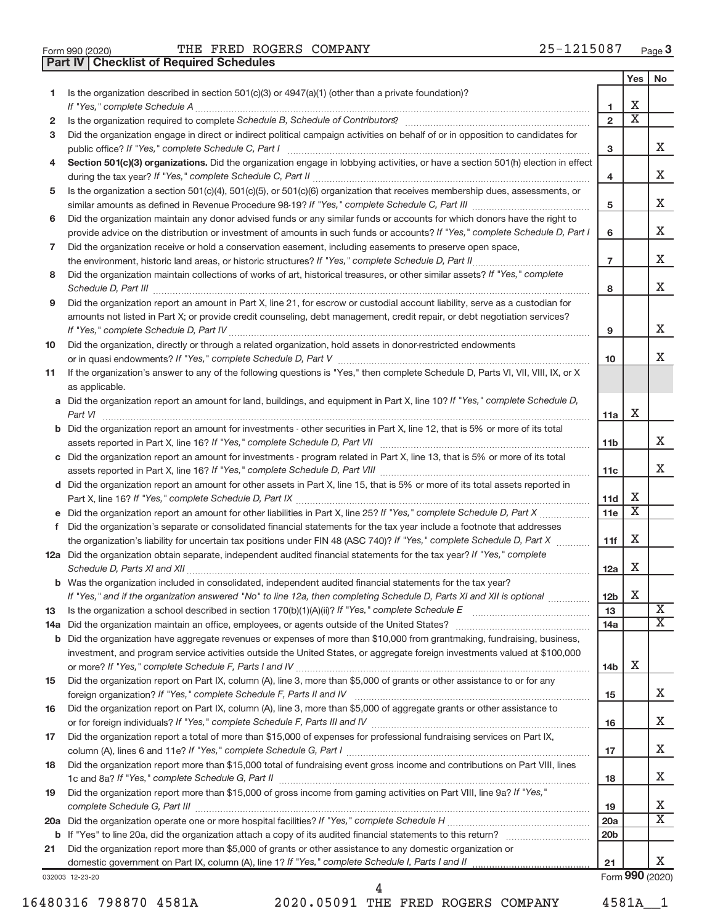|  | Form 990 (2020) |
|--|-----------------|

**Part IV Checklist of Required Schedules**

Form 990 (2020)  $\qquad$  THE FRED ROGERS COMPANY  $25-1215087$  Page

|              |                                                                                                                                                                       |                 | Yes | No                      |
|--------------|-----------------------------------------------------------------------------------------------------------------------------------------------------------------------|-----------------|-----|-------------------------|
| 1            | Is the organization described in section 501(c)(3) or 4947(a)(1) (other than a private foundation)?                                                                   |                 |     |                         |
|              |                                                                                                                                                                       | 1               | х   |                         |
| $\mathbf{2}$ | Is the organization required to complete Schedule B, Schedule of Contributors? [111] [12] the organization required to complete Schedule B, Schedule of Contributors? | $\overline{2}$  | Χ   |                         |
| 3            | Did the organization engage in direct or indirect political campaign activities on behalf of or in opposition to candidates for                                       | 3               |     | x                       |
| 4            | Section 501(c)(3) organizations. Did the organization engage in lobbying activities, or have a section 501(h) election in effect                                      |                 |     |                         |
|              |                                                                                                                                                                       | 4               |     | x                       |
| 5            | Is the organization a section 501(c)(4), 501(c)(5), or 501(c)(6) organization that receives membership dues, assessments, or                                          |                 |     |                         |
|              |                                                                                                                                                                       | 5               |     | x                       |
| 6            | Did the organization maintain any donor advised funds or any similar funds or accounts for which donors have the right to                                             |                 |     |                         |
|              | provide advice on the distribution or investment of amounts in such funds or accounts? If "Yes," complete Schedule D, Part I                                          | 6               |     | x                       |
| 7            | Did the organization receive or hold a conservation easement, including easements to preserve open space,                                                             |                 |     |                         |
|              |                                                                                                                                                                       | $\overline{7}$  |     | Χ                       |
| 8            | Did the organization maintain collections of works of art, historical treasures, or other similar assets? If "Yes," complete                                          |                 |     |                         |
|              |                                                                                                                                                                       | 8               |     | Χ                       |
| 9            | Did the organization report an amount in Part X, line 21, for escrow or custodial account liability, serve as a custodian for                                         |                 |     |                         |
|              | amounts not listed in Part X; or provide credit counseling, debt management, credit repair, or debt negotiation services?                                             |                 |     |                         |
|              |                                                                                                                                                                       | 9               |     | x                       |
|              | Did the organization, directly or through a related organization, hold assets in donor-restricted endowments                                                          |                 |     |                         |
| 10           |                                                                                                                                                                       | 10              |     | x                       |
|              | If the organization's answer to any of the following questions is "Yes," then complete Schedule D, Parts VI, VII, VIII, IX, or X                                      |                 |     |                         |
| 11           | as applicable.                                                                                                                                                        |                 |     |                         |
|              | a Did the organization report an amount for land, buildings, and equipment in Part X, line 10? If "Yes," complete Schedule D,                                         |                 |     |                         |
|              |                                                                                                                                                                       | 11a             | X   |                         |
|              | <b>b</b> Did the organization report an amount for investments - other securities in Part X, line 12, that is 5% or more of its total                                 |                 |     |                         |
|              |                                                                                                                                                                       | 11b             |     | x                       |
|              | c Did the organization report an amount for investments - program related in Part X, line 13, that is 5% or more of its total                                         |                 |     |                         |
|              |                                                                                                                                                                       | 11c             |     | x                       |
|              | d Did the organization report an amount for other assets in Part X, line 15, that is 5% or more of its total assets reported in                                       |                 |     |                         |
|              |                                                                                                                                                                       | 11d             | х   |                         |
|              |                                                                                                                                                                       | 11e             | X   |                         |
|              | f Did the organization's separate or consolidated financial statements for the tax year include a footnote that addresses                                             |                 |     |                         |
|              | the organization's liability for uncertain tax positions under FIN 48 (ASC 740)? If "Yes," complete Schedule D, Part X                                                | 11f             | X   |                         |
|              | 12a Did the organization obtain separate, independent audited financial statements for the tax year? If "Yes," complete                                               |                 |     |                         |
|              |                                                                                                                                                                       | 12a             | X   |                         |
|              | b Was the organization included in consolidated, independent audited financial statements for the tax year?                                                           |                 |     |                         |
|              | If "Yes," and if the organization answered "No" to line 12a, then completing Schedule D, Parts XI and XII is optional                                                 | 12 <sub>b</sub> | X   |                         |
| 13           |                                                                                                                                                                       | 13              |     | $\overline{\textbf{X}}$ |
| 14a          |                                                                                                                                                                       | 14a             |     | X.                      |
| b            | Did the organization have aggregate revenues or expenses of more than \$10,000 from grantmaking, fundraising, business,                                               |                 |     |                         |
|              | investment, and program service activities outside the United States, or aggregate foreign investments valued at \$100,000                                            |                 |     |                         |
|              |                                                                                                                                                                       | 14 <sub>b</sub> | Х   |                         |
| 15           | Did the organization report on Part IX, column (A), line 3, more than \$5,000 of grants or other assistance to or for any                                             |                 |     |                         |
|              |                                                                                                                                                                       | 15              |     | x                       |
| 16           | Did the organization report on Part IX, column (A), line 3, more than \$5,000 of aggregate grants or other assistance to                                              |                 |     |                         |
|              |                                                                                                                                                                       | 16              |     | х                       |
| 17           | Did the organization report a total of more than \$15,000 of expenses for professional fundraising services on Part IX,                                               |                 |     |                         |
|              |                                                                                                                                                                       | 17              |     | х                       |
| 18           | Did the organization report more than \$15,000 total of fundraising event gross income and contributions on Part VIII, lines                                          |                 |     |                         |
|              |                                                                                                                                                                       | 18              |     | х                       |
| 19           | Did the organization report more than \$15,000 of gross income from gaming activities on Part VIII, line 9a? If "Yes,"                                                |                 |     |                         |
|              |                                                                                                                                                                       | 19              |     | х                       |
| 20a          |                                                                                                                                                                       | 20a             |     | x                       |
| b            |                                                                                                                                                                       | 20 <sub>b</sub> |     |                         |
| 21           | Did the organization report more than \$5,000 of grants or other assistance to any domestic organization or                                                           |                 |     |                         |
|              |                                                                                                                                                                       | 21              |     | x                       |
|              | 032003 12-23-20                                                                                                                                                       |                 |     | Form 990 (2020)         |

16480316 798870 4581A 2020.05091 THE FRED ROGERS COMPANY 4581A\_\_1

4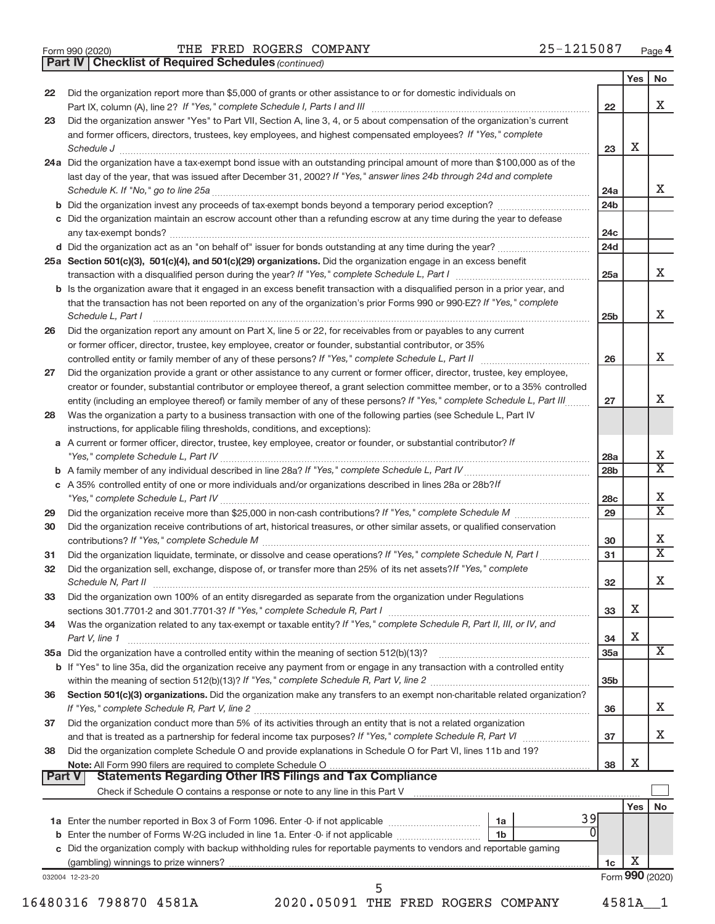|  | Form 990 (2020) |
|--|-----------------|

*(continued)* **Part IV Checklist of Required Schedules**

|               | oncompt or neganed concadies (commerce                                                                                                                                                                                                                     |                 |     |                             |
|---------------|------------------------------------------------------------------------------------------------------------------------------------------------------------------------------------------------------------------------------------------------------------|-----------------|-----|-----------------------------|
|               |                                                                                                                                                                                                                                                            |                 | Yes | No                          |
| 22            | Did the organization report more than \$5,000 of grants or other assistance to or for domestic individuals on                                                                                                                                              |                 |     | х                           |
|               |                                                                                                                                                                                                                                                            | 22              |     |                             |
| 23            | Did the organization answer "Yes" to Part VII, Section A, line 3, 4, or 5 about compensation of the organization's current<br>and former officers, directors, trustees, key employees, and highest compensated employees? If "Yes," complete               |                 |     |                             |
|               |                                                                                                                                                                                                                                                            | 23              | х   |                             |
|               | Schedule J<br>24a Did the organization have a tax-exempt bond issue with an outstanding principal amount of more than \$100,000 as of the                                                                                                                  |                 |     |                             |
|               | last day of the year, that was issued after December 31, 2002? If "Yes," answer lines 24b through 24d and complete                                                                                                                                         |                 |     |                             |
|               |                                                                                                                                                                                                                                                            | 24a             |     | x                           |
|               |                                                                                                                                                                                                                                                            | 24 <sub>b</sub> |     |                             |
|               | c Did the organization maintain an escrow account other than a refunding escrow at any time during the year to defease                                                                                                                                     |                 |     |                             |
|               |                                                                                                                                                                                                                                                            | 24c             |     |                             |
|               |                                                                                                                                                                                                                                                            | 24d             |     |                             |
|               | 25a Section 501(c)(3), 501(c)(4), and 501(c)(29) organizations. Did the organization engage in an excess benefit                                                                                                                                           |                 |     |                             |
|               |                                                                                                                                                                                                                                                            | 25a             |     | X.                          |
|               | b Is the organization aware that it engaged in an excess benefit transaction with a disqualified person in a prior year, and                                                                                                                               |                 |     |                             |
|               | that the transaction has not been reported on any of the organization's prior Forms 990 or 990-EZ? If "Yes," complete                                                                                                                                      |                 |     |                             |
|               | Schedule L, Part I                                                                                                                                                                                                                                         | 25 <sub>b</sub> |     | x                           |
| 26            | Did the organization report any amount on Part X, line 5 or 22, for receivables from or payables to any current                                                                                                                                            |                 |     |                             |
|               | or former officer, director, trustee, key employee, creator or founder, substantial contributor, or 35%                                                                                                                                                    |                 |     | х                           |
|               | controlled entity or family member of any of these persons? If "Yes," complete Schedule L, Part II                                                                                                                                                         | 26              |     |                             |
| 27            | Did the organization provide a grant or other assistance to any current or former officer, director, trustee, key employee,<br>creator or founder, substantial contributor or employee thereof, a grant selection committee member, or to a 35% controlled |                 |     |                             |
|               | entity (including an employee thereof) or family member of any of these persons? If "Yes," complete Schedule L, Part III                                                                                                                                   | 27              |     | x                           |
| 28            | Was the organization a party to a business transaction with one of the following parties (see Schedule L, Part IV                                                                                                                                          |                 |     |                             |
|               | instructions, for applicable filing thresholds, conditions, and exceptions):                                                                                                                                                                               |                 |     |                             |
| а             | A current or former officer, director, trustee, key employee, creator or founder, or substantial contributor? If                                                                                                                                           |                 |     |                             |
|               |                                                                                                                                                                                                                                                            | 28a             |     | Х                           |
| b             |                                                                                                                                                                                                                                                            | 28 <sub>b</sub> |     | $\overline{\textnormal{x}}$ |
|               | c A 35% controlled entity of one or more individuals and/or organizations described in lines 28a or 28b? If                                                                                                                                                |                 |     |                             |
|               |                                                                                                                                                                                                                                                            | 28c             |     | х                           |
| 29            |                                                                                                                                                                                                                                                            | 29              |     | $\overline{\textnormal{x}}$ |
| 30            | Did the organization receive contributions of art, historical treasures, or other similar assets, or qualified conservation                                                                                                                                |                 |     |                             |
|               |                                                                                                                                                                                                                                                            | 30              |     | х<br>X                      |
| 31            | Did the organization liquidate, terminate, or dissolve and cease operations? If "Yes," complete Schedule N, Part I                                                                                                                                         | 31              |     |                             |
| 32            | Did the organization sell, exchange, dispose of, or transfer more than 25% of its net assets? If "Yes," complete                                                                                                                                           |                 |     | х                           |
|               | Schedule N, Part II<br>Did the organization own 100% of an entity disregarded as separate from the organization under Regulations                                                                                                                          | 32              |     |                             |
| 33            |                                                                                                                                                                                                                                                            | 33              | х   |                             |
| 34            | Was the organization related to any tax-exempt or taxable entity? If "Yes," complete Schedule R, Part II, III, or IV, and                                                                                                                                  |                 |     |                             |
|               | Part V, line 1                                                                                                                                                                                                                                             | 34              | X   |                             |
|               | 35a Did the organization have a controlled entity within the meaning of section 512(b)(13)?                                                                                                                                                                | 35a             |     | х                           |
|               | <b>b</b> If "Yes" to line 35a, did the organization receive any payment from or engage in any transaction with a controlled entity                                                                                                                         |                 |     |                             |
|               |                                                                                                                                                                                                                                                            | 35 <sub>b</sub> |     |                             |
| 36            | Section 501(c)(3) organizations. Did the organization make any transfers to an exempt non-charitable related organization?                                                                                                                                 |                 |     |                             |
|               |                                                                                                                                                                                                                                                            | 36              |     | х                           |
| 37            | Did the organization conduct more than 5% of its activities through an entity that is not a related organization                                                                                                                                           |                 |     |                             |
|               |                                                                                                                                                                                                                                                            | 37              |     | х                           |
| 38            | Did the organization complete Schedule O and provide explanations in Schedule O for Part VI, lines 11b and 19?                                                                                                                                             |                 |     |                             |
| <b>Part V</b> | Note: All Form 990 filers are required to complete Schedule O.                                                                                                                                                                                             | 38              | X   |                             |
|               | <b>Statements Regarding Other IRS Filings and Tax Compliance</b><br>Check if Schedule O contains a response or note to any line in this Part V [11] [12] Check if Schedule O contains a response or note to any line in this Part V                        |                 |     |                             |
|               |                                                                                                                                                                                                                                                            |                 | Yes | No                          |
|               | 39<br>1a                                                                                                                                                                                                                                                   |                 |     |                             |
|               | b Enter the number of Forms W-2G included in line 1a. Enter -0- if not applicable<br>1b                                                                                                                                                                    |                 |     |                             |
|               | c Did the organization comply with backup withholding rules for reportable payments to vendors and reportable gaming                                                                                                                                       |                 |     |                             |
|               | (gambling) winnings to prize winners?                                                                                                                                                                                                                      | 1c              | X   |                             |
|               | 032004 12-23-20                                                                                                                                                                                                                                            |                 |     | Form 990 (2020)             |
|               | 5                                                                                                                                                                                                                                                          |                 |     |                             |

16480316 798870 4581A 2020.05091 THE FRED ROGERS COMPANY 4581A\_\_1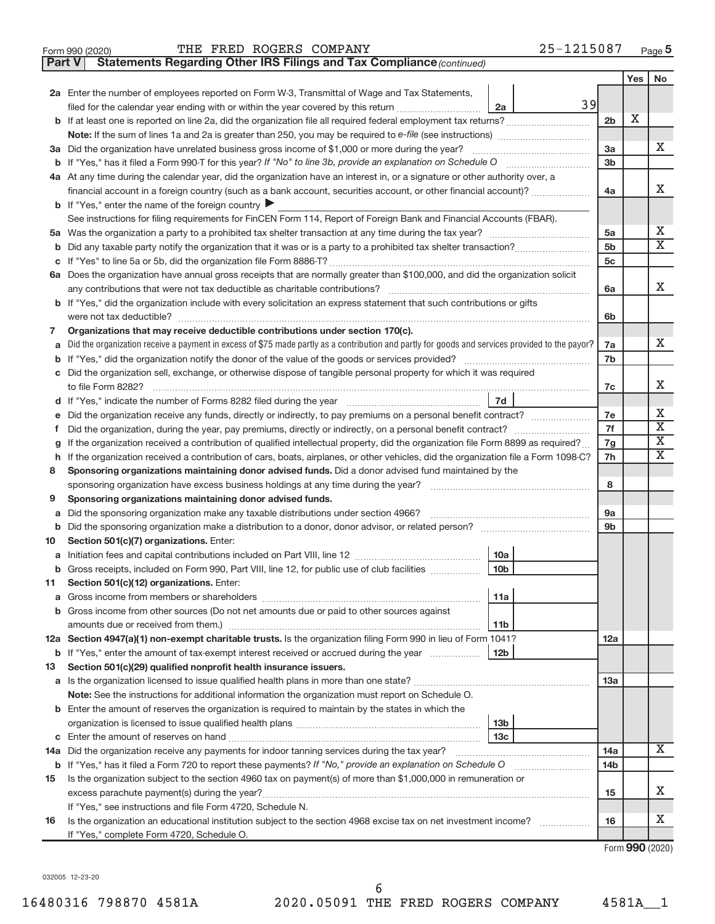| Form 990 (2020) | THE FRED ROGERS COMPANY | $-1215087$<br>Page |
|-----------------|-------------------------|--------------------|
|-----------------|-------------------------|--------------------|

**Part V Statements Regarding Other IRS Filings and Tax Compliance**

*(continued)*

|    |                                                                                                                                                                                                                                  |                 | Yes | <b>No</b>               |
|----|----------------------------------------------------------------------------------------------------------------------------------------------------------------------------------------------------------------------------------|-----------------|-----|-------------------------|
|    | 2a Enter the number of employees reported on Form W-3, Transmittal of Wage and Tax Statements,                                                                                                                                   |                 |     |                         |
|    | 39<br>filed for the calendar year ending with or within the year covered by this return <i>[[[[[[[[[[[[]]]</i> ]]<br>2a                                                                                                          |                 |     |                         |
|    |                                                                                                                                                                                                                                  | 2 <sub>b</sub>  | х   |                         |
|    |                                                                                                                                                                                                                                  |                 |     |                         |
|    | 3a Did the organization have unrelated business gross income of \$1,000 or more during the year?                                                                                                                                 | За              |     | X                       |
|    |                                                                                                                                                                                                                                  | 3 <sub>b</sub>  |     |                         |
|    | 4a At any time during the calendar year, did the organization have an interest in, or a signature or other authority over, a                                                                                                     |                 |     |                         |
|    | financial account in a foreign country (such as a bank account, securities account, or other financial account)?                                                                                                                 | 4a              |     | X                       |
|    | <b>b</b> If "Yes," enter the name of the foreign country $\triangleright$                                                                                                                                                        |                 |     |                         |
|    | See instructions for filing requirements for FinCEN Form 114, Report of Foreign Bank and Financial Accounts (FBAR).                                                                                                              |                 |     |                         |
|    |                                                                                                                                                                                                                                  | 5a              |     | X                       |
| b  |                                                                                                                                                                                                                                  | 5 <sub>b</sub>  |     | $\overline{\text{X}}$   |
|    |                                                                                                                                                                                                                                  | 5 <sub>c</sub>  |     |                         |
|    | 6a Does the organization have annual gross receipts that are normally greater than \$100,000, and did the organization solicit                                                                                                   |                 |     | X                       |
|    | any contributions that were not tax deductible as charitable contributions?                                                                                                                                                      | 6a              |     |                         |
|    | b If "Yes," did the organization include with every solicitation an express statement that such contributions or gifts                                                                                                           |                 |     |                         |
|    |                                                                                                                                                                                                                                  | 6b              |     |                         |
| 7  | Organizations that may receive deductible contributions under section 170(c).<br>Did the organization receive a payment in excess of \$75 made partly as a contribution and partly for goods and services provided to the payor? |                 |     | X.                      |
| a  |                                                                                                                                                                                                                                  | 7a<br>7b        |     |                         |
|    | c Did the organization sell, exchange, or otherwise dispose of tangible personal property for which it was required                                                                                                              |                 |     |                         |
|    | to file Form 8282?                                                                                                                                                                                                               | 7c              |     | X                       |
|    | 7d                                                                                                                                                                                                                               |                 |     |                         |
|    | Did the organization receive any funds, directly or indirectly, to pay premiums on a personal benefit contract?                                                                                                                  | 7e              |     | х                       |
| f  |                                                                                                                                                                                                                                  | 7f              |     | $\overline{\textbf{X}}$ |
| g  | If the organization received a contribution of qualified intellectual property, did the organization file Form 8899 as required?                                                                                                 | 7g              |     | $\overline{\mathbf{X}}$ |
| h  | If the organization received a contribution of cars, boats, airplanes, or other vehicles, did the organization file a Form 1098-C?                                                                                               | 7h              |     | $\overline{\text{X}}$   |
| 8  | Sponsoring organizations maintaining donor advised funds. Did a donor advised fund maintained by the                                                                                                                             |                 |     |                         |
|    |                                                                                                                                                                                                                                  | 8               |     |                         |
| 9  | Sponsoring organizations maintaining donor advised funds.                                                                                                                                                                        |                 |     |                         |
| a  | Did the sponsoring organization make any taxable distributions under section 4966?                                                                                                                                               | 9a              |     |                         |
| b  |                                                                                                                                                                                                                                  | 9 <sub>b</sub>  |     |                         |
| 10 | Section 501(c)(7) organizations. Enter:                                                                                                                                                                                          |                 |     |                         |
| а  | 10a                                                                                                                                                                                                                              |                 |     |                         |
| b  | 10 <sub>b</sub><br>Gross receipts, included on Form 990, Part VIII, line 12, for public use of club facilities                                                                                                                   |                 |     |                         |
| 11 | Section 501(c)(12) organizations. Enter:                                                                                                                                                                                         |                 |     |                         |
|    | 11a                                                                                                                                                                                                                              |                 |     |                         |
|    | b Gross income from other sources (Do not net amounts due or paid to other sources against                                                                                                                                       |                 |     |                         |
|    | 11b                                                                                                                                                                                                                              |                 |     |                         |
|    | 12a Section 4947(a)(1) non-exempt charitable trusts. Is the organization filing Form 990 in lieu of Form 1041?                                                                                                                   | 12a             |     |                         |
|    | 12 <sub>b</sub><br><b>b</b> If "Yes," enter the amount of tax-exempt interest received or accrued during the year<br>Section 501(c)(29) qualified nonprofit health insurance issuers.                                            |                 |     |                         |
| 13 |                                                                                                                                                                                                                                  | 13a             |     |                         |
|    | Note: See the instructions for additional information the organization must report on Schedule O.                                                                                                                                |                 |     |                         |
|    | <b>b</b> Enter the amount of reserves the organization is required to maintain by the states in which the                                                                                                                        |                 |     |                         |
|    | 13 <sub>b</sub>                                                                                                                                                                                                                  |                 |     |                         |
|    | 13 <sub>c</sub>                                                                                                                                                                                                                  |                 |     |                         |
|    | 14a Did the organization receive any payments for indoor tanning services during the tax year?                                                                                                                                   | 14a             |     | X                       |
|    | <b>b</b> If "Yes," has it filed a Form 720 to report these payments? If "No," provide an explanation on Schedule O                                                                                                               | 14 <sub>b</sub> |     |                         |
| 15 | Is the organization subject to the section 4960 tax on payment(s) of more than \$1,000,000 in remuneration or                                                                                                                    |                 |     |                         |
|    |                                                                                                                                                                                                                                  | 15              |     | X                       |
|    | If "Yes," see instructions and file Form 4720, Schedule N.                                                                                                                                                                       |                 |     |                         |
| 16 | Is the organization an educational institution subject to the section 4968 excise tax on net investment income?                                                                                                                  | 16              |     | х                       |
|    | If "Yes," complete Form 4720, Schedule O.                                                                                                                                                                                        |                 |     |                         |

Form (2020) **990**

032005 12-23-20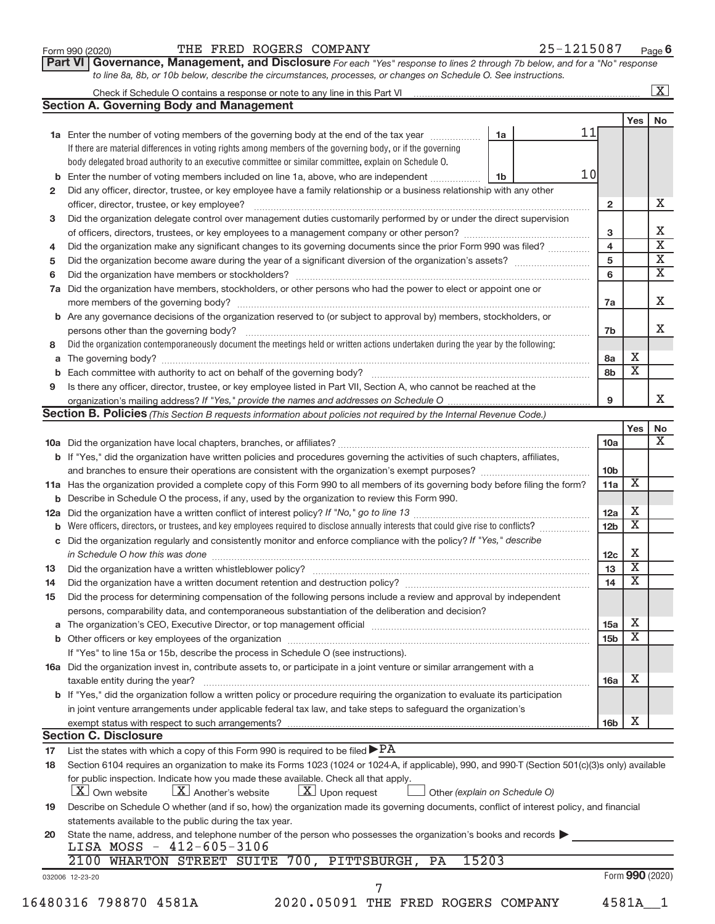| Form 990 (2020) |  |
|-----------------|--|
|-----------------|--|

# Form 990 (2020)  $\qquad$  THE FRED ROGERS COMPANY  $25-1215087$  Page

**Part VI** Governance, Management, and Disclosure For each "Yes" response to lines 2 through 7b below, and for a "No" response *to line 8a, 8b, or 10b below, describe the circumstances, processes, or changes on Schedule O. See instructions.*

|     |                                                                                                                                                                                                        |       |    |    |                         |                         | $\mathbf{X}$ |
|-----|--------------------------------------------------------------------------------------------------------------------------------------------------------------------------------------------------------|-------|----|----|-------------------------|-------------------------|--------------|
|     | <b>Section A. Governing Body and Management</b>                                                                                                                                                        |       |    |    |                         |                         |              |
|     |                                                                                                                                                                                                        |       |    |    |                         | Yes                     | No           |
|     | 1a Enter the number of voting members of the governing body at the end of the tax year                                                                                                                 |       | 1a | 11 |                         |                         |              |
|     | If there are material differences in voting rights among members of the governing body, or if the governing                                                                                            |       |    |    |                         |                         |              |
|     | body delegated broad authority to an executive committee or similar committee, explain on Schedule O.                                                                                                  |       |    |    |                         |                         |              |
| b   | Enter the number of voting members included on line 1a, above, who are independent                                                                                                                     |       | 1b | 10 |                         |                         |              |
| 2   | Did any officer, director, trustee, or key employee have a family relationship or a business relationship with any other                                                                               |       |    |    |                         |                         |              |
|     |                                                                                                                                                                                                        |       |    |    | $\overline{2}$          |                         |              |
| 3   | Did the organization delegate control over management duties customarily performed by or under the direct supervision                                                                                  |       |    |    |                         |                         |              |
|     |                                                                                                                                                                                                        |       |    |    | 3                       |                         |              |
| 4   | Did the organization make any significant changes to its governing documents since the prior Form 990 was filed?                                                                                       |       |    |    | $\overline{\mathbf{4}}$ |                         |              |
| 5   |                                                                                                                                                                                                        |       |    |    | 5                       |                         |              |
| 6   |                                                                                                                                                                                                        |       |    |    | 6                       |                         |              |
| 7a  | Did the organization have members, stockholders, or other persons who had the power to elect or appoint one or                                                                                         |       |    |    |                         |                         |              |
|     |                                                                                                                                                                                                        |       |    |    | 7a                      |                         |              |
| b   | Are any governance decisions of the organization reserved to (or subject to approval by) members, stockholders, or                                                                                     |       |    |    |                         |                         |              |
|     |                                                                                                                                                                                                        |       |    |    | 7b                      |                         |              |
| 8   | Did the organization contemporaneously document the meetings held or written actions undertaken during the year by the following:                                                                      |       |    |    |                         |                         |              |
| a   |                                                                                                                                                                                                        |       |    |    | 8a                      | Х                       |              |
| b   |                                                                                                                                                                                                        |       |    |    | 8b                      | $\overline{\mathbf{X}}$ |              |
| 9   | Is there any officer, director, trustee, or key employee listed in Part VII, Section A, who cannot be reached at the                                                                                   |       |    |    |                         |                         |              |
|     |                                                                                                                                                                                                        |       |    |    | 9                       |                         |              |
|     | Section B. Policies (This Section B requests information about policies not required by the Internal Revenue Code.)                                                                                    |       |    |    |                         |                         |              |
|     |                                                                                                                                                                                                        |       |    |    |                         | Yes                     |              |
|     |                                                                                                                                                                                                        |       |    |    | 10a                     |                         |              |
|     | <b>b</b> If "Yes," did the organization have written policies and procedures governing the activities of such chapters, affiliates,                                                                    |       |    |    |                         |                         |              |
|     |                                                                                                                                                                                                        |       |    |    | 10 <sub>b</sub>         |                         |              |
|     |                                                                                                                                                                                                        |       |    |    |                         | $\overline{\mathbf{X}}$ |              |
|     | 11a Has the organization provided a complete copy of this Form 990 to all members of its governing body before filing the form?                                                                        |       |    |    | 11a                     |                         |              |
|     | Describe in Schedule O the process, if any, used by the organization to review this Form 990.                                                                                                          |       |    |    |                         | х                       |              |
| 12a |                                                                                                                                                                                                        |       |    |    | 12a                     | $\overline{\mathbf{X}}$ |              |
|     | Were officers, directors, or trustees, and key employees required to disclose annually interests that could give rise to conflicts?                                                                    |       |    |    | 12 <sub>b</sub>         |                         |              |
| С   | Did the organization regularly and consistently monitor and enforce compliance with the policy? If "Yes," describe                                                                                     |       |    |    |                         | Х                       |              |
|     | in Schedule O how this was done manufactured and continuum and control of the state of the state of the state o                                                                                        |       |    |    | 12c                     | $\overline{\mathbf{X}}$ |              |
| 13  |                                                                                                                                                                                                        |       |    |    | 13                      | $\overline{\mathbf{X}}$ |              |
| 14  |                                                                                                                                                                                                        |       |    |    | 14                      |                         |              |
| 15  | Did the process for determining compensation of the following persons include a review and approval by independent                                                                                     |       |    |    |                         |                         |              |
|     | persons, comparability data, and contemporaneous substantiation of the deliberation and decision?                                                                                                      |       |    |    |                         |                         |              |
| а   |                                                                                                                                                                                                        |       |    |    | 15a                     | х                       |              |
|     |                                                                                                                                                                                                        |       |    |    | 15 <sub>b</sub>         | $\overline{\textbf{x}}$ |              |
|     | If "Yes" to line 15a or 15b, describe the process in Schedule O (see instructions).                                                                                                                    |       |    |    |                         |                         |              |
|     | 16a Did the organization invest in, contribute assets to, or participate in a joint venture or similar arrangement with a                                                                              |       |    |    |                         |                         |              |
|     | taxable entity during the year?                                                                                                                                                                        |       |    |    | 16a                     | х                       |              |
|     | b If "Yes," did the organization follow a written policy or procedure requiring the organization to evaluate its participation                                                                         |       |    |    |                         |                         |              |
|     | in joint venture arrangements under applicable federal tax law, and take steps to safeguard the organization's                                                                                         |       |    |    |                         |                         |              |
|     | exempt status with respect to such arrangements?                                                                                                                                                       |       |    |    | 16 <sub>b</sub>         | X                       |              |
|     | <b>Section C. Disclosure</b>                                                                                                                                                                           |       |    |    |                         |                         |              |
| 17  | List the states with which a copy of this Form 990 is required to be filed $\blacktriangleright$ PA                                                                                                    |       |    |    |                         |                         |              |
| 18  | Section 6104 requires an organization to make its Forms 1023 (1024 or 1024-A, if applicable), 990, and 990-T (Section 501(c)(3)s only) available                                                       |       |    |    |                         |                         |              |
|     | for public inspection. Indicate how you made these available. Check all that apply.<br>$X$ Upon request<br>$\lfloor x \rfloor$ Another's website<br>  X   Own website<br>Other (explain on Schedule O) |       |    |    |                         |                         |              |
| 19  | Describe on Schedule O whether (and if so, how) the organization made its governing documents, conflict of interest policy, and financial                                                              |       |    |    |                         |                         |              |
|     | statements available to the public during the tax year.                                                                                                                                                |       |    |    |                         |                         |              |
| 20  | State the name, address, and telephone number of the person who possesses the organization's books and records                                                                                         |       |    |    |                         |                         |              |
|     | LISA MOSS - 412-605-3106                                                                                                                                                                               |       |    |    |                         |                         |              |
|     | 2100 WHARTON STREET SUITE 700, PITTSBURGH,<br>PA                                                                                                                                                       | 15203 |    |    |                         |                         |              |
|     |                                                                                                                                                                                                        |       |    |    |                         | Form 990 (2020)         |              |
|     | 032006 12-23-20<br>7                                                                                                                                                                                   |       |    |    |                         |                         |              |
|     | 16480316 798870 4581A<br>2020.05091 THE FRED ROGERS COMPANY                                                                                                                                            |       |    |    |                         | 4581A                   |              |
|     |                                                                                                                                                                                                        |       |    |    |                         |                         |              |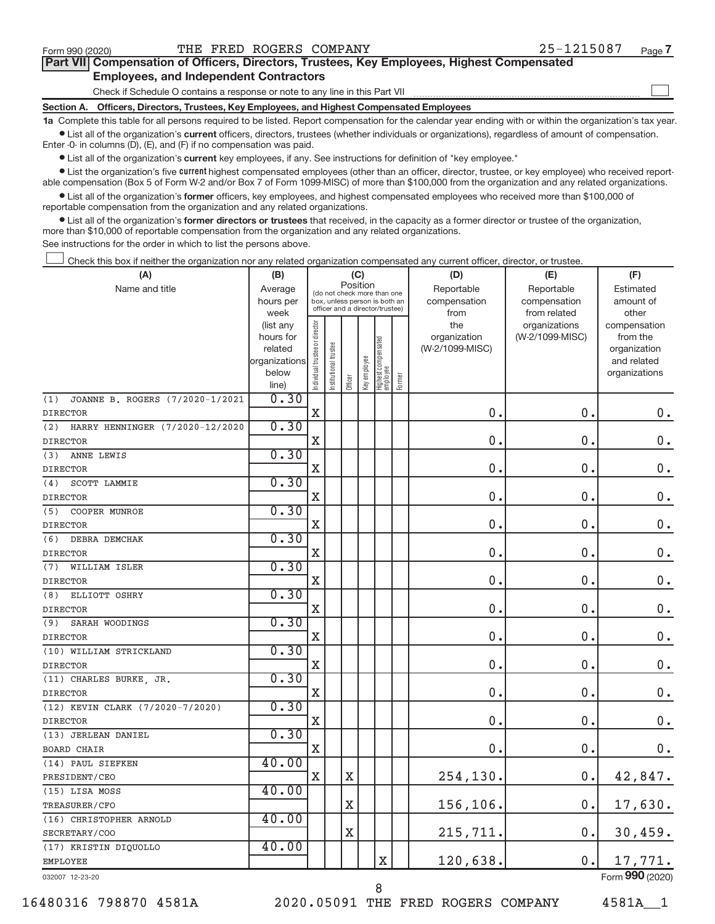$\begin{array}{c} \hline \end{array}$ 

| Part VII Compensation of Officers, Directors, Trustees, Key Employees, Highest Compensated |  |  |
|--------------------------------------------------------------------------------------------|--|--|
| <b>Employees, and Independent Contractors</b>                                              |  |  |

Check if Schedule O contains a response or note to any line in this Part VII

**Section A. Officers, Directors, Trustees, Key Employees, and Highest Compensated Employees**

**1a**  Complete this table for all persons required to be listed. Report compensation for the calendar year ending with or within the organization's tax year.  $\bullet$  List all of the organization's current officers, directors, trustees (whether individuals or organizations), regardless of amount of compensation.

Enter -0- in columns (D), (E), and (F) if no compensation was paid.

**•** List all of the organization's **current** key employees, if any. See instructions for definition of "key employee."

**Examber 1** List the organization's five *current* highest compensated employees (other than an officer, director, trustee, or key employee) who received reportable compensation (Box 5 of Form W-2 and/or Box 7 of Form 1099-MISC) of more than \$100,000 from the organization and any related organizations.

 $\bullet$  List all of the organization's former officers, key employees, and highest compensated employees who received more than \$100,000 of reportable compensation from the organization and any related organizations.

**•** List all of the organization's former directors or trustees that received, in the capacity as a former director or trustee of the organization, more than \$10,000 of reportable compensation from the organization and any related organizations.

See instructions for the order in which to list the persons above.

Check this box if neither the organization nor any related organization compensated any current officer, director, or trustee.  $\overline{\phantom{a}}$ 

| (A)                                    | (B)                      |                                |                                 | (C)         |              |                                   |        | (D)             | (E)             | (F)                         |
|----------------------------------------|--------------------------|--------------------------------|---------------------------------|-------------|--------------|-----------------------------------|--------|-----------------|-----------------|-----------------------------|
| Name and title                         | Average                  |                                | (do not check more than one     | Position    |              |                                   |        | Reportable      | Reportable      | Estimated                   |
|                                        | hours per                |                                | box, unless person is both an   |             |              |                                   |        | compensation    | compensation    | amount of                   |
|                                        | week                     |                                | officer and a director/trustee) |             |              |                                   |        | from            | from related    | other                       |
|                                        | (list any                |                                |                                 |             |              |                                   |        | the             | organizations   | compensation                |
|                                        | hours for                |                                |                                 |             |              |                                   |        | organization    | (W-2/1099-MISC) | from the                    |
|                                        | related<br>organizations |                                |                                 |             |              |                                   |        | (W-2/1099-MISC) |                 | organization<br>and related |
|                                        | below                    |                                |                                 |             |              |                                   |        |                 |                 | organizations               |
|                                        | line)                    | Individual trustee or director | nstitutional trustee            | Officer     | Key employee | Highest compensated<br>  employee | Former |                 |                 |                             |
| JOANNE B. ROGERS (7/2020-1/2021<br>(1) | 0.30                     |                                |                                 |             |              |                                   |        |                 |                 |                             |
| <b>DIRECTOR</b>                        |                          | X                              |                                 |             |              |                                   |        | 0.              | 0.              | 0.                          |
| HARRY HENNINGER (7/2020-12/2020<br>(2) | 0.30                     |                                |                                 |             |              |                                   |        |                 |                 |                             |
| <b>DIRECTOR</b>                        |                          | X                              |                                 |             |              |                                   |        | 0.              | 0.              | $0$ .                       |
| (3)<br>ANNE LEWIS                      | 0.30                     |                                |                                 |             |              |                                   |        |                 |                 |                             |
| <b>DIRECTOR</b>                        |                          | X                              |                                 |             |              |                                   |        | 0.              | 0.              | 0.                          |
| SCOTT LAMMIE<br>(4)                    | 0.30                     |                                |                                 |             |              |                                   |        |                 |                 |                             |
| <b>DIRECTOR</b>                        |                          | X                              |                                 |             |              |                                   |        | $\mathbf 0$     | 0.              | $0$ .                       |
| (5)<br>COOPER MUNROE                   | 0.30                     |                                |                                 |             |              |                                   |        |                 |                 |                             |
| <b>DIRECTOR</b>                        |                          | $\mathbf X$                    |                                 |             |              |                                   |        | $\mathbf 0$     | 0.              | 0.                          |
| <b>DEBRA DEMCHAK</b><br>(6)            | 0.30                     |                                |                                 |             |              |                                   |        |                 |                 |                             |
| <b>DIRECTOR</b>                        |                          | X                              |                                 |             |              |                                   |        | $\mathbf 0$     | 0.              | $0$ .                       |
| (7)<br>WILLIAM ISLER                   | 0.30                     |                                |                                 |             |              |                                   |        |                 |                 |                             |
| <b>DIRECTOR</b>                        |                          | $\mathbf X$                    |                                 |             |              |                                   |        | 0.              | 0.              | $0$ .                       |
| (8)<br>ELLIOTT OSHRY                   | 0.30                     |                                |                                 |             |              |                                   |        |                 |                 |                             |
| <b>DIRECTOR</b>                        |                          | X                              |                                 |             |              |                                   |        | 0.              | 0.              | $\mathbf 0$ .               |
| (9)<br>SARAH WOODINGS                  | 0.30                     |                                |                                 |             |              |                                   |        |                 |                 |                             |
| <b>DIRECTOR</b>                        |                          | X                              |                                 |             |              |                                   |        | $\mathbf 0$ .   | 0.              | $\mathbf 0$ .               |
| (10) WILLIAM STRICKLAND                | 0.30                     |                                |                                 |             |              |                                   |        |                 |                 |                             |
| <b>DIRECTOR</b>                        |                          | X                              |                                 |             |              |                                   |        | 0.              | 0.              | $0$ .                       |
| (11) CHARLES BURKE, JR.                | 0.30                     |                                |                                 |             |              |                                   |        |                 |                 |                             |
| <b>DIRECTOR</b>                        |                          | $\mathbf X$                    |                                 |             |              |                                   |        | $\mathbf 0$     | 0.              | $\mathbf 0$ .               |
| (12) KEVIN CLARK (7/2020-7/2020)       | 0.30                     |                                |                                 |             |              |                                   |        |                 |                 |                             |
| <b>DIRECTOR</b>                        |                          | $\mathbf X$                    |                                 |             |              |                                   |        | 0.              | 0.              | $0$ .                       |
| (13) JERLEAN DANIEL                    | 0.30                     |                                |                                 |             |              |                                   |        |                 |                 |                             |
| <b>BOARD CHAIR</b>                     |                          | $\mathbf X$                    |                                 |             |              |                                   |        | 0.              | 0.              | 0.                          |
| (14) PAUL SIEFKEN                      | 40.00                    |                                |                                 |             |              |                                   |        |                 |                 |                             |
| PRESIDENT/CEO                          |                          | $\mathbf X$                    |                                 | $\mathbf X$ |              |                                   |        | 254,130.        | 0.              | 42,847.                     |
| (15) LISA MOSS                         | 40.00                    |                                |                                 |             |              |                                   |        |                 |                 |                             |
| TREASURER/CFO                          |                          |                                |                                 | X           |              |                                   |        | 156,106.        | 0.              | 17,630.                     |
| (16) CHRISTOPHER ARNOLD                | 40.00                    |                                |                                 |             |              |                                   |        |                 |                 |                             |
| SECRETARY/COO                          |                          |                                |                                 | X           |              |                                   |        | 215,711.        | 0.              | 30,459.                     |
| (17) KRISTIN DIQUOLLO                  | 40.00                    |                                |                                 |             |              |                                   |        |                 |                 |                             |
| <b>EMPLOYEE</b>                        |                          |                                |                                 |             |              | X                                 |        | 120,638.        | 0.              | 17,771.                     |
| 032007 12-23-20                        |                          |                                |                                 |             |              |                                   |        |                 |                 | Form 990 (2020)             |

16480316 798870 4581A 2020.05091 THE FRED ROGERS COMPANY 4581A\_\_1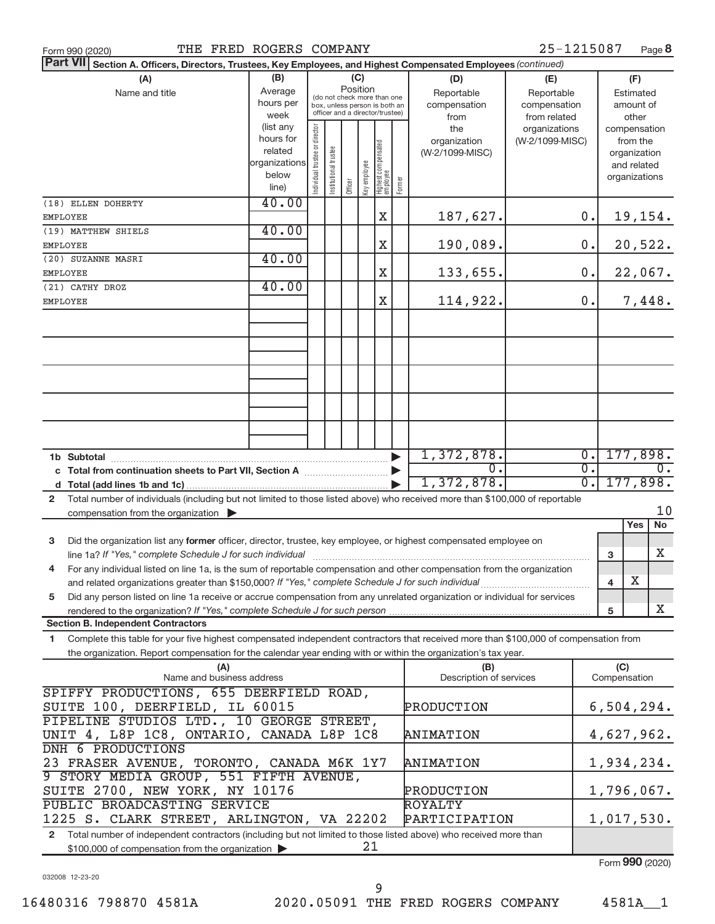| THE FRED ROGERS COMPANY<br>Form 990 (2020)                                                                                                                                                                                                                                           | 25-1215087<br>Page 8                                                     |
|--------------------------------------------------------------------------------------------------------------------------------------------------------------------------------------------------------------------------------------------------------------------------------------|--------------------------------------------------------------------------|
| <b>Part VII</b><br>Section A. Officers, Directors, Trustees, Key Employees, and Highest Compensated Employees (continued)                                                                                                                                                            |                                                                          |
| (B)<br>(C)<br>(A)<br>(D)<br>(E)<br>Position<br>Average<br>Name and title<br>Reportable<br>Reportable<br>(do not check more than one<br>hours per<br>compensation<br>compensation<br>box, unless person is both an<br>officer and a director/trustee)<br>week<br>from related<br>from | (F)<br>Estimated<br>amount of<br>other                                   |
| (list any<br>ndividual trustee or director<br>the<br>organizations<br>hours for<br>organization<br>(W-2/1099-MISC)<br>Highest compensated<br>employee<br>Institutional trustee<br>related<br>(W-2/1099-MISC)<br>organizations<br>key employee<br>below<br>Former<br>Officer<br>line) | compensation<br>from the<br>organization<br>and related<br>organizations |
| 40.00<br>(18) ELLEN DOHERTY<br>Χ<br>187,627.<br>EMPLOYEE                                                                                                                                                                                                                             | 19,154.<br>0.                                                            |
| 40.00<br>(19) MATTHEW SHIELS                                                                                                                                                                                                                                                         |                                                                          |
| 190,089.<br>Χ<br>EMPLOYEE                                                                                                                                                                                                                                                            | 20,522.<br>0.                                                            |
| 40.00<br>(20) SUZANNE MASRI<br>133,655.<br>X<br>EMPLOYEE                                                                                                                                                                                                                             | 22,067.<br>0.                                                            |
| 40.00<br>(21) CATHY DROZ                                                                                                                                                                                                                                                             |                                                                          |
| 114,922.<br>X<br>EMPLOYEE                                                                                                                                                                                                                                                            | 7,448.<br>Ο.                                                             |
|                                                                                                                                                                                                                                                                                      |                                                                          |
|                                                                                                                                                                                                                                                                                      |                                                                          |
|                                                                                                                                                                                                                                                                                      |                                                                          |
|                                                                                                                                                                                                                                                                                      |                                                                          |
|                                                                                                                                                                                                                                                                                      |                                                                          |
| 1,372,878.                                                                                                                                                                                                                                                                           | 177,898.<br>$\overline{0}$ .                                             |
| 0.<br>c Total from continuation sheets to Part VII, Section A [11, 11, 11, 12]<br>1,372,878.                                                                                                                                                                                         | $\overline{0}$ .<br>0.<br>$\overline{0}$ .<br>177,898.                   |
| Total number of individuals (including but not limited to those listed above) who received more than \$100,000 of reportable<br>$\mathbf{2}$                                                                                                                                         |                                                                          |
| compensation from the organization $\blacktriangleright$                                                                                                                                                                                                                             | 10                                                                       |
|                                                                                                                                                                                                                                                                                      | No<br>Yes                                                                |
| Did the organization list any former officer, director, trustee, key employee, or highest compensated employee on<br>3                                                                                                                                                               | X<br>3                                                                   |
| For any individual listed on line 1a, is the sum of reportable compensation and other compensation from the organization<br>4                                                                                                                                                        |                                                                          |
|                                                                                                                                                                                                                                                                                      | Х<br>$\overline{\mathbf{4}}$                                             |
| Did any person listed on line 1a receive or accrue compensation from any unrelated organization or individual for services<br>5                                                                                                                                                      |                                                                          |
| <b>Section B. Independent Contractors</b>                                                                                                                                                                                                                                            | X<br>$\,$ 5                                                              |
| Complete this table for your five highest compensated independent contractors that received more than \$100,000 of compensation from<br>1                                                                                                                                            |                                                                          |
| the organization. Report compensation for the calendar year ending with or within the organization's tax year.                                                                                                                                                                       |                                                                          |
| (A)<br>(B)<br>Name and business address<br>Description of services                                                                                                                                                                                                                   | (C)<br>Compensation                                                      |
| SPIFFY PRODUCTIONS, 655 DEERFIELD ROAD,<br>SUITE 100, DEERFIELD, IL 60015<br>PRODUCTION                                                                                                                                                                                              | 6,504,294.                                                               |
| PIPELINE STUDIOS LTD., 10 GEORGE STREET,<br>UNIT 4, L8P 1C8, ONTARIO, CANADA L8P 1C8<br><b>ANIMATION</b>                                                                                                                                                                             | 4,627,962.                                                               |
| DNH 6 PRODUCTIONS<br>23 FRASER AVENUE, TORONTO, CANADA M6K 1Y7<br><b>ANIMATION</b>                                                                                                                                                                                                   | 1,934,234.                                                               |
| 9 STORY MEDIA GROUP, 551 FIFTH AVENUE,                                                                                                                                                                                                                                               |                                                                          |
| SUITE 2700, NEW YORK, NY 10176<br>PRODUCTION<br>PUBLIC BROADCASTING SERVICE<br>ROYALTY                                                                                                                                                                                               | 1,796,067.                                                               |
| PARTICIPATION<br>1225 S. CLARK STREET, ARLINGTON, VA 22202                                                                                                                                                                                                                           | 1,017,530.                                                               |
| 2 Total number of independent contractors (including but not limited to those listed above) who received more than                                                                                                                                                                   |                                                                          |

032008 12-23-20

Form (2020) **990**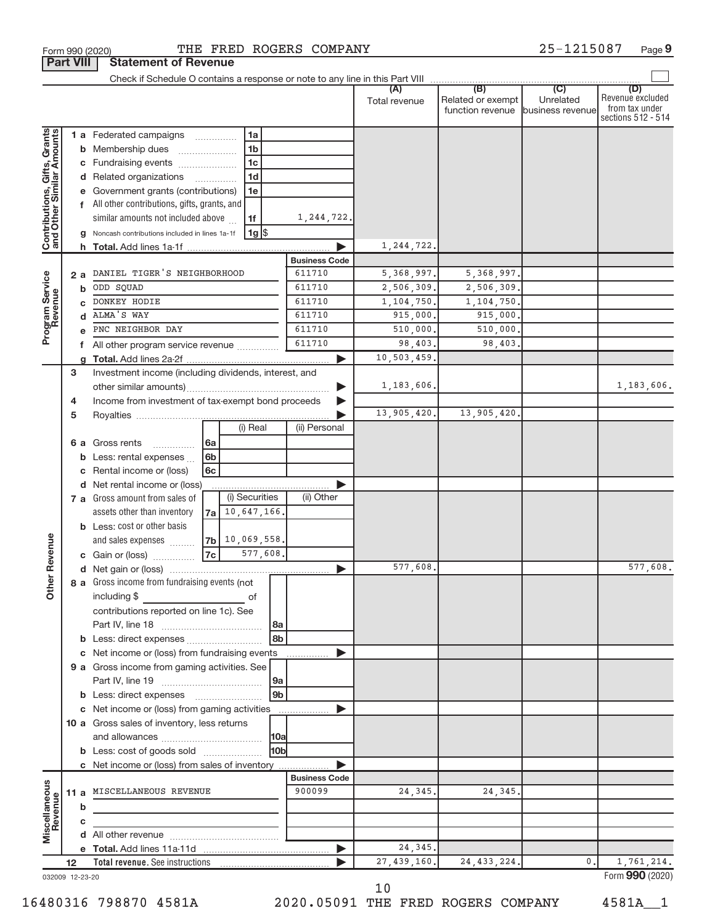|                                                           |    |        | THE FRED ROGERS COMPANY<br>Form 990 (2020)                       |                      |                        |                                                               | 25-1215087       | Page 9                                                          |
|-----------------------------------------------------------|----|--------|------------------------------------------------------------------|----------------------|------------------------|---------------------------------------------------------------|------------------|-----------------------------------------------------------------|
| <b>Part VIII</b>                                          |    |        | <b>Statement of Revenue</b>                                      |                      |                        |                                                               |                  |                                                                 |
|                                                           |    |        |                                                                  |                      |                        |                                                               |                  |                                                                 |
|                                                           |    |        |                                                                  |                      | (A)<br>Total revenue   | (B)<br>Related or exempt<br>function revenue business revenue | (C)<br>Unrelated | (D)<br>Revenue excluded<br>from tax under<br>sections 512 - 514 |
|                                                           |    |        | 1a<br>1 a Federated campaigns                                    |                      |                        |                                                               |                  |                                                                 |
|                                                           |    |        | 1 <sub>b</sub><br><b>b</b> Membership dues                       |                      |                        |                                                               |                  |                                                                 |
| Contributions, Gifts, Grants<br>and Other Similar Amounts |    |        | 1 <sub>c</sub><br>c Fundraising events                           |                      |                        |                                                               |                  |                                                                 |
|                                                           |    |        | 1 <sub>d</sub><br>d Related organizations<br>.                   |                      |                        |                                                               |                  |                                                                 |
|                                                           |    |        | Government grants (contributions)<br>1e                          |                      |                        |                                                               |                  |                                                                 |
|                                                           |    |        | f All other contributions, gifts, grants, and                    |                      |                        |                                                               |                  |                                                                 |
|                                                           |    |        | similar amounts not included above<br>1f                         | 1,244,722.           |                        |                                                               |                  |                                                                 |
|                                                           |    |        | $1g$ \$<br>Noncash contributions included in lines 1a-1f         |                      |                        |                                                               |                  |                                                                 |
|                                                           |    |        | h Total. Add lines 1a-1f                                         |                      | 1,244,722.             |                                                               |                  |                                                                 |
|                                                           |    |        |                                                                  | <b>Business Code</b> |                        |                                                               |                  |                                                                 |
|                                                           |    | 2 a    | DANIEL TIGER'S NEIGHBORHOOD                                      | 611710               | 5, 368, 997.           | 5, 368, 997.                                                  |                  |                                                                 |
|                                                           |    | b      | ODD SQUAD                                                        | 611710               | 2,506,309.             | 2,506,309.                                                    |                  |                                                                 |
| Program Service                                           |    |        | DONKEY HODIE                                                     | 611710               | 1,104,750.             | 1,104,750.                                                    |                  |                                                                 |
|                                                           |    |        | ALMA'S WAY                                                       | 611710               | 915,000.               | 915,000.                                                      |                  |                                                                 |
|                                                           |    |        | PNC NEIGHBOR DAY                                                 | 611710               | 510,000.               | 510,000.                                                      |                  |                                                                 |
|                                                           |    | f      | All other program service revenue                                | 611710               | 98,403.                | 98,403.                                                       |                  |                                                                 |
|                                                           |    | g      |                                                                  |                      | 10,503,459.            |                                                               |                  |                                                                 |
|                                                           | 3  |        | Investment income (including dividends, interest, and            |                      |                        |                                                               |                  |                                                                 |
|                                                           |    |        |                                                                  |                      | 1,183,606.             |                                                               |                  | 1,183,606.                                                      |
|                                                           | 4  |        | Income from investment of tax-exempt bond proceeds               |                      |                        |                                                               |                  |                                                                 |
|                                                           | 5  |        | (i) Real                                                         | (ii) Personal        | 13,905,420.            | 13,905,420.                                                   |                  |                                                                 |
|                                                           |    |        |                                                                  |                      |                        |                                                               |                  |                                                                 |
|                                                           |    | 6а     | Gross rents<br> 6a<br>.<br>6b                                    |                      |                        |                                                               |                  |                                                                 |
|                                                           |    | b      | Less: rental expenses<br>Rental income or (loss)<br>6c           |                      |                        |                                                               |                  |                                                                 |
|                                                           |    | c<br>d | Net rental income or (loss)                                      |                      |                        |                                                               |                  |                                                                 |
|                                                           |    |        | (i) Securities<br>7 a Gross amount from sales of                 | (ii) Other           |                        |                                                               |                  |                                                                 |
|                                                           |    |        | 7a 10, 647, 166.<br>assets other than inventory                  |                      |                        |                                                               |                  |                                                                 |
|                                                           |    |        | <b>b</b> Less: cost or other basis                               |                      |                        |                                                               |                  |                                                                 |
|                                                           |    |        | $ 7b $ 10,069,558.<br>and sales expenses                         |                      |                        |                                                               |                  |                                                                 |
| evenue                                                    |    |        | 7c<br>577,608.<br>c Gain or (loss)                               |                      |                        |                                                               |                  |                                                                 |
|                                                           |    |        |                                                                  |                      | 577,608.               |                                                               |                  | 577,608.                                                        |
| Other <sub>R</sub>                                        |    |        | 8 a Gross income from fundraising events (not                    |                      |                        |                                                               |                  |                                                                 |
|                                                           |    |        | including \$<br>of                                               |                      |                        |                                                               |                  |                                                                 |
|                                                           |    |        | contributions reported on line 1c). See                          |                      |                        |                                                               |                  |                                                                 |
|                                                           |    |        | l 8a                                                             |                      |                        |                                                               |                  |                                                                 |
|                                                           |    |        | 8 <sub>b</sub>                                                   |                      |                        |                                                               |                  |                                                                 |
|                                                           |    |        | c Net income or (loss) from fundraising events                   |                      |                        |                                                               |                  |                                                                 |
|                                                           |    |        | 9 a Gross income from gaming activities. See                     |                      |                        |                                                               |                  |                                                                 |
|                                                           |    |        | 9a                                                               |                      |                        |                                                               |                  |                                                                 |
|                                                           |    |        | 9 <sub>b</sub><br><b>b</b> Less: direct expenses <b>manually</b> |                      |                        |                                                               |                  |                                                                 |
|                                                           |    |        | c Net income or (loss) from gaming activities                    |                      |                        |                                                               |                  |                                                                 |
|                                                           |    |        | 10 a Gross sales of inventory, less returns                      |                      |                        |                                                               |                  |                                                                 |
|                                                           |    |        | <b>10a</b>                                                       |                      |                        |                                                               |                  |                                                                 |
|                                                           |    |        | 10 <sub>b</sub><br><b>b</b> Less: cost of goods sold             |                      |                        |                                                               |                  |                                                                 |
|                                                           |    |        | c Net income or (loss) from sales of inventory                   |                      |                        |                                                               |                  |                                                                 |
|                                                           |    |        |                                                                  | <b>Business Code</b> |                        |                                                               |                  |                                                                 |
|                                                           |    |        | 11 a MISCELLANEOUS REVENUE                                       | 900099               | 24,345.                | 24, 345,                                                      |                  |                                                                 |
| Miscellaneous<br>Revenue                                  |    | b      |                                                                  |                      |                        |                                                               |                  |                                                                 |
|                                                           |    | c      |                                                                  |                      |                        |                                                               |                  |                                                                 |
|                                                           |    |        |                                                                  |                      |                        |                                                               |                  |                                                                 |
|                                                           |    |        |                                                                  |                      | 24,345.<br>27,439,160. |                                                               | 0.               |                                                                 |
|                                                           | 12 |        |                                                                  |                      |                        | 24, 433, 224.                                                 |                  | 1,761,214.<br>Form 990 (2020)                                   |
| 032009 12-23-20                                           |    |        |                                                                  |                      |                        |                                                               |                  |                                                                 |

10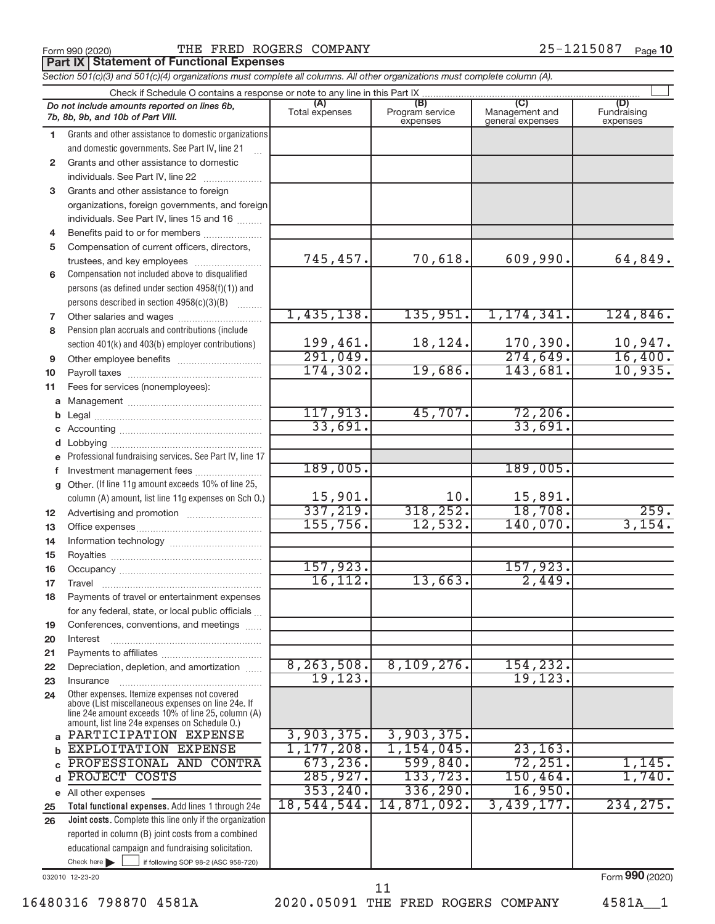**Part IX Statement of Functional Expenses**

# Form 990 (2020)  $\qquad$  THE FRED ROGERS COMPANY  $25-1215087$  Page

|          | Section 501(c)(3) and 501(c)(4) organizations must complete all columns. All other organizations must complete column (A).                                 |                       |                                    |                                           |                                |
|----------|------------------------------------------------------------------------------------------------------------------------------------------------------------|-----------------------|------------------------------------|-------------------------------------------|--------------------------------|
|          | Check if Schedule O contains a response or note to any line in this Part IX.                                                                               |                       |                                    |                                           |                                |
|          | Do not include amounts reported on lines 6b,<br>7b, 8b, 9b, and 10b of Part VIII.                                                                          | (A)<br>Total expenses | (B)<br>Program service<br>expenses | (C)<br>Management and<br>general expenses | (D)<br>Fundraising<br>expenses |
| 1.       | Grants and other assistance to domestic organizations                                                                                                      |                       |                                    |                                           |                                |
|          | and domestic governments. See Part IV, line 21                                                                                                             |                       |                                    |                                           |                                |
| 2        | Grants and other assistance to domestic                                                                                                                    |                       |                                    |                                           |                                |
|          | individuals. See Part IV, line 22                                                                                                                          |                       |                                    |                                           |                                |
| 3        | Grants and other assistance to foreign                                                                                                                     |                       |                                    |                                           |                                |
|          | organizations, foreign governments, and foreign                                                                                                            |                       |                                    |                                           |                                |
|          | individuals. See Part IV, lines 15 and 16                                                                                                                  |                       |                                    |                                           |                                |
| 4        | Benefits paid to or for members                                                                                                                            |                       |                                    |                                           |                                |
| 5        | Compensation of current officers, directors,                                                                                                               |                       |                                    |                                           |                                |
|          | trustees, and key employees                                                                                                                                | 745,457.              | 70,618.                            | 609,990.                                  | 64,849.                        |
| 6        | Compensation not included above to disqualified                                                                                                            |                       |                                    |                                           |                                |
|          | persons (as defined under section 4958(f)(1)) and                                                                                                          |                       |                                    |                                           |                                |
|          | persons described in section 4958(c)(3)(B)                                                                                                                 |                       |                                    |                                           |                                |
| 7        |                                                                                                                                                            | 1,435,138.            | 135,951.                           | 1, 174, 341.                              | 124,846.                       |
| 8        | Pension plan accruals and contributions (include                                                                                                           |                       |                                    |                                           |                                |
|          | section 401(k) and 403(b) employer contributions)                                                                                                          | 199,461.              | 18,124.                            | 170,390.                                  | $\frac{10,947.}{16,400.}$      |
| 9        |                                                                                                                                                            | 291,049.              |                                    | 274,649.                                  |                                |
| 10       |                                                                                                                                                            | 174,302.              | 19,686.                            | 143,681.                                  | 10,935.                        |
| 11       | Fees for services (nonemployees):                                                                                                                          |                       |                                    |                                           |                                |
|          |                                                                                                                                                            |                       |                                    |                                           |                                |
|          |                                                                                                                                                            | 117,913.              | 45,707.                            | 72, 206.                                  |                                |
|          |                                                                                                                                                            | 33,691.               |                                    | 33,691.                                   |                                |
|          |                                                                                                                                                            |                       |                                    |                                           |                                |
|          | e Professional fundraising services. See Part IV, line 17                                                                                                  |                       |                                    |                                           |                                |
|          | Investment management fees                                                                                                                                 | 189,005.              |                                    | 189,005.                                  |                                |
| a        | Other. (If line 11g amount exceeds 10% of line 25,                                                                                                         |                       |                                    |                                           |                                |
|          | column (A) amount, list line 11g expenses on Sch O.)                                                                                                       | 15,901.               | 10.                                | 15,891.                                   |                                |
| 12       |                                                                                                                                                            | 337,219.              | 318, 252.                          | 18,708.                                   | 259.<br>3,154.                 |
| 13       |                                                                                                                                                            | 155,756.              | 12,532.                            | 140,070.                                  |                                |
| 14       |                                                                                                                                                            |                       |                                    |                                           |                                |
| 15       |                                                                                                                                                            | 157,923.              |                                    |                                           |                                |
| 16       |                                                                                                                                                            | 16, 112.              | 13,663.                            | 157,923.<br>2,449.                        |                                |
| 17       |                                                                                                                                                            |                       |                                    |                                           |                                |
| 18       | Payments of travel or entertainment expenses                                                                                                               |                       |                                    |                                           |                                |
|          | for any federal, state, or local public officials                                                                                                          |                       |                                    |                                           |                                |
| 19       | Conferences, conventions, and meetings                                                                                                                     |                       |                                    |                                           |                                |
| 20       | Interest                                                                                                                                                   |                       |                                    |                                           |                                |
| 21<br>22 | Depreciation, depletion, and amortization                                                                                                                  | 8, 263, 508.          | 8,109,276.                         | 154,232.                                  |                                |
| 23       | Insurance                                                                                                                                                  | 19, 123.              |                                    | 19, 123.                                  |                                |
| 24       | Other expenses. Itemize expenses not covered                                                                                                               |                       |                                    |                                           |                                |
|          | above (List miscellaneous expenses on line 24e. If<br>line 24e amount exceeds 10% of line 25, column (A)<br>amount, list line 24e expenses on Schedule O.) |                       |                                    |                                           |                                |
| a        | PARTICIPATION EXPENSE                                                                                                                                      | 3,903,375.            | 3,903,375.                         |                                           |                                |
| b        | EXPLOITATION EXPENSE                                                                                                                                       | 1, 177, 208.          | 1,154,045.                         | 23, 163.                                  |                                |
|          | PROFESSIONAL AND CONTRA                                                                                                                                    | 673, 236.             | 599,840.                           | 72, 251.                                  | 1,145.                         |
| d        | PROJECT COSTS                                                                                                                                              | 285,927.              | 133,723.                           | 150, 464.                                 | 1,740.                         |
|          | e All other expenses                                                                                                                                       | 353, 240.             | 336, 290.                          | 16,950.                                   |                                |
| 25       | Total functional expenses. Add lines 1 through 24e                                                                                                         | 18,544,544.           | 14,871,092.                        | 3,439,177.                                | 234, 275.                      |
| 26       | Joint costs. Complete this line only if the organization                                                                                                   |                       |                                    |                                           |                                |
|          | reported in column (B) joint costs from a combined                                                                                                         |                       |                                    |                                           |                                |
|          | educational campaign and fundraising solicitation.                                                                                                         |                       |                                    |                                           |                                |
|          | Check here $\blacktriangleright$<br>if following SOP 98-2 (ASC 958-720)                                                                                    |                       |                                    |                                           |                                |

032010 12-23-20

Form (2020) **990**

16480316 798870 4581A 2020.05091 THE FRED ROGERS COMPANY 4581A\_\_1

 <sup>11</sup>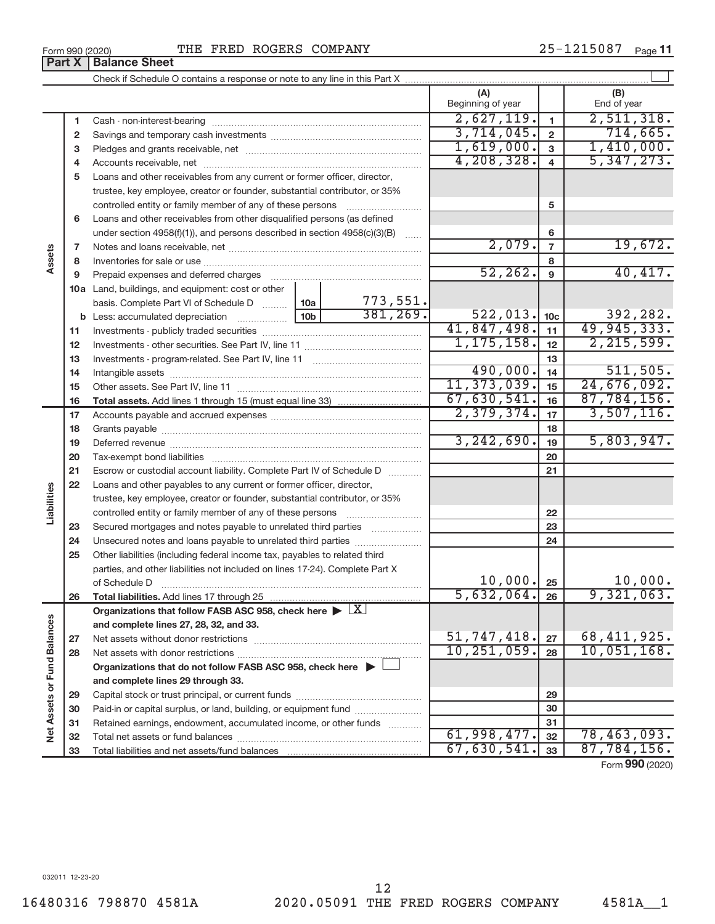| 25-1215087 | Page 11 |
|------------|---------|
|            |         |

| Part X                      |          | <b>Balance Sheet</b>                                                                              |                 |                         |                             |                         |                             |
|-----------------------------|----------|---------------------------------------------------------------------------------------------------|-----------------|-------------------------|-----------------------------|-------------------------|-----------------------------|
|                             |          |                                                                                                   |                 |                         |                             |                         |                             |
|                             |          |                                                                                                   |                 |                         | (A)<br>Beginning of year    |                         | (B)<br>End of year          |
|                             | 1        |                                                                                                   | 2,627,119.      | $\mathbf{1}$            | 2,511,318.                  |                         |                             |
|                             | 2        |                                                                                                   | 3,714,045.      | $\overline{\mathbf{2}}$ | 714,665.                    |                         |                             |
|                             | 3        |                                                                                                   | 1,619,000.      | 3                       | 1,410,000.                  |                         |                             |
|                             | 4        |                                                                                                   |                 |                         | 4, 208, 328.                | $\overline{\mathbf{4}}$ | 5,347,273.                  |
|                             | 5        | Loans and other receivables from any current or former officer, director,                         |                 |                         |                             |                         |                             |
|                             |          | trustee, key employee, creator or founder, substantial contributor, or 35%                        |                 |                         |                             |                         |                             |
|                             |          | controlled entity or family member of any of these persons                                        |                 | 5                       |                             |                         |                             |
|                             | 6        | Loans and other receivables from other disqualified persons (as defined                           |                 |                         |                             |                         |                             |
|                             |          | under section $4958(f)(1)$ , and persons described in section $4958(c)(3)(B)$                     |                 | <b>Service</b>          |                             | 6                       |                             |
|                             | 7        |                                                                                                   |                 |                         | 2,079.                      | $\overline{7}$          | 19,672.                     |
| Assets                      | 8        |                                                                                                   |                 |                         |                             | 8                       |                             |
|                             | 9        |                                                                                                   |                 |                         | 52, 262.                    | 9                       | 40,417.                     |
|                             |          | <b>10a</b> Land, buildings, and equipment: cost or other                                          |                 |                         |                             |                         |                             |
|                             |          | basis. Complete Part VI of Schedule D                                                             | 10a             | 773,551.                |                             |                         |                             |
|                             |          |                                                                                                   | 10 <sub>b</sub> | 381, 269.               | 522,013.                    | 10 <sub>c</sub>         | 392,282.                    |
|                             | 11       |                                                                                                   |                 |                         | 41,847,498.<br>1, 175, 158. | 11                      | 49,945,333.<br>2, 215, 599. |
|                             | 12       |                                                                                                   |                 |                         |                             | 12                      |                             |
|                             | 13       |                                                                                                   |                 |                         | 490,000.                    | 13                      | 511,505.                    |
|                             | 14       |                                                                                                   | 11, 373, 039.   | 14<br>15                | 24,676,092.                 |                         |                             |
|                             | 15<br>16 |                                                                                                   |                 |                         | 67,630,541.                 | 16                      | 87,784,156.                 |
|                             | 17       |                                                                                                   |                 |                         | 2,379,374.                  | 17                      | 3,507,116.                  |
|                             | 18       |                                                                                                   |                 |                         |                             | 18                      |                             |
|                             | 19       |                                                                                                   |                 |                         | 3, 242, 690.                | 19                      | 5,803,947.                  |
|                             | 20       |                                                                                                   |                 |                         |                             | 20                      |                             |
|                             | 21       | Escrow or custodial account liability. Complete Part IV of Schedule D                             |                 |                         |                             | 21                      |                             |
|                             | 22       | Loans and other payables to any current or former officer, director,                              |                 |                         |                             |                         |                             |
| Liabilities                 |          | trustee, key employee, creator or founder, substantial contributor, or 35%                        |                 |                         |                             |                         |                             |
|                             |          |                                                                                                   |                 |                         |                             | 22                      |                             |
|                             | 23       | Secured mortgages and notes payable to unrelated third parties <i>manumum</i>                     |                 |                         |                             | 23                      |                             |
|                             | 24       |                                                                                                   |                 |                         |                             | 24                      |                             |
|                             | 25       | Other liabilities (including federal income tax, payables to related third                        |                 |                         |                             |                         |                             |
|                             |          | parties, and other liabilities not included on lines 17-24). Complete Part X                      |                 |                         |                             |                         |                             |
|                             |          | of Schedule D                                                                                     |                 |                         | 10,000.                     | 25                      | 10,000.                     |
|                             | 26       | Total liabilities. Add lines 17 through 25                                                        |                 |                         | 5,632,064.                  | 26                      | 9,321,063.                  |
|                             |          | Organizations that follow FASB ASC 958, check here $\triangleright \lfloor \underline{X} \rfloor$ |                 |                         |                             |                         |                             |
|                             |          | and complete lines 27, 28, 32, and 33.                                                            |                 |                         | 51,747,418.                 |                         | 68,411,925.                 |
|                             | 27       |                                                                                                   |                 |                         | 10, 251, 059.               | 27<br>28                | 10,051,168.                 |
|                             | 28       | Organizations that do not follow FASB ASC 958, check here $\blacktriangleright$                   |                 |                         |                             |                         |                             |
|                             |          | and complete lines 29 through 33.                                                                 |                 |                         |                             |                         |                             |
|                             | 29       |                                                                                                   |                 |                         |                             | 29                      |                             |
| Net Assets or Fund Balances | 30       | Paid-in or capital surplus, or land, building, or equipment fund                                  |                 |                         |                             | 30                      |                             |
|                             |          |                                                                                                   |                 |                         |                             | 31                      |                             |
|                             | 31       |                                                                                                   |                 |                         |                             |                         |                             |
|                             | 32       | Retained earnings, endowment, accumulated income, or other funds                                  |                 |                         | 61,998,477.                 | 32                      | 78,463,093.                 |

Form (2020) **990**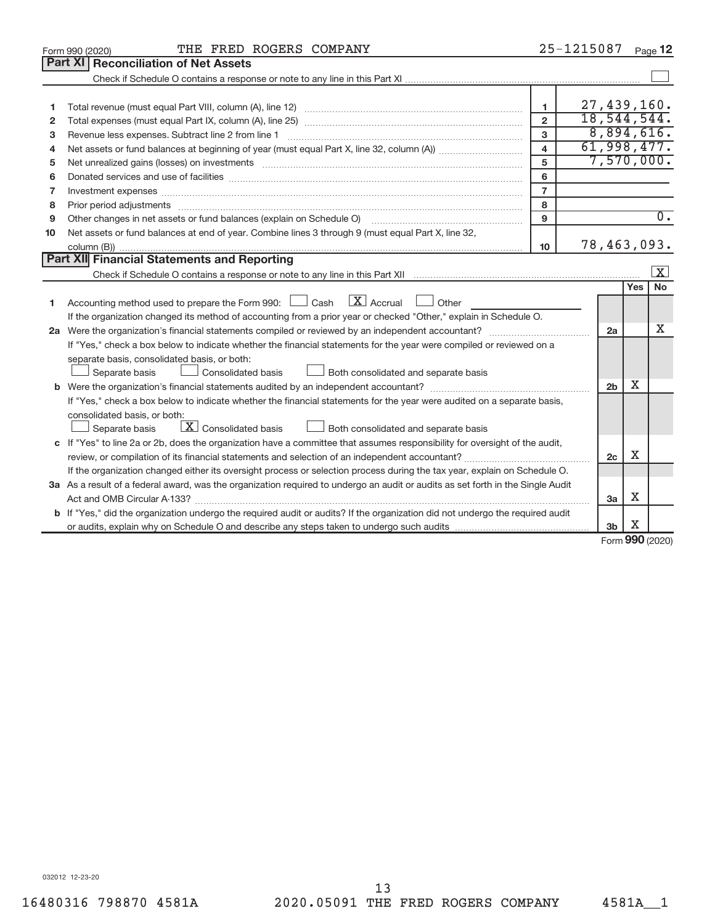|                | THE FRED ROGERS COMPANY<br>Form 990 (2020)                                                                                                                                                                                     |                         | 25-1215087    |                |             | Page 12                 |
|----------------|--------------------------------------------------------------------------------------------------------------------------------------------------------------------------------------------------------------------------------|-------------------------|---------------|----------------|-------------|-------------------------|
|                | Part XI   Reconciliation of Net Assets                                                                                                                                                                                         |                         |               |                |             |                         |
|                |                                                                                                                                                                                                                                |                         |               |                |             |                         |
|                |                                                                                                                                                                                                                                |                         |               |                |             |                         |
| 1              |                                                                                                                                                                                                                                | $\mathbf{1}$            | 27,439,160.   |                |             |                         |
| $\overline{2}$ |                                                                                                                                                                                                                                | $\overline{2}$          | 18, 544, 544. |                |             |                         |
| з              | Revenue less expenses. Subtract line 2 from line 1                                                                                                                                                                             | 3                       |               |                |             | 8,894,616.              |
| 4              |                                                                                                                                                                                                                                | $\overline{\mathbf{4}}$ | 61,998,477.   |                |             |                         |
| 5              | Net unrealized gains (losses) on investments [11] matter than the control of the state of the state of the state of the state of the state of the state of the state of the state of the state of the state of the state of th | 5                       |               |                |             | 7,570,000.              |
| 6              |                                                                                                                                                                                                                                | 6                       |               |                |             |                         |
| 7              | Investment expenses www.communication.com/multiple/expenses/communications/communications/communications/                                                                                                                      | $\overline{7}$          |               |                |             |                         |
| 8              |                                                                                                                                                                                                                                | 8                       |               |                |             |                         |
| 9              |                                                                                                                                                                                                                                | 9                       |               |                |             | $\overline{0}$ .        |
| 10             | Net assets or fund balances at end of year. Combine lines 3 through 9 (must equal Part X, line 32,                                                                                                                             |                         |               |                |             |                         |
|                |                                                                                                                                                                                                                                | 10                      | 78,463,093.   |                |             |                         |
|                | Part XII Financial Statements and Reporting                                                                                                                                                                                    |                         |               |                |             |                         |
|                |                                                                                                                                                                                                                                |                         |               |                |             | $\overline{\mathbf{x}}$ |
|                |                                                                                                                                                                                                                                |                         |               |                | <b>Yes</b>  | <b>No</b>               |
| 1              | Accounting method used to prepare the Form 990: $\Box$ Cash $\Box$ Accrual $\Box$ Other                                                                                                                                        |                         |               |                |             |                         |
|                | If the organization changed its method of accounting from a prior year or checked "Other," explain in Schedule O.                                                                                                              |                         |               |                |             |                         |
|                |                                                                                                                                                                                                                                |                         |               | 2a             |             | X                       |
|                | If "Yes," check a box below to indicate whether the financial statements for the year were compiled or reviewed on a                                                                                                           |                         |               |                |             |                         |
|                | separate basis, consolidated basis, or both:                                                                                                                                                                                   |                         |               |                |             |                         |
|                | Both consolidated and separate basis<br>Separate basis<br>Consolidated basis                                                                                                                                                   |                         |               |                |             |                         |
|                |                                                                                                                                                                                                                                |                         |               | 2 <sub>b</sub> | x           |                         |
|                | If "Yes," check a box below to indicate whether the financial statements for the year were audited on a separate basis,                                                                                                        |                         |               |                |             |                         |
|                | consolidated basis, or both:                                                                                                                                                                                                   |                         |               |                |             |                         |
|                | $\lfloor \mathbf{X} \rfloor$ Consolidated basis<br>Both consolidated and separate basis<br>Separate basis                                                                                                                      |                         |               |                |             |                         |
|                | c If "Yes" to line 2a or 2b, does the organization have a committee that assumes responsibility for oversight of the audit,                                                                                                    |                         |               |                |             |                         |
|                |                                                                                                                                                                                                                                |                         |               | 2c             | X           |                         |
|                | If the organization changed either its oversight process or selection process during the tax year, explain on Schedule O.                                                                                                      |                         |               |                |             |                         |
|                | 3a As a result of a federal award, was the organization required to undergo an audit or audits as set forth in the Single Audit                                                                                                |                         |               |                |             |                         |
|                |                                                                                                                                                                                                                                |                         |               | 3a             | х           |                         |
|                | <b>b</b> If "Yes," did the organization undergo the required audit or audits? If the organization did not undergo the required audit                                                                                           |                         |               |                |             |                         |
|                |                                                                                                                                                                                                                                |                         |               | 3 <sub>b</sub> | X<br>$\sim$ |                         |

Form (2020) **990**

032012 12-23-20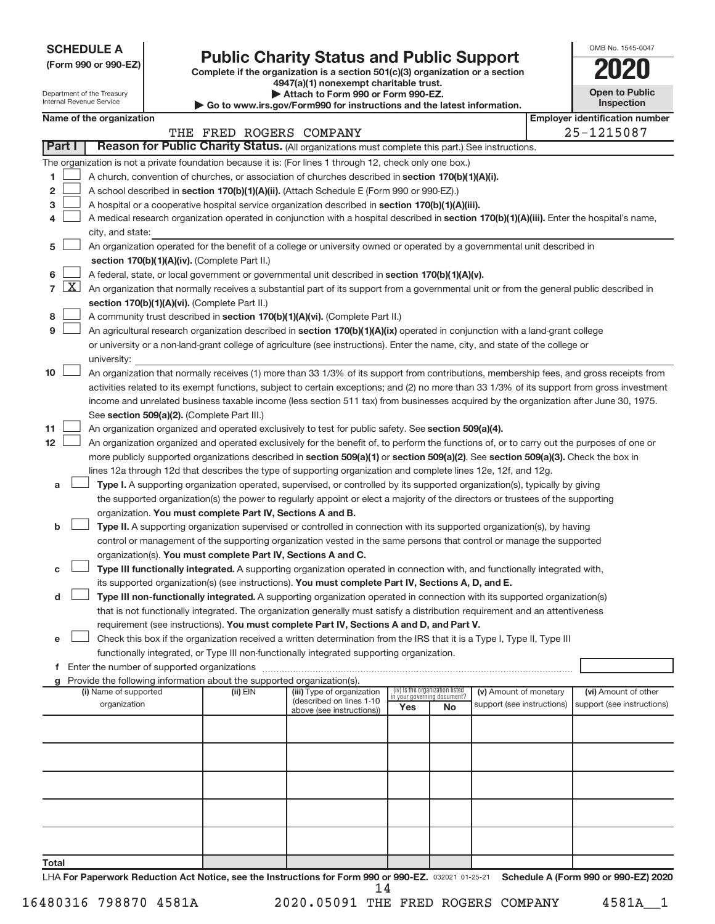**SCHEDULE A**

| (Form 990 or 990-EZ) |  |  |  |  |
|----------------------|--|--|--|--|
|----------------------|--|--|--|--|

Department of the Treasury

# **(Form 990 or 990-EZ) Complete if the organization is a section 501(c)(3) organization or a section Public Charity Status and Public Support 2020**

**4947(a)(1) nonexempt charitable trust. | Attach to Form 990 or Form 990-EZ.** 

| <b>Open to Public</b><br>Inspection |
|-------------------------------------|
| r identification numbe              |

OMB No. 1545-0047

| Internal Revenue Service<br>Inspection<br>Go to www.irs.gov/Form990 for instructions and the latest information. |  |                          |                                               |  |          |                                                                                                                                                                                                                          |     |                                                                |                            |  |                                                                                                                                              |
|------------------------------------------------------------------------------------------------------------------|--|--------------------------|-----------------------------------------------|--|----------|--------------------------------------------------------------------------------------------------------------------------------------------------------------------------------------------------------------------------|-----|----------------------------------------------------------------|----------------------------|--|----------------------------------------------------------------------------------------------------------------------------------------------|
|                                                                                                                  |  | Name of the organization |                                               |  |          |                                                                                                                                                                                                                          |     |                                                                |                            |  | <b>Employer identification number</b>                                                                                                        |
|                                                                                                                  |  |                          |                                               |  |          | THE FRED ROGERS COMPANY                                                                                                                                                                                                  |     |                                                                |                            |  | 25-1215087                                                                                                                                   |
| Part I                                                                                                           |  |                          |                                               |  |          | Reason for Public Charity Status. (All organizations must complete this part.) See instructions.                                                                                                                         |     |                                                                |                            |  |                                                                                                                                              |
|                                                                                                                  |  |                          |                                               |  |          | The organization is not a private foundation because it is: (For lines 1 through 12, check only one box.)                                                                                                                |     |                                                                |                            |  |                                                                                                                                              |
| 1.                                                                                                               |  |                          |                                               |  |          | A church, convention of churches, or association of churches described in section 170(b)(1)(A)(i).                                                                                                                       |     |                                                                |                            |  |                                                                                                                                              |
| $\mathbf{2}$                                                                                                     |  |                          |                                               |  |          | A school described in section 170(b)(1)(A)(ii). (Attach Schedule E (Form 990 or 990-EZ).)                                                                                                                                |     |                                                                |                            |  |                                                                                                                                              |
| 3                                                                                                                |  |                          |                                               |  |          | A hospital or a cooperative hospital service organization described in section 170(b)(1)(A)(iii).                                                                                                                        |     |                                                                |                            |  |                                                                                                                                              |
| 4                                                                                                                |  |                          |                                               |  |          |                                                                                                                                                                                                                          |     |                                                                |                            |  | A medical research organization operated in conjunction with a hospital described in section 170(b)(1)(A)(iii). Enter the hospital's name,   |
|                                                                                                                  |  | city, and state:         |                                               |  |          |                                                                                                                                                                                                                          |     |                                                                |                            |  |                                                                                                                                              |
| 5                                                                                                                |  |                          |                                               |  |          | An organization operated for the benefit of a college or university owned or operated by a governmental unit described in                                                                                                |     |                                                                |                            |  |                                                                                                                                              |
|                                                                                                                  |  |                          | section 170(b)(1)(A)(iv). (Complete Part II.) |  |          |                                                                                                                                                                                                                          |     |                                                                |                            |  |                                                                                                                                              |
| 6<br>$7 \mid X \mid$                                                                                             |  |                          |                                               |  |          | A federal, state, or local government or governmental unit described in section 170(b)(1)(A)(v).                                                                                                                         |     |                                                                |                            |  |                                                                                                                                              |
|                                                                                                                  |  |                          |                                               |  |          | An organization that normally receives a substantial part of its support from a governmental unit or from the general public described in                                                                                |     |                                                                |                            |  |                                                                                                                                              |
| 8                                                                                                                |  |                          | section 170(b)(1)(A)(vi). (Complete Part II.) |  |          |                                                                                                                                                                                                                          |     |                                                                |                            |  |                                                                                                                                              |
| 9                                                                                                                |  |                          |                                               |  |          | A community trust described in section 170(b)(1)(A)(vi). (Complete Part II.)<br>An agricultural research organization described in section 170(b)(1)(A)(ix) operated in conjunction with a land-grant college            |     |                                                                |                            |  |                                                                                                                                              |
|                                                                                                                  |  |                          |                                               |  |          | or university or a non-land-grant college of agriculture (see instructions). Enter the name, city, and state of the college or                                                                                           |     |                                                                |                            |  |                                                                                                                                              |
|                                                                                                                  |  | university:              |                                               |  |          |                                                                                                                                                                                                                          |     |                                                                |                            |  |                                                                                                                                              |
| 10                                                                                                               |  |                          |                                               |  |          |                                                                                                                                                                                                                          |     |                                                                |                            |  | An organization that normally receives (1) more than 33 1/3% of its support from contributions, membership fees, and gross receipts from     |
|                                                                                                                  |  |                          |                                               |  |          |                                                                                                                                                                                                                          |     |                                                                |                            |  | activities related to its exempt functions, subject to certain exceptions; and (2) no more than 33 1/3% of its support from gross investment |
|                                                                                                                  |  |                          |                                               |  |          |                                                                                                                                                                                                                          |     |                                                                |                            |  | income and unrelated business taxable income (less section 511 tax) from businesses acquired by the organization after June 30, 1975.        |
|                                                                                                                  |  |                          | See section 509(a)(2). (Complete Part III.)   |  |          |                                                                                                                                                                                                                          |     |                                                                |                            |  |                                                                                                                                              |
| 11                                                                                                               |  |                          |                                               |  |          | An organization organized and operated exclusively to test for public safety. See section 509(a)(4).                                                                                                                     |     |                                                                |                            |  |                                                                                                                                              |
| 12 <sup>12</sup>                                                                                                 |  |                          |                                               |  |          |                                                                                                                                                                                                                          |     |                                                                |                            |  | An organization organized and operated exclusively for the benefit of, to perform the functions of, or to carry out the purposes of one or   |
|                                                                                                                  |  |                          |                                               |  |          | more publicly supported organizations described in section 509(a)(1) or section 509(a)(2). See section 509(a)(3). Check the box in                                                                                       |     |                                                                |                            |  |                                                                                                                                              |
|                                                                                                                  |  |                          |                                               |  |          | lines 12a through 12d that describes the type of supporting organization and complete lines 12e, 12f, and 12g.                                                                                                           |     |                                                                |                            |  |                                                                                                                                              |
| a                                                                                                                |  |                          |                                               |  |          | Type I. A supporting organization operated, supervised, or controlled by its supported organization(s), typically by giving                                                                                              |     |                                                                |                            |  |                                                                                                                                              |
|                                                                                                                  |  |                          |                                               |  |          | the supported organization(s) the power to regularly appoint or elect a majority of the directors or trustees of the supporting                                                                                          |     |                                                                |                            |  |                                                                                                                                              |
|                                                                                                                  |  |                          |                                               |  |          | organization. You must complete Part IV, Sections A and B.                                                                                                                                                               |     |                                                                |                            |  |                                                                                                                                              |
| b                                                                                                                |  |                          |                                               |  |          | Type II. A supporting organization supervised or controlled in connection with its supported organization(s), by having                                                                                                  |     |                                                                |                            |  |                                                                                                                                              |
|                                                                                                                  |  |                          |                                               |  |          | control or management of the supporting organization vested in the same persons that control or manage the supported                                                                                                     |     |                                                                |                            |  |                                                                                                                                              |
|                                                                                                                  |  |                          |                                               |  |          | organization(s). You must complete Part IV, Sections A and C.                                                                                                                                                            |     |                                                                |                            |  |                                                                                                                                              |
| с                                                                                                                |  |                          |                                               |  |          | Type III functionally integrated. A supporting organization operated in connection with, and functionally integrated with,                                                                                               |     |                                                                |                            |  |                                                                                                                                              |
|                                                                                                                  |  |                          |                                               |  |          | its supported organization(s) (see instructions). You must complete Part IV, Sections A, D, and E.                                                                                                                       |     |                                                                |                            |  |                                                                                                                                              |
| d                                                                                                                |  |                          |                                               |  |          | Type III non-functionally integrated. A supporting organization operated in connection with its supported organization(s)                                                                                                |     |                                                                |                            |  |                                                                                                                                              |
|                                                                                                                  |  |                          |                                               |  |          | that is not functionally integrated. The organization generally must satisfy a distribution requirement and an attentiveness<br>requirement (see instructions). You must complete Part IV, Sections A and D, and Part V. |     |                                                                |                            |  |                                                                                                                                              |
| e                                                                                                                |  |                          |                                               |  |          | Check this box if the organization received a written determination from the IRS that it is a Type I, Type II, Type III                                                                                                  |     |                                                                |                            |  |                                                                                                                                              |
|                                                                                                                  |  |                          |                                               |  |          | functionally integrated, or Type III non-functionally integrated supporting organization.                                                                                                                                |     |                                                                |                            |  |                                                                                                                                              |
|                                                                                                                  |  |                          |                                               |  |          |                                                                                                                                                                                                                          |     |                                                                |                            |  |                                                                                                                                              |
|                                                                                                                  |  |                          |                                               |  |          | Provide the following information about the supported organization(s).                                                                                                                                                   |     |                                                                |                            |  |                                                                                                                                              |
|                                                                                                                  |  | (i) Name of supported    |                                               |  | (ii) EIN | (iii) Type of organization                                                                                                                                                                                               |     | (iv) Is the organization listed<br>in your governing document? | (v) Amount of monetary     |  | (vi) Amount of other                                                                                                                         |
|                                                                                                                  |  | organization             |                                               |  |          | (described on lines 1-10<br>above (see instructions))                                                                                                                                                                    | Yes | No                                                             | support (see instructions) |  | support (see instructions)                                                                                                                   |
|                                                                                                                  |  |                          |                                               |  |          |                                                                                                                                                                                                                          |     |                                                                |                            |  |                                                                                                                                              |
|                                                                                                                  |  |                          |                                               |  |          |                                                                                                                                                                                                                          |     |                                                                |                            |  |                                                                                                                                              |
|                                                                                                                  |  |                          |                                               |  |          |                                                                                                                                                                                                                          |     |                                                                |                            |  |                                                                                                                                              |
|                                                                                                                  |  |                          |                                               |  |          |                                                                                                                                                                                                                          |     |                                                                |                            |  |                                                                                                                                              |
|                                                                                                                  |  |                          |                                               |  |          |                                                                                                                                                                                                                          |     |                                                                |                            |  |                                                                                                                                              |
|                                                                                                                  |  |                          |                                               |  |          |                                                                                                                                                                                                                          |     |                                                                |                            |  |                                                                                                                                              |
|                                                                                                                  |  |                          |                                               |  |          |                                                                                                                                                                                                                          |     |                                                                |                            |  |                                                                                                                                              |
|                                                                                                                  |  |                          |                                               |  |          |                                                                                                                                                                                                                          |     |                                                                |                            |  |                                                                                                                                              |
|                                                                                                                  |  |                          |                                               |  |          |                                                                                                                                                                                                                          |     |                                                                |                            |  |                                                                                                                                              |
|                                                                                                                  |  |                          |                                               |  |          |                                                                                                                                                                                                                          |     |                                                                |                            |  |                                                                                                                                              |

**Total**

14

LHA For Paperwork Reduction Act Notice, see the Instructions for Form 990 or 990-EZ. 032021 01-25-21 Schedule A (Form 990 or 990-EZ) 2020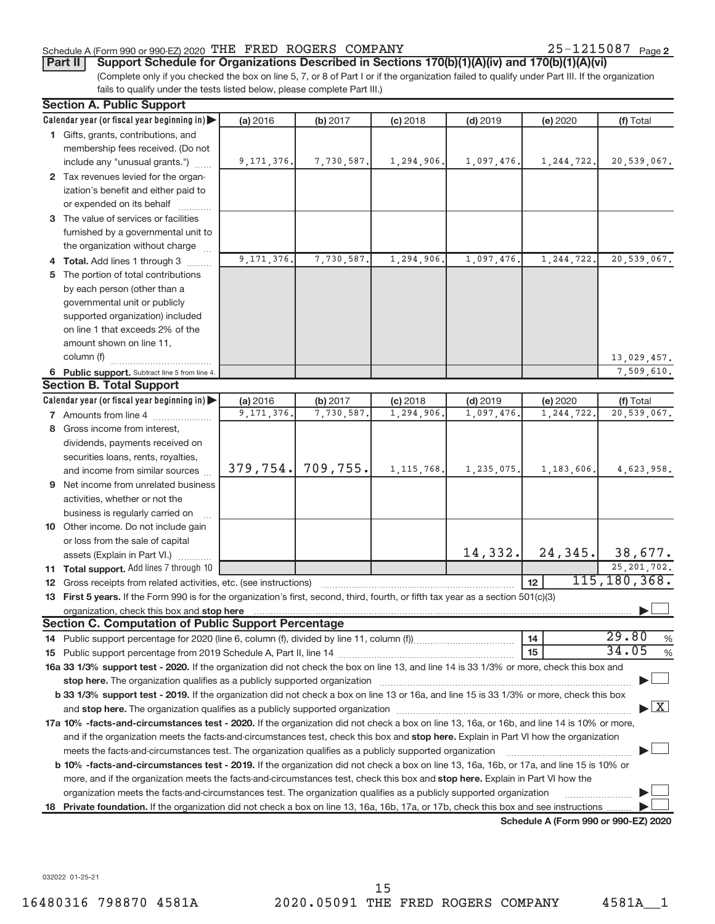# Schedule A (Form 990 or 990-EZ) 2020 THE FRED ROGERS COMPANY  $25-1215087$  Page

25-1215087 Page 2

9,171,376. 7,730,587. 1,294,906. 1,097,476. 1,244,722. 20,539,067.

9,171,376. 7,730,587. 1,294,906. 1,097,476. 1,244,722. 20,539,067.

13,029,457. 7,509,610.

# (Complete only if you checked the box on line 5, 7, or 8 of Part I or if the organization failed to qualify under Part III. If the organization **Part II** Support Schedule for Organizations Described in Sections 170(b)(1)(A)(iv) and 170(b)(1)(A)(vi)

| (COMPRETE ONLY IF YOU CHECKED THE DOX OFFITIE O, 7 , OF O OFFAILT OF IFTHE ORGHIZATION TANEO TO QUANTY UNION FAILTIN. IT THE ORGHIZATION |              |            |              |            |              |           |
|------------------------------------------------------------------------------------------------------------------------------------------|--------------|------------|--------------|------------|--------------|-----------|
| fails to qualify under the tests listed below, please complete Part III.)                                                                |              |            |              |            |              |           |
| <b>Section A. Public Support</b>                                                                                                         |              |            |              |            |              |           |
| Calendar year (or fiscal year beginning in) $\blacktriangleright$                                                                        | (a) 2016     | (b) 2017   | $(c)$ 2018   | $(d)$ 2019 | (e) 2020     | (f) Total |
| Gifts, grants, contributions, and<br>1.                                                                                                  |              |            |              |            |              |           |
| membership fees received. (Do not                                                                                                        |              |            |              |            |              |           |
| include any "unusual grants.")                                                                                                           | 9, 171, 376. | 7,730,587. | 1, 294, 906. | 1,097,476. | 1,244,722.   | 20,539,   |
| Tax revenues levied for the organ-<br>$\mathbf{2}$                                                                                       |              |            |              |            |              |           |
| ization's benefit and either paid to                                                                                                     |              |            |              |            |              |           |
| or expended on its behalf<br>.                                                                                                           |              |            |              |            |              |           |
| The value of services or facilities<br>3                                                                                                 |              |            |              |            |              |           |
| furnished by a governmental unit to                                                                                                      |              |            |              |            |              |           |
| the organization without charge                                                                                                          |              |            |              |            |              |           |
| Total. Add lines 1 through 3                                                                                                             | 9, 171, 376. | 7,730,587. | 1,294,906.   | 1,097,476. | 1, 244, 722. | 20,539,   |
| The portion of total contributions<br>5                                                                                                  |              |            |              |            |              |           |
| by each person (other than a                                                                                                             |              |            |              |            |              |           |
| governmental unit or publicly                                                                                                            |              |            |              |            |              |           |
| supported organization) included                                                                                                         |              |            |              |            |              |           |
| on line 1 that exceeds 2% of the                                                                                                         |              |            |              |            |              |           |
| amount shown on line 11,                                                                                                                 |              |            |              |            |              |           |
| column (f)                                                                                                                               |              |            |              |            |              | 13,029,   |

## 6 Public support. Subtract line 5 from line 4. **Section B. Total Support**

|    | υσνιινπ μ. πυιαι σαρροπι                                                                                                                                                                                                       |              |                       |              |              |                  |                                          |  |
|----|--------------------------------------------------------------------------------------------------------------------------------------------------------------------------------------------------------------------------------|--------------|-----------------------|--------------|--------------|------------------|------------------------------------------|--|
|    | Calendar year (or fiscal year beginning in) $\blacktriangleright$                                                                                                                                                              | (a) 2016     | (b) 2017              | $(c)$ 2018   | $(d)$ 2019   | (e) 2020         | (f) Total                                |  |
|    | 7 Amounts from line 4                                                                                                                                                                                                          | 9, 171, 376. | 7,730,587.            | 1,294,906.   | 1,097,476.   | 1, 244, 722.     | 20,539,067.                              |  |
|    | 8 Gross income from interest,                                                                                                                                                                                                  |              |                       |              |              |                  |                                          |  |
|    | dividends, payments received on                                                                                                                                                                                                |              |                       |              |              |                  |                                          |  |
|    | securities loans, rents, royalties,                                                                                                                                                                                            |              |                       |              |              |                  |                                          |  |
|    | and income from similar sources                                                                                                                                                                                                |              | $379, 754.$ 709, 755. | 1, 115, 768. | 1, 235, 075. | 1, 183, 606.     | 4,623,958.                               |  |
| 9  | Net income from unrelated business                                                                                                                                                                                             |              |                       |              |              |                  |                                          |  |
|    | activities, whether or not the                                                                                                                                                                                                 |              |                       |              |              |                  |                                          |  |
|    | business is regularly carried on                                                                                                                                                                                               |              |                       |              |              |                  |                                          |  |
|    | <b>10</b> Other income. Do not include gain                                                                                                                                                                                    |              |                       |              |              |                  |                                          |  |
|    | or loss from the sale of capital                                                                                                                                                                                               |              |                       |              |              |                  |                                          |  |
|    | assets (Explain in Part VI.)                                                                                                                                                                                                   |              |                       |              | 14,332.      | 24, 345.         | 38,677.                                  |  |
|    | <b>11 Total support.</b> Add lines 7 through 10                                                                                                                                                                                |              |                       |              |              |                  | 25, 201, 702.                            |  |
| 12 | Gross receipts from related activities, etc. (see instructions)                                                                                                                                                                |              |                       |              |              | 12 <sup>12</sup> | 115, 180, 368.                           |  |
|    | 13 First 5 years. If the Form 990 is for the organization's first, second, third, fourth, or fifth tax year as a section 501(c)(3)                                                                                             |              |                       |              |              |                  |                                          |  |
|    |                                                                                                                                                                                                                                |              |                       |              |              |                  |                                          |  |
|    | <b>Section C. Computation of Public Support Percentage</b>                                                                                                                                                                     |              |                       |              |              |                  |                                          |  |
|    |                                                                                                                                                                                                                                |              |                       |              |              | $\vert$ 14       | 29.80<br>$\frac{0}{0}$                   |  |
|    |                                                                                                                                                                                                                                |              |                       |              |              | 15               | 34.05<br>%                               |  |
|    | 16a 33 1/3% support test - 2020. If the organization did not check the box on line 13, and line 14 is 33 1/3% or more, check this box and                                                                                      |              |                       |              |              |                  |                                          |  |
|    |                                                                                                                                                                                                                                |              |                       |              |              |                  |                                          |  |
|    | b 33 1/3% support test - 2019. If the organization did not check a box on line 13 or 16a, and line 15 is 33 1/3% or more, check this box                                                                                       |              |                       |              |              |                  |                                          |  |
|    | and stop here. The organization qualifies as a publicly supported organization [11] content to the content of the content of the content of the content of the content of the content of the content of the content of the con |              |                       |              |              |                  | $\blacktriangleright$ $\boxed{\text{X}}$ |  |
|    | 17a 10% -facts-and-circumstances test - 2020. If the organization did not check a box on line 13, 16a, or 16b, and line 14 is 10% or more,                                                                                     |              |                       |              |              |                  |                                          |  |
|    | and if the organization meets the facts-and-circumstances test, check this box and stop here. Explain in Part VI how the organization                                                                                          |              |                       |              |              |                  |                                          |  |
|    | meets the facts-and-circumstances test. The organization qualifies as a publicly supported organization                                                                                                                        |              |                       |              |              |                  |                                          |  |
|    | <b>b 10% -facts-and-circumstances test - 2019.</b> If the organization did not check a box on line 13, 16a, 16b, or 17a, and line 15 is 10% or                                                                                 |              |                       |              |              |                  |                                          |  |
|    | more, and if the organization meets the facts-and-circumstances test, check this box and stop here. Explain in Part VI how the                                                                                                 |              |                       |              |              |                  |                                          |  |
|    | organization meets the facts-and-circumstances test. The organization qualifies as a publicly supported organization<br>.                                                                                                      |              |                       |              |              |                  |                                          |  |

18 Private foundation. If the organization did not check a box on line 13, 16a, 16b, 17a, or 17b, check this box and see instructions .........

**Schedule A (Form 990 or 990-EZ) 2020**

032022 01-25-21

 $\vdash$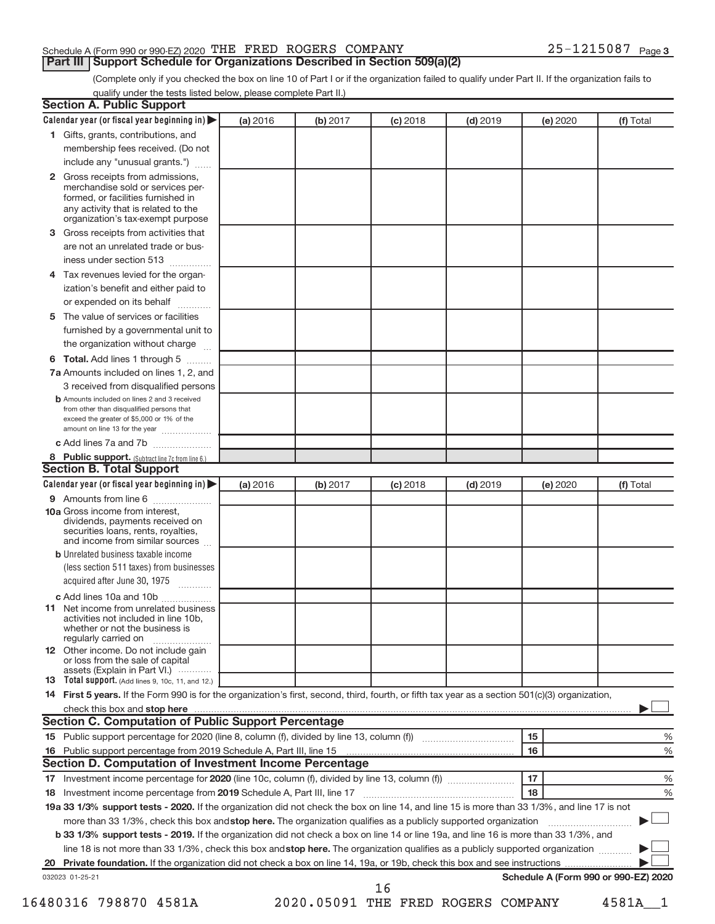# Schedule A (Form 990 or 990-EZ) 2020 THE FRED ROGERS COMPANY  $25-1215087$  Page

**Part III | Support Schedule for Organizations Described in Section 509(a)(2)** 

(Complete only if you checked the box on line 10 of Part I or if the organization failed to qualify under Part II. If the organization fails to qualify under the tests listed below, please complete Part II.)

|              | Calendar year (or fiscal year beginning in)                                                                                                                                                                                    | (a) 2016 | (b) 2017 | $(c)$ 2018                         | $(d)$ 2019 |    | (e) 2020 | (f) Total                            |   |
|--------------|--------------------------------------------------------------------------------------------------------------------------------------------------------------------------------------------------------------------------------|----------|----------|------------------------------------|------------|----|----------|--------------------------------------|---|
|              | 1 Gifts, grants, contributions, and                                                                                                                                                                                            |          |          |                                    |            |    |          |                                      |   |
|              | membership fees received. (Do not                                                                                                                                                                                              |          |          |                                    |            |    |          |                                      |   |
|              | include any "unusual grants.")                                                                                                                                                                                                 |          |          |                                    |            |    |          |                                      |   |
| $\mathbf{2}$ | Gross receipts from admissions,                                                                                                                                                                                                |          |          |                                    |            |    |          |                                      |   |
|              | merchandise sold or services per-                                                                                                                                                                                              |          |          |                                    |            |    |          |                                      |   |
|              | formed, or facilities furnished in                                                                                                                                                                                             |          |          |                                    |            |    |          |                                      |   |
|              | any activity that is related to the<br>organization's tax-exempt purpose                                                                                                                                                       |          |          |                                    |            |    |          |                                      |   |
| 3            | Gross receipts from activities that                                                                                                                                                                                            |          |          |                                    |            |    |          |                                      |   |
|              | are not an unrelated trade or bus-                                                                                                                                                                                             |          |          |                                    |            |    |          |                                      |   |
|              | iness under section 513                                                                                                                                                                                                        |          |          |                                    |            |    |          |                                      |   |
| 4            | Tax revenues levied for the organ-                                                                                                                                                                                             |          |          |                                    |            |    |          |                                      |   |
|              | ization's benefit and either paid to                                                                                                                                                                                           |          |          |                                    |            |    |          |                                      |   |
|              | or expended on its behalf                                                                                                                                                                                                      |          |          |                                    |            |    |          |                                      |   |
| 5            | The value of services or facilities                                                                                                                                                                                            |          |          |                                    |            |    |          |                                      |   |
|              | furnished by a governmental unit to                                                                                                                                                                                            |          |          |                                    |            |    |          |                                      |   |
|              | the organization without charge                                                                                                                                                                                                |          |          |                                    |            |    |          |                                      |   |
|              | Total. Add lines 1 through 5                                                                                                                                                                                                   |          |          |                                    |            |    |          |                                      |   |
| 6            |                                                                                                                                                                                                                                |          |          |                                    |            |    |          |                                      |   |
|              | 7a Amounts included on lines 1, 2, and                                                                                                                                                                                         |          |          |                                    |            |    |          |                                      |   |
|              | 3 received from disqualified persons<br><b>b</b> Amounts included on lines 2 and 3 received                                                                                                                                    |          |          |                                    |            |    |          |                                      |   |
|              | from other than disqualified persons that                                                                                                                                                                                      |          |          |                                    |            |    |          |                                      |   |
|              | exceed the greater of \$5,000 or 1% of the                                                                                                                                                                                     |          |          |                                    |            |    |          |                                      |   |
|              | amount on line 13 for the year                                                                                                                                                                                                 |          |          |                                    |            |    |          |                                      |   |
|              | c Add lines 7a and 7b                                                                                                                                                                                                          |          |          |                                    |            |    |          |                                      |   |
|              | 8 Public support. (Subtract line 7c from line 6.)<br><b>Section B. Total Support</b>                                                                                                                                           |          |          |                                    |            |    |          |                                      |   |
|              | Calendar year (or fiscal year beginning in)                                                                                                                                                                                    |          |          |                                    |            |    |          |                                      |   |
|              | 9 Amounts from line 6                                                                                                                                                                                                          | (a) 2016 | (b) 2017 | $(c)$ 2018                         | $(d)$ 2019 |    | (e) 2020 | (f) Total                            |   |
|              | <b>10a</b> Gross income from interest,<br>dividends, payments received on<br>securities loans, rents, royalties,<br>and income from similar sources                                                                            |          |          |                                    |            |    |          |                                      |   |
|              | <b>b</b> Unrelated business taxable income                                                                                                                                                                                     |          |          |                                    |            |    |          |                                      |   |
|              | (less section 511 taxes) from businesses                                                                                                                                                                                       |          |          |                                    |            |    |          |                                      |   |
|              | acquired after June 30, 1975                                                                                                                                                                                                   |          |          |                                    |            |    |          |                                      |   |
|              | c Add lines 10a and 10b                                                                                                                                                                                                        |          |          |                                    |            |    |          |                                      |   |
|              | <b>11</b> Net income from unrelated business<br>activities not included in line 10b.<br>whether or not the business is<br>regularly carried on<br>.                                                                            |          |          |                                    |            |    |          |                                      |   |
|              | 12 Other income. Do not include gain                                                                                                                                                                                           |          |          |                                    |            |    |          |                                      |   |
|              | or loss from the sale of capital<br>assets (Explain in Part VI.)                                                                                                                                                               |          |          |                                    |            |    |          |                                      |   |
|              | 13 Total support. (Add lines 9, 10c, 11, and 12.)                                                                                                                                                                              |          |          |                                    |            |    |          |                                      |   |
|              | 14 First 5 years. If the Form 990 is for the organization's first, second, third, fourth, or fifth tax year as a section 501(c)(3) organization,                                                                               |          |          |                                    |            |    |          |                                      |   |
|              | check this box and stop here measurements and contain the state of the state of the state of the state of the state of the state of the state of the state of the state of the state of the state of the state of the state of |          |          |                                    |            |    |          |                                      |   |
|              | <b>Section C. Computation of Public Support Percentage</b>                                                                                                                                                                     |          |          |                                    |            |    |          |                                      |   |
|              |                                                                                                                                                                                                                                |          |          |                                    |            | 15 |          |                                      | % |
| 16           |                                                                                                                                                                                                                                |          |          |                                    |            | 16 |          |                                      | % |
|              | <b>Section D. Computation of Investment Income Percentage</b>                                                                                                                                                                  |          |          |                                    |            |    |          |                                      |   |
|              |                                                                                                                                                                                                                                |          |          |                                    |            | 17 |          |                                      | % |
| 18           |                                                                                                                                                                                                                                |          |          |                                    |            | 18 |          |                                      | % |
|              | 19a 33 1/3% support tests - 2020. If the organization did not check the box on line 14, and line 15 is more than 33 1/3%, and line 17 is not                                                                                   |          |          |                                    |            |    |          |                                      |   |
|              | more than 33 1/3%, check this box and stop here. The organization qualifies as a publicly supported organization                                                                                                               |          |          |                                    |            |    |          |                                      |   |
|              | b 33 1/3% support tests - 2019. If the organization did not check a box on line 14 or line 19a, and line 16 is more than 33 1/3%, and                                                                                          |          |          |                                    |            |    |          |                                      |   |
|              | line 18 is not more than 33 1/3%, check this box and stop here. The organization qualifies as a publicly supported organization                                                                                                |          |          |                                    |            |    |          |                                      |   |
|              |                                                                                                                                                                                                                                |          |          |                                    |            |    |          |                                      |   |
|              |                                                                                                                                                                                                                                |          |          |                                    |            |    |          |                                      |   |
|              | 032023 01-25-21                                                                                                                                                                                                                |          |          | 16                                 |            |    |          | Schedule A (Form 990 or 990-EZ) 2020 |   |
|              | 16480316 798870 4581A                                                                                                                                                                                                          |          |          | 2020.05091 THE FRED ROGERS COMPANY |            |    |          | 4581A 1                              |   |
|              |                                                                                                                                                                                                                                |          |          |                                    |            |    |          |                                      |   |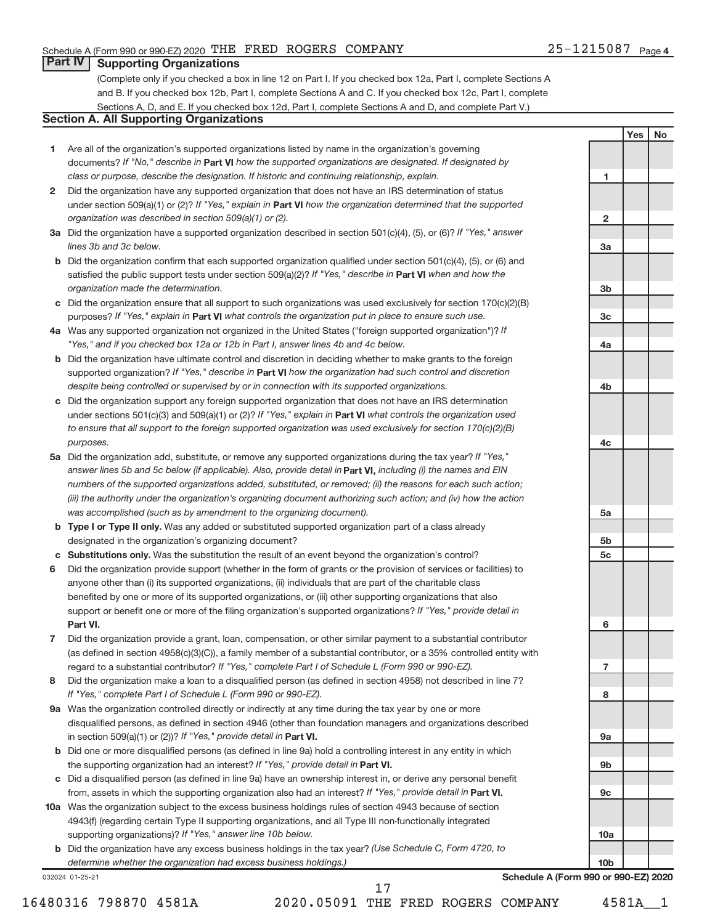**1**

**2**

**3a**

**3b**

**3c**

**4a**

**4b**

**4c**

**5a**

**5b 5c**

**6**

**7**

**8**

**9a**

**9b**

**9c**

**10a**

**10b**

**Yes No**

# **Part IV Supporting Organizations**

(Complete only if you checked a box in line 12 on Part I. If you checked box 12a, Part I, complete Sections A and B. If you checked box 12b, Part I, complete Sections A and C. If you checked box 12c, Part I, complete Sections A, D, and E. If you checked box 12d, Part I, complete Sections A and D, and complete Part V.)

# **Section A. All Supporting Organizations**

- **1** Are all of the organization's supported organizations listed by name in the organization's governing documents? If "No," describe in Part VI how the supported organizations are designated. If designated by *class or purpose, describe the designation. If historic and continuing relationship, explain.*
- **2** Did the organization have any supported organization that does not have an IRS determination of status under section 509(a)(1) or (2)? If "Yes," explain in Part **VI** how the organization determined that the supported *organization was described in section 509(a)(1) or (2).*
- **3a** Did the organization have a supported organization described in section 501(c)(4), (5), or (6)? If "Yes," answer *lines 3b and 3c below.*
- **b** Did the organization confirm that each supported organization qualified under section 501(c)(4), (5), or (6) and satisfied the public support tests under section 509(a)(2)? If "Yes," describe in Part VI when and how the *organization made the determination.*
- **c** Did the organization ensure that all support to such organizations was used exclusively for section 170(c)(2)(B) purposes? If "Yes," explain in Part VI what controls the organization put in place to ensure such use.
- **4 a** *If* Was any supported organization not organized in the United States ("foreign supported organization")? *"Yes," and if you checked box 12a or 12b in Part I, answer lines 4b and 4c below.*
- **b** Did the organization have ultimate control and discretion in deciding whether to make grants to the foreign supported organization? If "Yes," describe in Part VI how the organization had such control and discretion *despite being controlled or supervised by or in connection with its supported organizations.*
- **c** Did the organization support any foreign supported organization that does not have an IRS determination under sections 501(c)(3) and 509(a)(1) or (2)? If "Yes," explain in Part VI what controls the organization used *to ensure that all support to the foreign supported organization was used exclusively for section 170(c)(2)(B) purposes.*
- **5a** Did the organization add, substitute, or remove any supported organizations during the tax year? If "Yes," answer lines 5b and 5c below (if applicable). Also, provide detail in **Part VI,** including (i) the names and EIN *numbers of the supported organizations added, substituted, or removed; (ii) the reasons for each such action; (iii) the authority under the organization's organizing document authorizing such action; and (iv) how the action was accomplished (such as by amendment to the organizing document).*
- **b** Type I or Type II only. Was any added or substituted supported organization part of a class already designated in the organization's organizing document?
- **c Substitutions only.**  Was the substitution the result of an event beyond the organization's control?
- **6** Did the organization provide support (whether in the form of grants or the provision of services or facilities) to **Part VI.** support or benefit one or more of the filing organization's supported organizations? If "Yes," provide detail in anyone other than (i) its supported organizations, (ii) individuals that are part of the charitable class benefited by one or more of its supported organizations, or (iii) other supporting organizations that also
- **7** Did the organization provide a grant, loan, compensation, or other similar payment to a substantial contributor regard to a substantial contributor? If "Yes," complete Part I of Schedule L (Form 990 or 990-EZ). (as defined in section 4958(c)(3)(C)), a family member of a substantial contributor, or a 35% controlled entity with
- **8** Did the organization make a loan to a disqualified person (as defined in section 4958) not described in line 7? *If "Yes," complete Part I of Schedule L (Form 990 or 990-EZ).*
- **9 a** Was the organization controlled directly or indirectly at any time during the tax year by one or more in section 509(a)(1) or (2))? If "Yes," provide detail in **Part VI.** disqualified persons, as defined in section 4946 (other than foundation managers and organizations described
- **b** Did one or more disqualified persons (as defined in line 9a) hold a controlling interest in any entity in which the supporting organization had an interest? If "Yes," provide detail in Part VI.
- **c** Did a disqualified person (as defined in line 9a) have an ownership interest in, or derive any personal benefit from, assets in which the supporting organization also had an interest? If "Yes," provide detail in Part VI.
- **10 a** Was the organization subject to the excess business holdings rules of section 4943 because of section supporting organizations)? If "Yes," answer line 10b below. 4943(f) (regarding certain Type II supporting organizations, and all Type III non-functionally integrated
	- **b** Did the organization have any excess business holdings in the tax year? (Use Schedule C, Form 4720, to *determine whether the organization had excess business holdings.)*

032024 01-25-21

16480316 798870 4581A 2020.05091 THE FRED ROGERS COMPANY 4581A\_\_1 17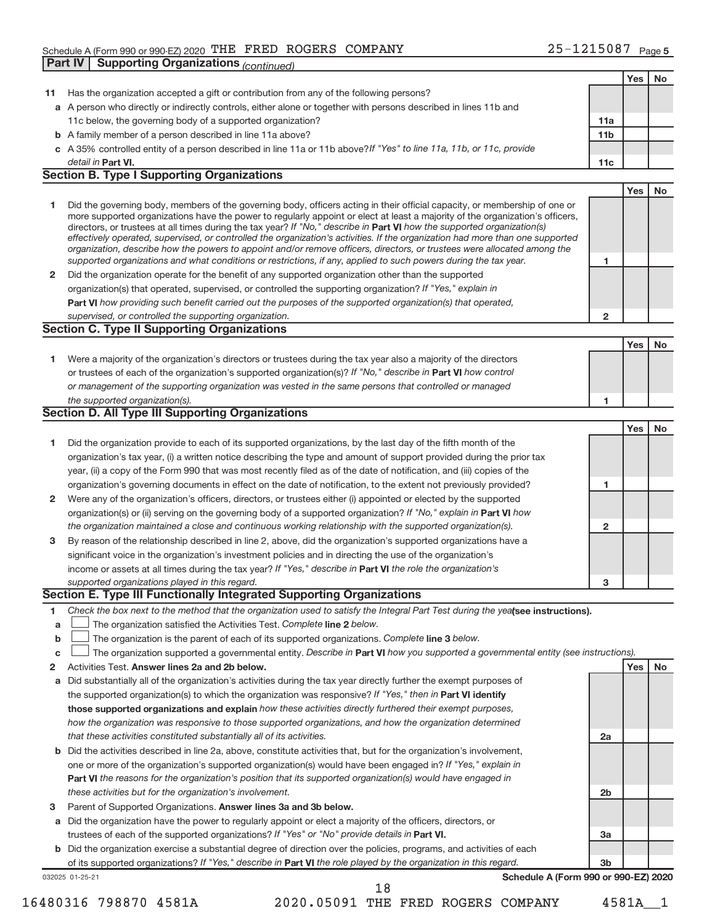# Schedule A (Form 990 or 990-EZ) 2020 THE FRED ROGERS COMPANY  $25-1215087$  Page **Part IV | Supporting Organizations** (continued)

|              |                                                                                                                                                                                                                                                            |                 | Yes        | <b>No</b> |
|--------------|------------------------------------------------------------------------------------------------------------------------------------------------------------------------------------------------------------------------------------------------------------|-----------------|------------|-----------|
| 11           | Has the organization accepted a gift or contribution from any of the following persons?                                                                                                                                                                    |                 |            |           |
|              | a A person who directly or indirectly controls, either alone or together with persons described in lines 11b and                                                                                                                                           |                 |            |           |
|              | 11c below, the governing body of a supported organization?                                                                                                                                                                                                 | 11a             |            |           |
|              | <b>b</b> A family member of a person described in line 11a above?                                                                                                                                                                                          | 11 <sub>b</sub> |            |           |
|              | c A 35% controlled entity of a person described in line 11a or 11b above? If "Yes" to line 11a, 11b, or 11c, provide                                                                                                                                       |                 |            |           |
|              | detail in Part VI.                                                                                                                                                                                                                                         | 11c             |            |           |
|              | <b>Section B. Type I Supporting Organizations</b>                                                                                                                                                                                                          |                 |            |           |
|              |                                                                                                                                                                                                                                                            |                 | Yes        | <b>No</b> |
| 1            | Did the governing body, members of the governing body, officers acting in their official capacity, or membership of one or                                                                                                                                 |                 |            |           |
|              | more supported organizations have the power to regularly appoint or elect at least a majority of the organization's officers,                                                                                                                              |                 |            |           |
|              | directors, or trustees at all times during the tax year? If "No," describe in Part VI how the supported organization(s)                                                                                                                                    |                 |            |           |
|              | effectively operated, supervised, or controlled the organization's activities. If the organization had more than one supported<br>organization, describe how the powers to appoint and/or remove officers, directors, or trustees were allocated among the |                 |            |           |
|              | supported organizations and what conditions or restrictions, if any, applied to such powers during the tax year.                                                                                                                                           | 1               |            |           |
| $\mathbf{2}$ | Did the organization operate for the benefit of any supported organization other than the supported                                                                                                                                                        |                 |            |           |
|              | organization(s) that operated, supervised, or controlled the supporting organization? If "Yes," explain in                                                                                                                                                 |                 |            |           |
|              | Part VI how providing such benefit carried out the purposes of the supported organization(s) that operated,                                                                                                                                                |                 |            |           |
|              | supervised, or controlled the supporting organization.                                                                                                                                                                                                     | $\mathbf{2}$    |            |           |
|              | <b>Section C. Type II Supporting Organizations</b>                                                                                                                                                                                                         |                 |            |           |
|              |                                                                                                                                                                                                                                                            |                 | <b>Yes</b> | <b>No</b> |
| 1.           | Were a majority of the organization's directors or trustees during the tax year also a majority of the directors                                                                                                                                           |                 |            |           |
|              | or trustees of each of the organization's supported organization(s)? If "No," describe in Part VI how control                                                                                                                                              |                 |            |           |
|              | or management of the supporting organization was vested in the same persons that controlled or managed                                                                                                                                                     |                 |            |           |
|              | the supported organization(s).                                                                                                                                                                                                                             | 1               |            |           |
|              | <b>Section D. All Type III Supporting Organizations</b>                                                                                                                                                                                                    |                 |            |           |
|              |                                                                                                                                                                                                                                                            |                 | Yes        | <b>No</b> |
| 1            | Did the organization provide to each of its supported organizations, by the last day of the fifth month of the                                                                                                                                             |                 |            |           |
|              | organization's tax year, (i) a written notice describing the type and amount of support provided during the prior tax                                                                                                                                      |                 |            |           |
|              | year, (ii) a copy of the Form 990 that was most recently filed as of the date of notification, and (iii) copies of the                                                                                                                                     |                 |            |           |
|              | organization's governing documents in effect on the date of notification, to the extent not previously provided?                                                                                                                                           | 1               |            |           |
| 2            | Were any of the organization's officers, directors, or trustees either (i) appointed or elected by the supported                                                                                                                                           |                 |            |           |
|              | organization(s) or (ii) serving on the governing body of a supported organization? If "No," explain in Part VI how                                                                                                                                         |                 |            |           |
|              | the organization maintained a close and continuous working relationship with the supported organization(s).                                                                                                                                                | $\mathbf{2}$    |            |           |
| 3            | By reason of the relationship described in line 2, above, did the organization's supported organizations have a                                                                                                                                            |                 |            |           |
|              | significant voice in the organization's investment policies and in directing the use of the organization's                                                                                                                                                 |                 |            |           |
|              | income or assets at all times during the tax year? If "Yes," describe in Part VI the role the organization's                                                                                                                                               |                 |            |           |
|              | supported organizations played in this regard.                                                                                                                                                                                                             | з               |            |           |
|              | Section E. Type III Functionally Integrated Supporting Organizations                                                                                                                                                                                       |                 |            |           |
| 1            | Check the box next to the method that the organization used to satisfy the Integral Part Test during the yealsee instructions).                                                                                                                            |                 |            |           |
| a            | The organization satisfied the Activities Test. Complete line 2 below.                                                                                                                                                                                     |                 |            |           |
| b            | The organization is the parent of each of its supported organizations. Complete line 3 below.                                                                                                                                                              |                 |            |           |
| с            | The organization supported a governmental entity. Describe in Part VI how you supported a governmental entity (see instructions).                                                                                                                          |                 |            |           |
| 2            | Activities Test. Answer lines 2a and 2b below.                                                                                                                                                                                                             |                 | Yes        | No        |
| а            | Did substantially all of the organization's activities during the tax year directly further the exempt purposes of                                                                                                                                         |                 |            |           |
|              | the supported organization(s) to which the organization was responsive? If "Yes," then in Part VI identify                                                                                                                                                 |                 |            |           |
|              | those supported organizations and explain how these activities directly furthered their exempt purposes,                                                                                                                                                   |                 |            |           |
|              | how the organization was responsive to those supported organizations, and how the organization determined                                                                                                                                                  |                 |            |           |
|              | that these activities constituted substantially all of its activities.                                                                                                                                                                                     | 2a              |            |           |
| b            | Did the activities described in line 2a, above, constitute activities that, but for the organization's involvement,                                                                                                                                        |                 |            |           |
|              | one or more of the organization's supported organization(s) would have been engaged in? If "Yes," explain in                                                                                                                                               |                 |            |           |
|              | <b>Part VI</b> the reasons for the organization's position that its supported organization(s) would have engaged in                                                                                                                                        |                 |            |           |
|              | these activities but for the organization's involvement.                                                                                                                                                                                                   | 2 <sub>b</sub>  |            |           |
| з            | Parent of Supported Organizations. Answer lines 3a and 3b below.                                                                                                                                                                                           |                 |            |           |
| а            | Did the organization have the power to regularly appoint or elect a majority of the officers, directors, or                                                                                                                                                |                 |            |           |
|              | trustees of each of the supported organizations? If "Yes" or "No" provide details in Part VI.                                                                                                                                                              | 3a              |            |           |
|              | b Did the organization exercise a substantial degree of direction over the policies, programs, and activities of each                                                                                                                                      |                 |            |           |
|              | of its supported organizations? If "Yes," describe in Part VI the role played by the organization in this regard.                                                                                                                                          | 3b              |            |           |
|              | Schedule A (Form 990 or 990-EZ) 2020<br>032025 01-25-21                                                                                                                                                                                                    |                 |            |           |
|              | 18                                                                                                                                                                                                                                                         |                 |            |           |

<sup>16480316 798870 4581</sup>A 2020.05091 THE FRED ROGERS COMPANY 4581A\_\_1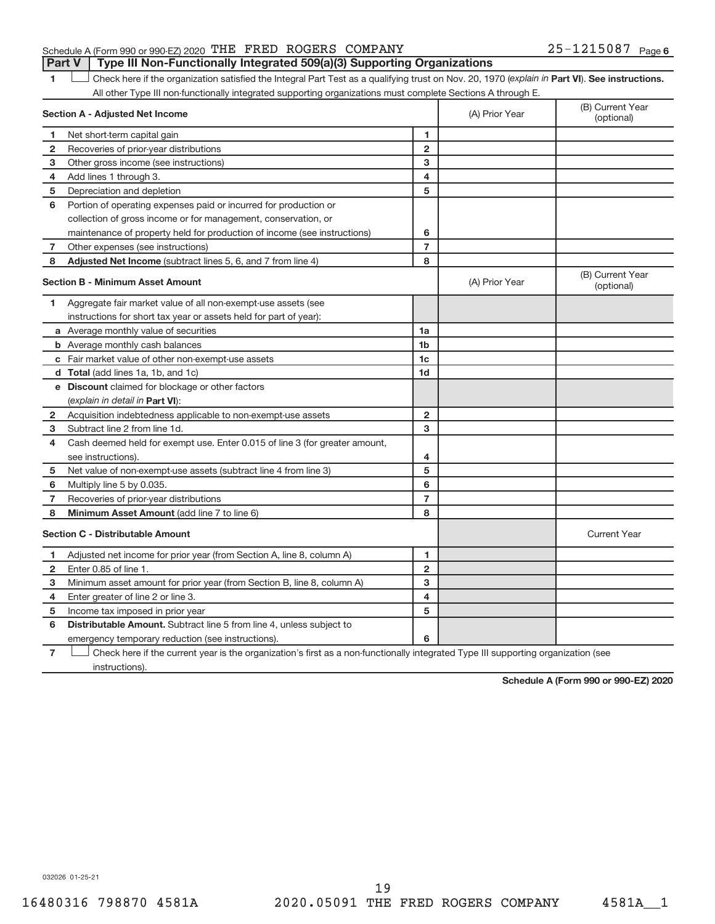# Schedule A (Form 990 or 990-EZ) 2020 THE FRED ROGERS COMPANY  $25-1215087$  Page **Part V** | Type III Non-Functionally Integrated 509(a)(3) Supporting Organizations

1 **Luck Liet also here if the organization satisfied the Integral Part Test as a qualifying trust on Nov. 20, 1970 (***explain in* **Part <b>VI**). See instructions. All other Type III non-functionally integrated supporting organizations must complete Sections A through E.

|                | <b>Section A - Adjusted Net Income</b>                                                                                            | (A) Prior Year          | (B) Current Year<br>(optional) |                                |
|----------------|-----------------------------------------------------------------------------------------------------------------------------------|-------------------------|--------------------------------|--------------------------------|
| 1              | Net short-term capital gain                                                                                                       | 1                       |                                |                                |
| $\mathbf{2}$   | Recoveries of prior-year distributions                                                                                            | $\overline{2}$          |                                |                                |
| з              | Other gross income (see instructions)                                                                                             | з                       |                                |                                |
| 4              | Add lines 1 through 3.                                                                                                            | 4                       |                                |                                |
| 5              | Depreciation and depletion                                                                                                        | 5                       |                                |                                |
| 6              | Portion of operating expenses paid or incurred for production or                                                                  |                         |                                |                                |
|                | collection of gross income or for management, conservation, or                                                                    |                         |                                |                                |
|                | maintenance of property held for production of income (see instructions)                                                          | 6                       |                                |                                |
| 7              | Other expenses (see instructions)                                                                                                 | $\overline{7}$          |                                |                                |
| 8              | Adjusted Net Income (subtract lines 5, 6, and 7 from line 4)                                                                      | 8                       |                                |                                |
|                | <b>Section B - Minimum Asset Amount</b>                                                                                           |                         | (A) Prior Year                 | (B) Current Year<br>(optional) |
| 1              | Aggregate fair market value of all non-exempt-use assets (see                                                                     |                         |                                |                                |
|                | instructions for short tax year or assets held for part of year):                                                                 |                         |                                |                                |
|                | a Average monthly value of securities                                                                                             | 1a                      |                                |                                |
|                | <b>b</b> Average monthly cash balances                                                                                            | 1 <sub>b</sub>          |                                |                                |
|                | c Fair market value of other non-exempt-use assets                                                                                | 1 <sub>c</sub>          |                                |                                |
|                | d Total (add lines 1a, 1b, and 1c)                                                                                                | 1 <sub>d</sub>          |                                |                                |
|                | e Discount claimed for blockage or other factors                                                                                  |                         |                                |                                |
|                | (explain in detail in <b>Part VI</b> ):                                                                                           |                         |                                |                                |
| 2              | Acquisition indebtedness applicable to non-exempt-use assets                                                                      | $\mathbf{2}$            |                                |                                |
| 3              | Subtract line 2 from line 1d.                                                                                                     | 3                       |                                |                                |
| 4              | Cash deemed held for exempt use. Enter 0.015 of line 3 (for greater amount,                                                       |                         |                                |                                |
|                | see instructions).                                                                                                                | 4                       |                                |                                |
| 5              | Net value of non-exempt-use assets (subtract line 4 from line 3)                                                                  | 5                       |                                |                                |
| 6              | Multiply line 5 by 0.035.                                                                                                         | 6                       |                                |                                |
| 7              | Recoveries of prior-year distributions                                                                                            | $\overline{7}$          |                                |                                |
| 8              | Minimum Asset Amount (add line 7 to line 6)                                                                                       | 8                       |                                |                                |
|                | <b>Section C - Distributable Amount</b>                                                                                           |                         |                                | <b>Current Year</b>            |
| 1              | Adjusted net income for prior year (from Section A, line 8, column A)                                                             | 1                       |                                |                                |
| 2              | Enter 0.85 of line 1.                                                                                                             | $\overline{2}$          |                                |                                |
| з              | Minimum asset amount for prior year (from Section B, line 8, column A)                                                            | 3                       |                                |                                |
| 4              | Enter greater of line 2 or line 3.                                                                                                | $\overline{\mathbf{4}}$ |                                |                                |
| 5              | Income tax imposed in prior year                                                                                                  | 5                       |                                |                                |
| 6              | <b>Distributable Amount.</b> Subtract line 5 from line 4, unless subject to                                                       |                         |                                |                                |
|                | emergency temporary reduction (see instructions).                                                                                 | 6                       |                                |                                |
| $\overline{7}$ | Check here if the current year is the organization's first as a non-functionally integrated Type III supporting organization (see |                         |                                |                                |

instructions).

**Schedule A (Form 990 or 990-EZ) 2020**

032026 01-25-21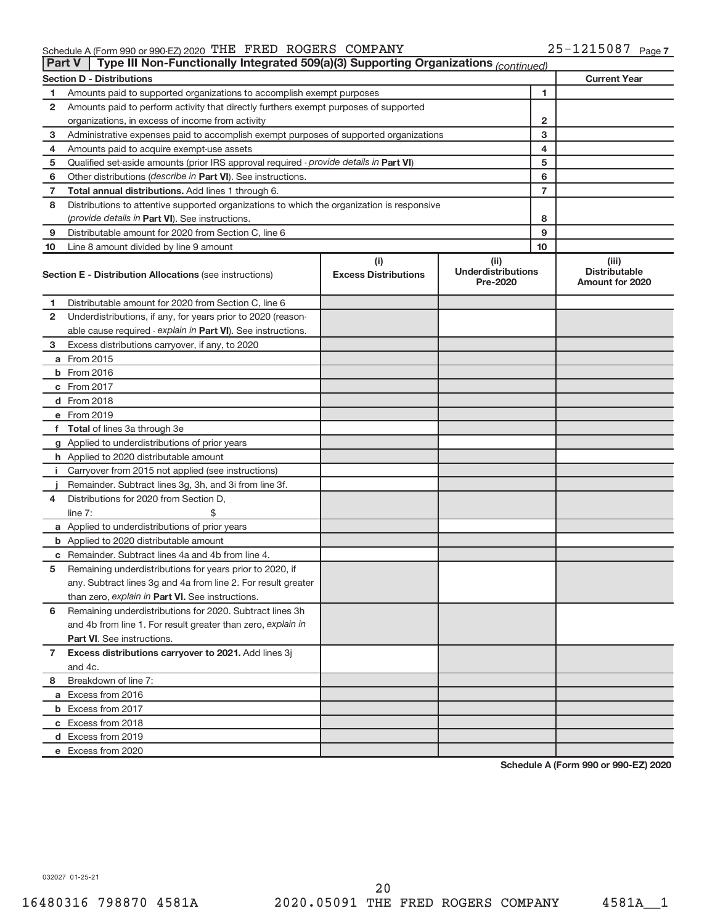## Schedule A (Form 990 or 990-EZ) 2020 'L'HE F'KED ROGERS COMPANY FOR A Manager Manager A Manager Manager Manage THE FRED ROGERS COMPANY 25-1215087

| <b>Part V</b>  | Type III Non-Functionally Integrated 509(a)(3) Supporting Organizations (continued)        |                                    |                                               |                |                                                         |
|----------------|--------------------------------------------------------------------------------------------|------------------------------------|-----------------------------------------------|----------------|---------------------------------------------------------|
|                | <b>Section D - Distributions</b>                                                           |                                    |                                               |                | <b>Current Year</b>                                     |
| 1              | Amounts paid to supported organizations to accomplish exempt purposes                      | 1                                  |                                               |                |                                                         |
| 2              | Amounts paid to perform activity that directly furthers exempt purposes of supported       |                                    |                                               |                |                                                         |
|                | organizations, in excess of income from activity                                           |                                    |                                               | $\mathbf{2}$   |                                                         |
| 3              | Administrative expenses paid to accomplish exempt purposes of supported organizations      |                                    |                                               | 3              |                                                         |
| 4              | Amounts paid to acquire exempt-use assets                                                  |                                    |                                               | 4              |                                                         |
| 5              | Qualified set-aside amounts (prior IRS approval required - provide details in Part VI)     |                                    |                                               | 5              |                                                         |
| 6              | Other distributions (describe in Part VI). See instructions.                               |                                    |                                               | 6              |                                                         |
| 7              | Total annual distributions. Add lines 1 through 6.                                         |                                    |                                               | $\overline{7}$ |                                                         |
| 8              | Distributions to attentive supported organizations to which the organization is responsive |                                    |                                               |                |                                                         |
|                | (provide details in Part VI). See instructions.                                            |                                    |                                               | 8              |                                                         |
| 9              | Distributable amount for 2020 from Section C, line 6                                       |                                    |                                               | 9              |                                                         |
| 10             | Line 8 amount divided by line 9 amount                                                     |                                    |                                               | 10             |                                                         |
|                | <b>Section E - Distribution Allocations (see instructions)</b>                             | (i)<br><b>Excess Distributions</b> | (ii)<br><b>Underdistributions</b><br>Pre-2020 |                | (iii)<br><b>Distributable</b><br><b>Amount for 2020</b> |
| 1              | Distributable amount for 2020 from Section C, line 6                                       |                                    |                                               |                |                                                         |
| 2              | Underdistributions, if any, for years prior to 2020 (reason-                               |                                    |                                               |                |                                                         |
|                | able cause required - explain in Part VI). See instructions.                               |                                    |                                               |                |                                                         |
| 3              | Excess distributions carryover, if any, to 2020                                            |                                    |                                               |                |                                                         |
|                | a From 2015                                                                                |                                    |                                               |                |                                                         |
|                | <b>b</b> From 2016                                                                         |                                    |                                               |                |                                                         |
|                | c From 2017                                                                                |                                    |                                               |                |                                                         |
|                | d From 2018                                                                                |                                    |                                               |                |                                                         |
|                | e From 2019                                                                                |                                    |                                               |                |                                                         |
|                | f Total of lines 3a through 3e                                                             |                                    |                                               |                |                                                         |
|                | g Applied to underdistributions of prior years                                             |                                    |                                               |                |                                                         |
|                | h Applied to 2020 distributable amount                                                     |                                    |                                               |                |                                                         |
| Ť.             | Carryover from 2015 not applied (see instructions)                                         |                                    |                                               |                |                                                         |
|                | Remainder. Subtract lines 3g, 3h, and 3i from line 3f.                                     |                                    |                                               |                |                                                         |
| 4              | Distributions for 2020 from Section D,                                                     |                                    |                                               |                |                                                         |
|                | line $7:$                                                                                  |                                    |                                               |                |                                                         |
|                | a Applied to underdistributions of prior years                                             |                                    |                                               |                |                                                         |
|                | <b>b</b> Applied to 2020 distributable amount                                              |                                    |                                               |                |                                                         |
|                | c Remainder. Subtract lines 4a and 4b from line 4.                                         |                                    |                                               |                |                                                         |
| 5              | Remaining underdistributions for years prior to 2020, if                                   |                                    |                                               |                |                                                         |
|                | any. Subtract lines 3g and 4a from line 2. For result greater                              |                                    |                                               |                |                                                         |
|                | than zero, explain in Part VI. See instructions.                                           |                                    |                                               |                |                                                         |
| 6              | Remaining underdistributions for 2020. Subtract lines 3h                                   |                                    |                                               |                |                                                         |
|                | and 4b from line 1. For result greater than zero, explain in                               |                                    |                                               |                |                                                         |
|                | <b>Part VI.</b> See instructions.                                                          |                                    |                                               |                |                                                         |
| $\overline{7}$ | Excess distributions carryover to 2021. Add lines 3j                                       |                                    |                                               |                |                                                         |
|                | and 4c.                                                                                    |                                    |                                               |                |                                                         |
| 8              | Breakdown of line 7:                                                                       |                                    |                                               |                |                                                         |
|                | a Excess from 2016                                                                         |                                    |                                               |                |                                                         |
|                | <b>b</b> Excess from 2017                                                                  |                                    |                                               |                |                                                         |
|                | c Excess from 2018                                                                         |                                    |                                               |                |                                                         |
|                | d Excess from 2019                                                                         |                                    |                                               |                |                                                         |
|                | e Excess from 2020                                                                         |                                    |                                               |                |                                                         |

**Schedule A (Form 990 or 990-EZ) 2020**

032027 01-25-21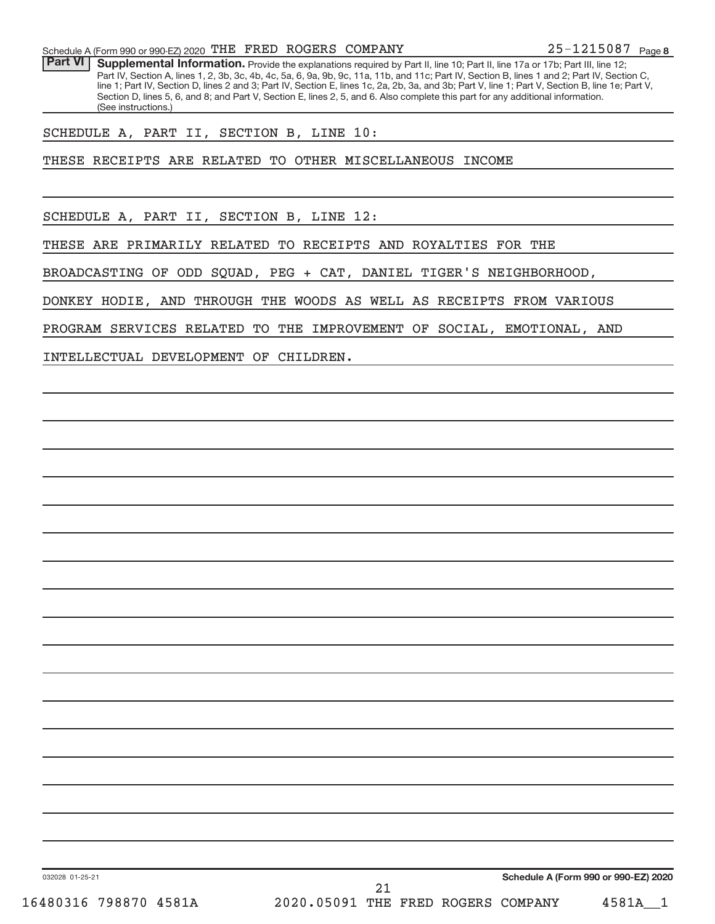Part VI | Supplemental Information. Provide the explanations required by Part II, line 10; Part II, line 17a or 17b; Part III, line 12; Part IV, Section A, lines 1, 2, 3b, 3c, 4b, 4c, 5a, 6, 9a, 9b, 9c, 11a, 11b, and 11c; Part IV, Section B, lines 1 and 2; Part IV, Section C, line 1; Part IV, Section D, lines 2 and 3; Part IV, Section E, lines 1c, 2a, 2b, 3a, and 3b; Part V, line 1; Part V, Section B, line 1e; Part V, Section D, lines 5, 6, and 8; and Part V, Section E, lines 2, 5, and 6. Also complete this part for any additional information. (See instructions.)

# SCHEDULE A, PART II, SECTION B, LINE 10:

THESE RECEIPTS ARE RELATED TO OTHER MISCELLANEOUS INCOME

SCHEDULE A, PART II, SECTION B, LINE 12:

THESE ARE PRIMARILY RELATED TO RECEIPTS AND ROYALTIES FOR THE

BROADCASTING OF ODD SQUAD, PEG + CAT, DANIEL TIGER'S NEIGHBORHOOD,

DONKEY HODIE, AND THROUGH THE WOODS AS WELL AS RECEIPTS FROM VARIOUS

PROGRAM SERVICES RELATED TO THE IMPROVEMENT OF SOCIAL, EMOTIONAL, AND

INTELLECTUAL DEVELOPMENT OF CHILDREN.

**Schedule A (Form 990 or 990-EZ) 2020**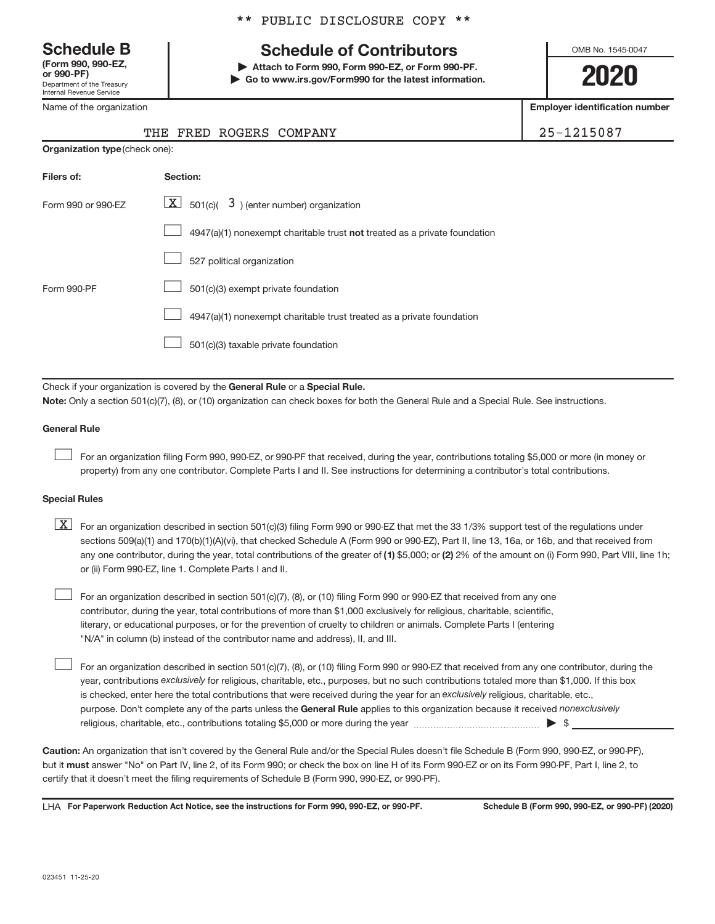Department of the Treasury Internal Revenue Service **(Form 990, 990-EZ,**

Name of the organization

# \*\* PUBLIC DISCLOSURE COPY \*\*

# **Schedule B Schedule of Contributors**

**or 990-PF) | Attach to Form 990, Form 990-EZ, or Form 990-PF. | Go to www.irs.gov/Form990 for the latest information.** OMB No. 1545-0047

**2020**

**Employer identification number**

|--|--|

|  | THE FRED ROGERS COMPANY | 25-1215087 |
|--|-------------------------|------------|
|  |                         |            |

| <b>Organization type (check one):</b> |                                                                           |  |  |  |  |  |
|---------------------------------------|---------------------------------------------------------------------------|--|--|--|--|--|
| Filers of:                            | Section:                                                                  |  |  |  |  |  |
| Form 990 or 990-EZ                    | $\lfloor x \rfloor$ 501(c)( 3) (enter number) organization                |  |  |  |  |  |
|                                       | 4947(a)(1) nonexempt charitable trust not treated as a private foundation |  |  |  |  |  |
|                                       | 527 political organization                                                |  |  |  |  |  |
| Form 990-PF                           | 501(c)(3) exempt private foundation                                       |  |  |  |  |  |
|                                       | 4947(a)(1) nonexempt charitable trust treated as a private foundation     |  |  |  |  |  |
|                                       | 501(c)(3) taxable private foundation                                      |  |  |  |  |  |
|                                       |                                                                           |  |  |  |  |  |

Check if your organization is covered by the General Rule or a Special Rule.

**Note:**  Only a section 501(c)(7), (8), or (10) organization can check boxes for both the General Rule and a Special Rule. See instructions.

# **General Rule**

 $\begin{array}{c} \hline \end{array}$ 

 $\begin{array}{c} \hline \end{array}$ 

For an organization filing Form 990, 990-EZ, or 990-PF that received, during the year, contributions totaling \$5,000 or more (in money or property) from any one contributor. Complete Parts I and II. See instructions for determining a contributor's total contributions.

# **Special Rules**

any one contributor, during the year, total contributions of the greater of (1) \$5,000; or (2) 2% of the amount on (i) Form 990, Part VIII, line 1h;  $\boxed{\text{X}}$  For an organization described in section 501(c)(3) filing Form 990 or 990-EZ that met the 33 1/3% support test of the regulations under sections 509(a)(1) and 170(b)(1)(A)(vi), that checked Schedule A (Form 990 or 990-EZ), Part II, line 13, 16a, or 16b, and that received from or (ii) Form 990-EZ, line 1. Complete Parts I and II.

For an organization described in section 501(c)(7), (8), or (10) filing Form 990 or 990-EZ that received from any one contributor, during the year, total contributions of more than \$1,000 exclusively for religious, charitable, scientific, literary, or educational purposes, or for the prevention of cruelty to children or animals. Complete Parts I (entering "N/A" in column (b) instead of the contributor name and address), II, and III.  $\begin{array}{c} \hline \end{array}$ 

purpose. Don't complete any of the parts unless the General Rule applies to this organization because it received nonexclusively year, contributions exclusively for religious, charitable, etc., purposes, but no such contributions totaled more than \$1,000. If this box is checked, enter here the total contributions that were received during the year for an exclusively religious, charitable, etc., For an organization described in section 501(c)(7), (8), or (10) filing Form 990 or 990-EZ that received from any one contributor, during the religious, charitable, etc., contributions totaling \$5,000 or more during the year  $~\ldots\ldots\ldots\ldots\ldots\ldots\ldots\ldots\blacktriangleright~$ \$

**Caution:**  An organization that isn't covered by the General Rule and/or the Special Rules doesn't file Schedule B (Form 990, 990-EZ, or 990-PF),  **must** but it answer "No" on Part IV, line 2, of its Form 990; or check the box on line H of its Form 990-EZ or on its Form 990-PF, Part I, line 2, to certify that it doesn't meet the filing requirements of Schedule B (Form 990, 990-EZ, or 990-PF).

LHA For Paperwork Reduction Act Notice, see the instructions for Form 990, 990-EZ, or 990-PF. Schedule B (Form 990, 990-EZ, or 990-PF) (2020)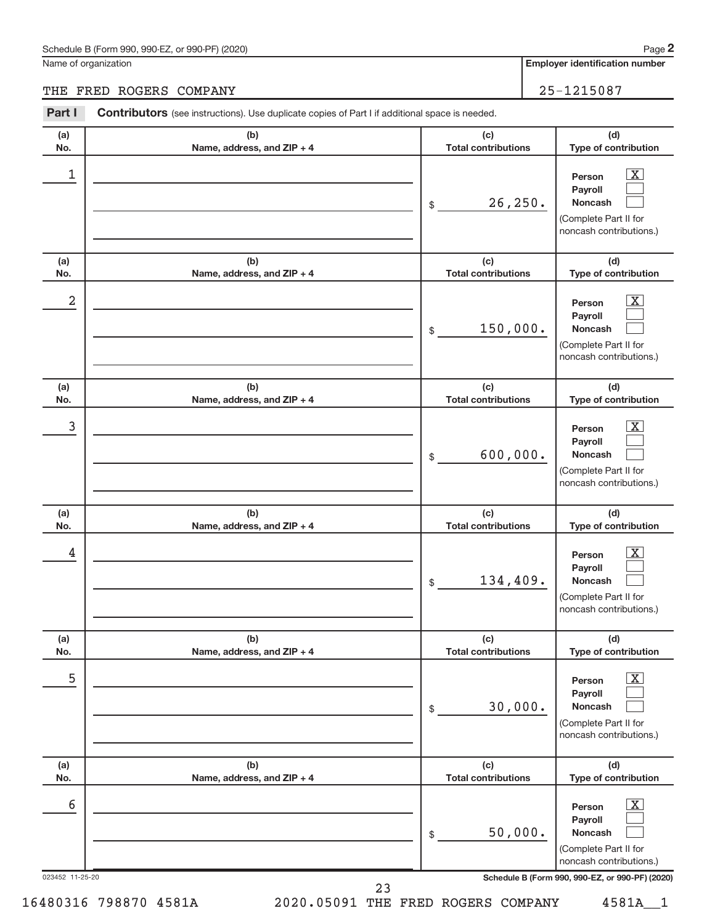# Schedule B (Form 990, 990-EZ, or 990-PF) (2020)

Name of organization

**Employer identification number 2**

# THE FRED ROGERS COMPANY 25-1215087

| Part I               | <b>Contributors</b> (see instructions). Use duplicate copies of Part I if additional space is needed. |                                   |                                                                                                                                                            |
|----------------------|-------------------------------------------------------------------------------------------------------|-----------------------------------|------------------------------------------------------------------------------------------------------------------------------------------------------------|
| (a)<br>No.           | (b)<br>Name, address, and ZIP + 4                                                                     | (c)<br><b>Total contributions</b> | (d)<br>Type of contribution                                                                                                                                |
| 1                    |                                                                                                       | 26,250.<br>\$                     | $\mathbf{X}$<br>Person<br>Payroll<br><b>Noncash</b><br>(Complete Part II for<br>noncash contributions.)                                                    |
| (a)<br>No.           | (b)<br>Name, address, and ZIP + 4                                                                     | (c)<br><b>Total contributions</b> | (d)<br>Type of contribution                                                                                                                                |
| 2                    |                                                                                                       | 150,000.<br>\$                    | $\mathbf{X}$<br>Person<br>Payroll<br><b>Noncash</b><br>(Complete Part II for<br>noncash contributions.)                                                    |
| (a)<br>No.           | (b)<br>Name, address, and ZIP + 4                                                                     | (c)<br><b>Total contributions</b> | (d)<br>Type of contribution                                                                                                                                |
| 3                    |                                                                                                       | 600,000.<br>\$                    | $\overline{\mathbf{X}}$<br>Person<br>Payroll<br><b>Noncash</b><br>(Complete Part II for<br>noncash contributions.)                                         |
| (a)<br>No.           | (b)<br>Name, address, and ZIP + 4                                                                     | (c)<br><b>Total contributions</b> | (d)<br>Type of contribution                                                                                                                                |
| 4                    |                                                                                                       | 134,409.<br>\$                    | $\mathbf{X}$<br>Person<br>Payroll<br><b>Noncash</b><br>(Complete Part II for<br>noncash contributions.)                                                    |
| (a)<br>No.           | (b)<br>Name, address, and ZIP + 4                                                                     | (c)<br><b>Total contributions</b> | (d)<br>Type of contribution                                                                                                                                |
| 5                    |                                                                                                       | 30,000.<br>\$                     | $\overline{\mathbf{X}}$<br>Person<br>Payroll<br><b>Noncash</b><br>(Complete Part II for<br>noncash contributions.)                                         |
| (a)<br>No.           | (b)<br>Name, address, and ZIP + 4                                                                     | (c)<br><b>Total contributions</b> | (d)<br>Type of contribution                                                                                                                                |
| 6<br>023452 11-25-20 |                                                                                                       | 50,000.<br>\$                     | $\mathbf{X}$<br>Person<br>Payroll<br><b>Noncash</b><br>(Complete Part II for<br>noncash contributions.)<br>Schedule B (Form 990, 990-EZ, or 990-PF) (2020) |
|                      |                                                                                                       | 23                                |                                                                                                                                                            |

16480316 798870 4581A 2020.05091 THE FRED ROGERS COMPANY 4581A\_\_1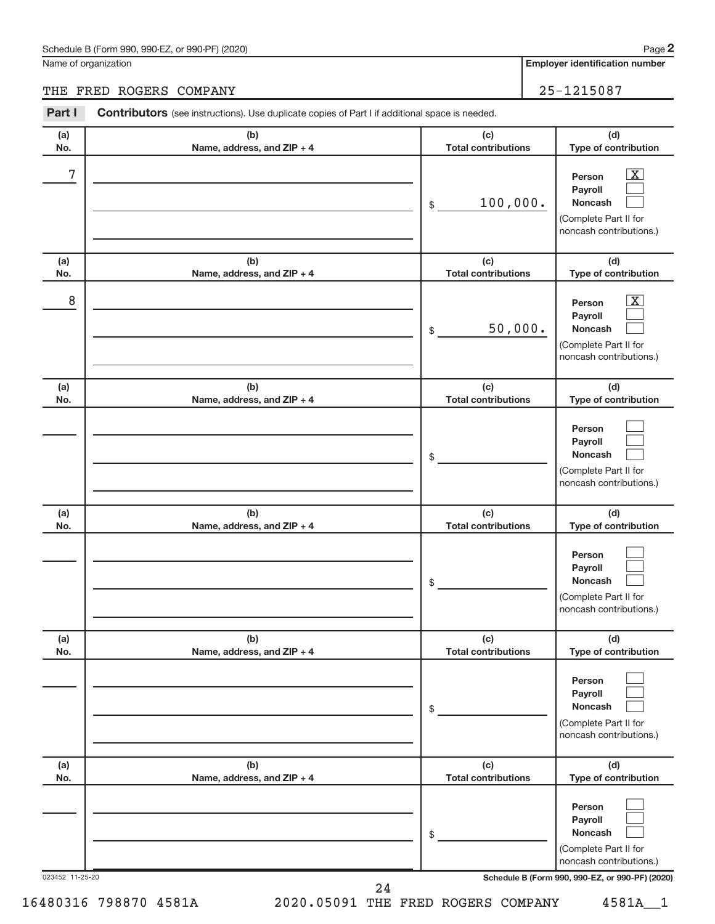# Schedule B (Form 990, 990-EZ, or 990-PF) (2020)

Name of organization

**Employer identification number**

# THE FRED ROGERS COMPANY 25-1215087

| Part I          | <b>Contributors</b> (see instructions). Use duplicate copies of Part I if additional space is needed. |                                   |                                                                                                                 |  |  |  |
|-----------------|-------------------------------------------------------------------------------------------------------|-----------------------------------|-----------------------------------------------------------------------------------------------------------------|--|--|--|
| (a)<br>No.      | (b)<br>Name, address, and ZIP + 4                                                                     | (c)<br><b>Total contributions</b> | (d)<br>Type of contribution                                                                                     |  |  |  |
| $\sqrt{ }$      |                                                                                                       | 100,000.<br>\$                    | $\boxed{\textbf{X}}$<br>Person<br>Payroll<br><b>Noncash</b><br>(Complete Part II for<br>noncash contributions.) |  |  |  |
| (a)<br>No.      | (b)<br>Name, address, and ZIP + 4                                                                     | (c)<br><b>Total contributions</b> | (d)<br>Type of contribution                                                                                     |  |  |  |
| 8               |                                                                                                       | 50,000.<br>\$                     | $\boxed{\textbf{X}}$<br>Person<br>Payroll<br><b>Noncash</b><br>(Complete Part II for<br>noncash contributions.) |  |  |  |
| (a)<br>No.      | (b)<br>Name, address, and ZIP + 4                                                                     | (c)<br><b>Total contributions</b> | (d)<br>Type of contribution                                                                                     |  |  |  |
|                 |                                                                                                       | \$                                | Person<br>Payroll<br><b>Noncash</b><br>(Complete Part II for<br>noncash contributions.)                         |  |  |  |
| (a)<br>No.      | (b)<br>Name, address, and ZIP + 4                                                                     | (c)<br><b>Total contributions</b> | (d)<br>Type of contribution                                                                                     |  |  |  |
|                 |                                                                                                       | \$                                | Person<br>Payroll<br><b>Noncash</b><br>(Complete Part II for<br>noncash contributions.)                         |  |  |  |
| (a)<br>No.      | (b)<br>Name, address, and ZIP + 4                                                                     | (c)<br><b>Total contributions</b> | (d)<br>Type of contribution                                                                                     |  |  |  |
|                 |                                                                                                       | \$                                | Person<br>Payroll<br><b>Noncash</b><br>(Complete Part II for<br>noncash contributions.)                         |  |  |  |
| (a)<br>No.      | (b)<br>Name, address, and ZIP + 4                                                                     | (c)<br><b>Total contributions</b> | (d)<br>Type of contribution                                                                                     |  |  |  |
|                 |                                                                                                       | \$                                | Person<br>Payroll<br><b>Noncash</b><br>(Complete Part II for<br>noncash contributions.)                         |  |  |  |
| 023452 11-25-20 |                                                                                                       | 24                                | Schedule B (Form 990, 990-EZ, or 990-PF) (2020)                                                                 |  |  |  |

16480316 798870 4581A 2020.05091 THE FRED ROGERS COMPANY 4581A\_\_1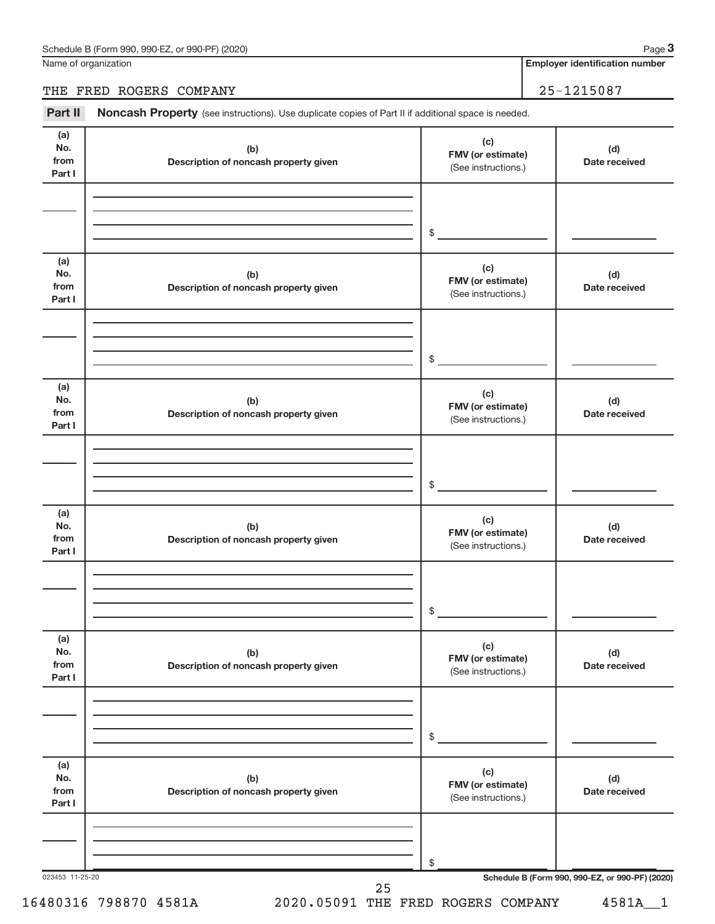Name of organization

**Employer identification number**

# THE FRED ROGERS COMPANY 25-1215087

Part II Noncash Property (see instructions). Use duplicate copies of Part II if additional space is needed.

| No.<br>from<br>Part I        | (b)<br>Description of noncash property given | (c)<br>FMV (or estimate)<br>(See instructions.) | (d)<br>Date received                            |
|------------------------------|----------------------------------------------|-------------------------------------------------|-------------------------------------------------|
|                              |                                              | $\sim$                                          |                                                 |
|                              |                                              |                                                 |                                                 |
| (a)<br>No.<br>from<br>Part I | (b)<br>Description of noncash property given | (c)<br>FMV (or estimate)<br>(See instructions.) | (d)<br>Date received                            |
|                              |                                              | $\frac{1}{2}$                                   |                                                 |
| (a)<br>No.<br>from<br>Part I | (b)<br>Description of noncash property given | (c)<br>FMV (or estimate)<br>(See instructions.) | (d)<br>Date received                            |
|                              |                                              | $\frac{1}{2}$                                   |                                                 |
| (a)<br>No.<br>from<br>Part I | (b)<br>Description of noncash property given | (c)<br>FMV (or estimate)<br>(See instructions.) | (d)<br>Date received                            |
|                              |                                              | $\frac{1}{2}$                                   |                                                 |
| (a)<br>No.<br>from<br>Part I | (b)<br>Description of noncash property given | (c)<br>FMV (or estimate)<br>(See instructions.) | (d)<br>Date received                            |
|                              |                                              | \$                                              |                                                 |
| (a)<br>No.<br>from<br>Part I | (b)<br>Description of noncash property given | (c)<br>FMV (or estimate)<br>(See instructions.) | (d)<br>Date received                            |
|                              |                                              | \$                                              |                                                 |
| 023453 11-25-20              |                                              |                                                 | Schedule B (Form 990, 990-EZ, or 990-PF) (2020) |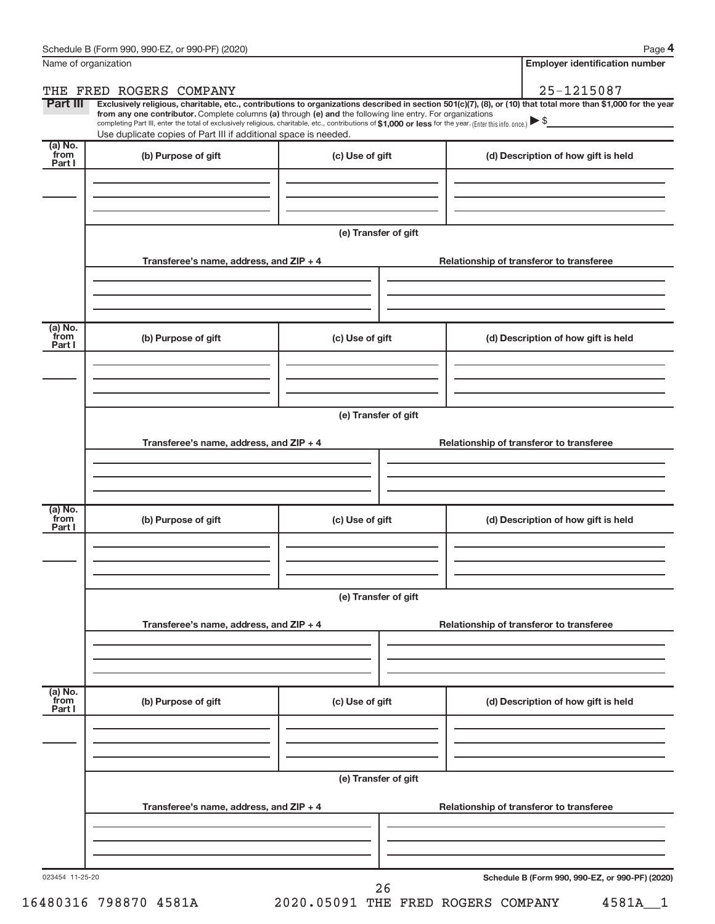**4**

| Name of organization        |                                                                                                                                                                                                                                                                                                                                                                                                                                                                                                                                      |                      | <b>Employer identification number</b>           |
|-----------------------------|--------------------------------------------------------------------------------------------------------------------------------------------------------------------------------------------------------------------------------------------------------------------------------------------------------------------------------------------------------------------------------------------------------------------------------------------------------------------------------------------------------------------------------------|----------------------|-------------------------------------------------|
| THE                         | FRED ROGERS COMPANY                                                                                                                                                                                                                                                                                                                                                                                                                                                                                                                  |                      | 25-1215087                                      |
| Part III                    | Exclusively religious, charitable, etc., contributions to organizations described in section 501(c)(7), (8), or (10) that total more than \$1,000 for the year<br>from any one contributor. Complete columns (a) through (e) and the following line entry. For organizations<br>completing Part III, enter the total of exclusively religious, charitable, etc., contributions of \$1,000 or less for the year. (Enter this info. once.) $\blacktriangleright$ \$<br>Use duplicate copies of Part III if additional space is needed. |                      |                                                 |
| (a) No.<br>from<br>Part I   | (b) Purpose of gift                                                                                                                                                                                                                                                                                                                                                                                                                                                                                                                  | (c) Use of gift      | (d) Description of how gift is held             |
|                             |                                                                                                                                                                                                                                                                                                                                                                                                                                                                                                                                      | (e) Transfer of gift |                                                 |
|                             | Transferee's name, address, and ZIP + 4                                                                                                                                                                                                                                                                                                                                                                                                                                                                                              |                      | Relationship of transferor to transferee        |
| (a) No.<br>from<br>Part I   | (b) Purpose of gift                                                                                                                                                                                                                                                                                                                                                                                                                                                                                                                  | (c) Use of gift      | (d) Description of how gift is held             |
|                             |                                                                                                                                                                                                                                                                                                                                                                                                                                                                                                                                      |                      |                                                 |
|                             | Transferee's name, address, and ZIP + 4                                                                                                                                                                                                                                                                                                                                                                                                                                                                                              | (e) Transfer of gift | Relationship of transferor to transferee        |
| (a) No.<br>from<br>Part I   | (b) Purpose of gift                                                                                                                                                                                                                                                                                                                                                                                                                                                                                                                  | (c) Use of gift      | (d) Description of how gift is held             |
|                             | Transferee's name, address, and ZIP + 4                                                                                                                                                                                                                                                                                                                                                                                                                                                                                              | (e) Transfer of gift | Relationship of transferor to transferee        |
| $(a)$ No.<br>from<br>Part I | (b) Purpose of gift                                                                                                                                                                                                                                                                                                                                                                                                                                                                                                                  | (c) Use of gift      | (d) Description of how gift is held             |
|                             |                                                                                                                                                                                                                                                                                                                                                                                                                                                                                                                                      | (e) Transfer of gift |                                                 |
|                             | Transferee's name, address, and ZIP + 4                                                                                                                                                                                                                                                                                                                                                                                                                                                                                              |                      | Relationship of transferor to transferee        |
| 023454 11-25-20             |                                                                                                                                                                                                                                                                                                                                                                                                                                                                                                                                      | 26                   | Schedule B (Form 990, 990-EZ, or 990-PF) (2020) |

16480316 798870 4581A 2020.05091 THE FRED ROGERS COMPANY 4581A\_\_1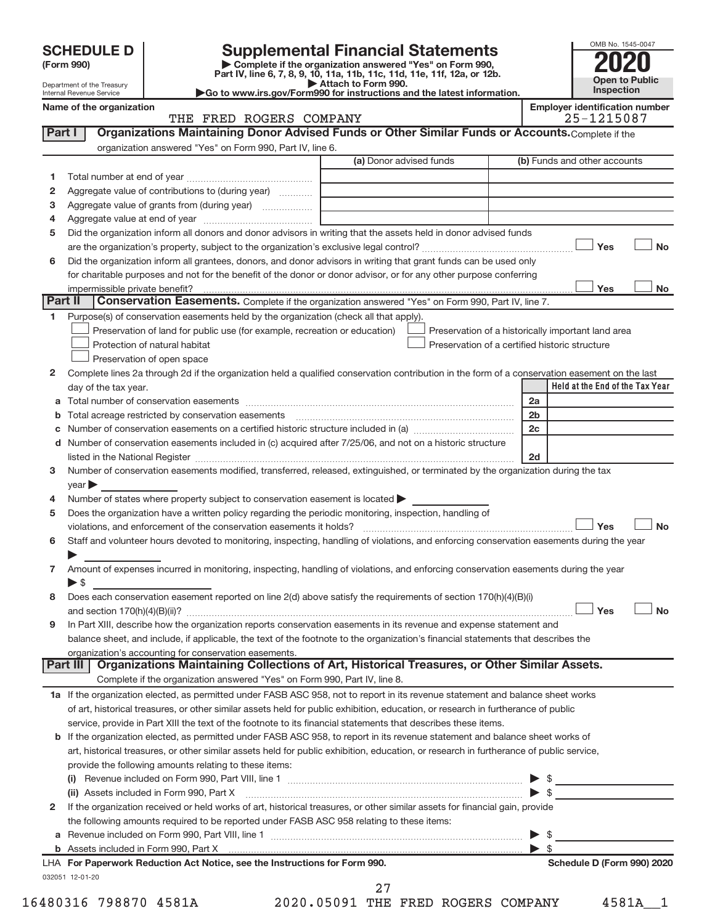| <b>SCHEDULE D</b> |  |
|-------------------|--|
|-------------------|--|

| (Form 990) |  |
|------------|--|
|------------|--|

**(Form 990) | Complete if the organization answered "Yes" on Form 990, Part IV, line 6, 7, 8, 9, 10, 11a, 11b, 11c, 11d, 11e, 11f, 12a, or 12b. SCHEDULE D Supplemental Financial Statements**<br> **Form 990 2020**<br>
Part IV line 6.7.8.9.10, 11a, 11b, 11d, 11d, 11d, 11d, 11d, 20, 07, 12b

**| Attach to Form 990. |Go to www.irs.gov/Form990 for instructions and the latest information.**



Department of the Treasury Internal Revenue Service **Name of the organization** 

| Employer identification number |
|--------------------------------|
| $95 - 1915097$                 |

|         | THE FRED ROGERS COMPANY                                                                                                                               |                                                | 25-1215087                                         |
|---------|-------------------------------------------------------------------------------------------------------------------------------------------------------|------------------------------------------------|----------------------------------------------------|
| Part I  | Organizations Maintaining Donor Advised Funds or Other Similar Funds or Accounts. Complete if the                                                     |                                                |                                                    |
|         | organization answered "Yes" on Form 990, Part IV, line 6.                                                                                             |                                                |                                                    |
|         |                                                                                                                                                       | (a) Donor advised funds                        | (b) Funds and other accounts                       |
| 1       |                                                                                                                                                       |                                                |                                                    |
|         | Aggregate value of contributions to (during year)                                                                                                     |                                                |                                                    |
| 2       |                                                                                                                                                       |                                                |                                                    |
| з       | Aggregate value of grants from (during year)                                                                                                          |                                                |                                                    |
| 4       |                                                                                                                                                       |                                                |                                                    |
| 5       | Did the organization inform all donors and donor advisors in writing that the assets held in donor advised funds                                      |                                                |                                                    |
|         |                                                                                                                                                       |                                                | Yes<br><b>No</b>                                   |
| 6       | Did the organization inform all grantees, donors, and donor advisors in writing that grant funds can be used only                                     |                                                |                                                    |
|         | for charitable purposes and not for the benefit of the donor or donor advisor, or for any other purpose conferring                                    |                                                |                                                    |
| Part II | impermissible private benefit?                                                                                                                        |                                                | Yes<br>No                                          |
|         | Conservation Easements. Complete if the organization answered "Yes" on Form 990, Part IV, line 7.                                                     |                                                |                                                    |
| 1.      | Purpose(s) of conservation easements held by the organization (check all that apply).                                                                 |                                                |                                                    |
|         | Preservation of land for public use (for example, recreation or education)                                                                            |                                                | Preservation of a historically important land area |
|         | Protection of natural habitat                                                                                                                         | Preservation of a certified historic structure |                                                    |
|         | Preservation of open space                                                                                                                            |                                                |                                                    |
| 2       | Complete lines 2a through 2d if the organization held a qualified conservation contribution in the form of a conservation easement on the last        |                                                |                                                    |
|         | day of the tax year.                                                                                                                                  |                                                | Held at the End of the Tax Year                    |
|         |                                                                                                                                                       |                                                | 2a                                                 |
|         | <b>b</b> Total acreage restricted by conservation easements                                                                                           |                                                | 2 <sub>b</sub>                                     |
| C       |                                                                                                                                                       |                                                | 2c                                                 |
|         | d Number of conservation easements included in (c) acquired after 7/25/06, and not on a historic structure                                            |                                                |                                                    |
|         |                                                                                                                                                       |                                                | 2d                                                 |
| 3       | Number of conservation easements modified, transferred, released, extinguished, or terminated by the organization during the tax                      |                                                |                                                    |
|         | $\vee$ ear                                                                                                                                            |                                                |                                                    |
| 4       | Number of states where property subject to conservation easement is located >                                                                         |                                                |                                                    |
| 5       | Does the organization have a written policy regarding the periodic monitoring, inspection, handling of                                                |                                                |                                                    |
|         | violations, and enforcement of the conservation easements it holds?                                                                                   |                                                | Yes<br><b>No</b>                                   |
| 6       | Staff and volunteer hours devoted to monitoring, inspecting, handling of violations, and enforcing conservation easements during the year             |                                                |                                                    |
|         |                                                                                                                                                       |                                                |                                                    |
| 7       | Amount of expenses incurred in monitoring, inspecting, handling of violations, and enforcing conservation easements during the year                   |                                                |                                                    |
|         | $\triangleright$ \$                                                                                                                                   |                                                |                                                    |
| 8       | Does each conservation easement reported on line 2(d) above satisfy the requirements of section 170(h)(4)(B)(i)                                       |                                                |                                                    |
|         |                                                                                                                                                       |                                                | Yes<br><b>No</b>                                   |
| 9       | In Part XIII, describe how the organization reports conservation easements in its revenue and expense statement and                                   |                                                |                                                    |
|         | balance sheet, and include, if applicable, the text of the footnote to the organization's financial statements that describes the                     |                                                |                                                    |
|         | organization's accounting for conservation easements.<br>Organizations Maintaining Collections of Art, Historical Treasures, or Other Similar Assets. |                                                |                                                    |
|         | Part III                                                                                                                                              |                                                |                                                    |
|         | Complete if the organization answered "Yes" on Form 990, Part IV, line 8.                                                                             |                                                |                                                    |
|         | 1a If the organization elected, as permitted under FASB ASC 958, not to report in its revenue statement and balance sheet works                       |                                                |                                                    |
|         | of art, historical treasures, or other similar assets held for public exhibition, education, or research in furtherance of public                     |                                                |                                                    |
|         | service, provide in Part XIII the text of the footnote to its financial statements that describes these items.                                        |                                                |                                                    |
|         | <b>b</b> If the organization elected, as permitted under FASB ASC 958, to report in its revenue statement and balance sheet works of                  |                                                |                                                    |
|         | art, historical treasures, or other similar assets held for public exhibition, education, or research in furtherance of public service,               |                                                |                                                    |
|         | provide the following amounts relating to these items:                                                                                                |                                                |                                                    |
|         |                                                                                                                                                       |                                                |                                                    |
|         |                                                                                                                                                       |                                                | $\triangleright$ s                                 |
| 2       | If the organization received or held works of art, historical treasures, or other similar assets for financial gain, provide                          |                                                |                                                    |
|         | the following amounts required to be reported under FASB ASC 958 relating to these items:                                                             |                                                |                                                    |
|         |                                                                                                                                                       |                                                | \$                                                 |
|         |                                                                                                                                                       |                                                | \$                                                 |
|         | LHA For Paperwork Reduction Act Notice, see the Instructions for Form 990.                                                                            |                                                | Schedule D (Form 990) 2020                         |
|         | 032051 12-01-20                                                                                                                                       |                                                |                                                    |

16480316 798870 4581A 2020.05091 THE FRED ROGERS COMPANY 4581A\_\_1 27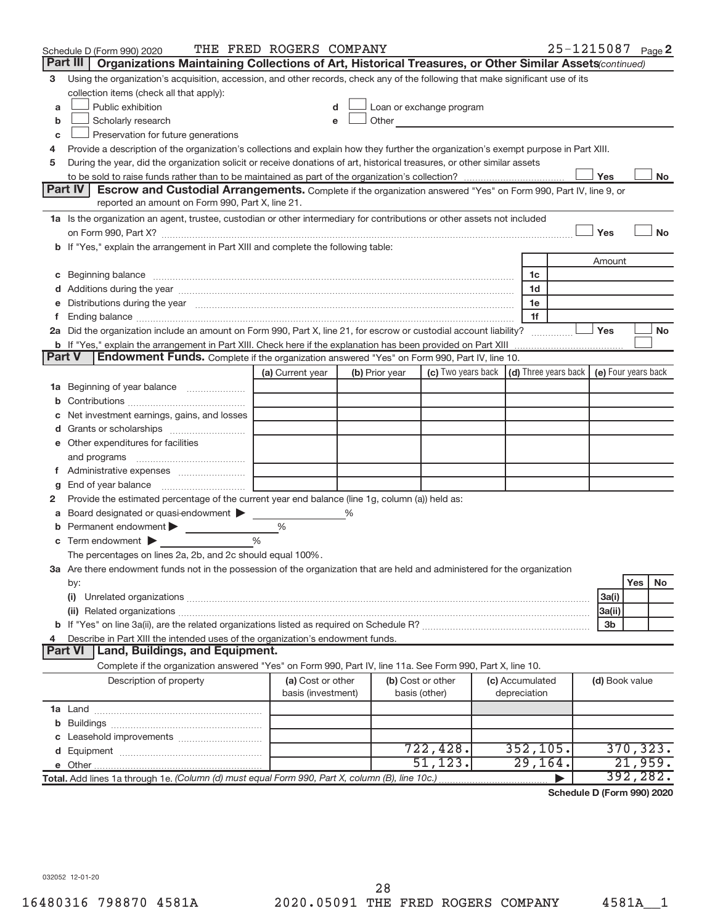|               | Schedule D (Form 990) 2020                                                                                                                                                                                                                                                                                                                                                                                                                                     | THE FRED ROGERS COMPANY |   |                |                                                                                                                                                                                                                               |                 | 25-1215087 Page 2 |                          |           |           |
|---------------|----------------------------------------------------------------------------------------------------------------------------------------------------------------------------------------------------------------------------------------------------------------------------------------------------------------------------------------------------------------------------------------------------------------------------------------------------------------|-------------------------|---|----------------|-------------------------------------------------------------------------------------------------------------------------------------------------------------------------------------------------------------------------------|-----------------|-------------------|--------------------------|-----------|-----------|
|               | Part III  <br>Organizations Maintaining Collections of Art, Historical Treasures, or Other Similar Assets (continued)                                                                                                                                                                                                                                                                                                                                          |                         |   |                |                                                                                                                                                                                                                               |                 |                   |                          |           |           |
| 3             | Using the organization's acquisition, accession, and other records, check any of the following that make significant use of its                                                                                                                                                                                                                                                                                                                                |                         |   |                |                                                                                                                                                                                                                               |                 |                   |                          |           |           |
|               | collection items (check all that apply):                                                                                                                                                                                                                                                                                                                                                                                                                       |                         |   |                |                                                                                                                                                                                                                               |                 |                   |                          |           |           |
| a             | Public exhibition                                                                                                                                                                                                                                                                                                                                                                                                                                              |                         |   |                | Loan or exchange program                                                                                                                                                                                                      |                 |                   |                          |           |           |
| b             | Scholarly research                                                                                                                                                                                                                                                                                                                                                                                                                                             |                         |   |                | Other and the contract of the contract of the contract of the contract of the contract of the contract of the contract of the contract of the contract of the contract of the contract of the contract of the contract of the |                 |                   |                          |           |           |
| c             | Preservation for future generations                                                                                                                                                                                                                                                                                                                                                                                                                            |                         |   |                |                                                                                                                                                                                                                               |                 |                   |                          |           |           |
| 4             | Provide a description of the organization's collections and explain how they further the organization's exempt purpose in Part XIII.                                                                                                                                                                                                                                                                                                                           |                         |   |                |                                                                                                                                                                                                                               |                 |                   |                          |           |           |
| 5             | During the year, did the organization solicit or receive donations of art, historical treasures, or other similar assets                                                                                                                                                                                                                                                                                                                                       |                         |   |                |                                                                                                                                                                                                                               |                 |                   |                          |           |           |
|               |                                                                                                                                                                                                                                                                                                                                                                                                                                                                |                         |   |                |                                                                                                                                                                                                                               |                 |                   | Yes                      |           | No        |
|               | Part IV<br><b>Escrow and Custodial Arrangements.</b> Complete if the organization answered "Yes" on Form 990, Part IV, line 9, or                                                                                                                                                                                                                                                                                                                              |                         |   |                |                                                                                                                                                                                                                               |                 |                   |                          |           |           |
|               | reported an amount on Form 990, Part X, line 21.                                                                                                                                                                                                                                                                                                                                                                                                               |                         |   |                |                                                                                                                                                                                                                               |                 |                   |                          |           |           |
|               | 1a Is the organization an agent, trustee, custodian or other intermediary for contributions or other assets not included                                                                                                                                                                                                                                                                                                                                       |                         |   |                |                                                                                                                                                                                                                               |                 |                   |                          |           |           |
|               |                                                                                                                                                                                                                                                                                                                                                                                                                                                                |                         |   |                |                                                                                                                                                                                                                               |                 |                   | Yes                      |           | <b>No</b> |
|               | b If "Yes," explain the arrangement in Part XIII and complete the following table:                                                                                                                                                                                                                                                                                                                                                                             |                         |   |                |                                                                                                                                                                                                                               |                 |                   |                          |           |           |
|               |                                                                                                                                                                                                                                                                                                                                                                                                                                                                |                         |   |                |                                                                                                                                                                                                                               |                 |                   | Amount                   |           |           |
|               | c Beginning balance measurements and the contract of the contract of the contract of the contract of the contract of the contract of the contract of the contract of the contract of the contract of the contract of the contr                                                                                                                                                                                                                                 |                         |   |                |                                                                                                                                                                                                                               | 1c<br>1d        |                   |                          |           |           |
|               | d Additions during the year manufactured and an annual contract of a distribution of the year manufactured and the year manufactured and a distribution of the year manufactured and a distribution of the state of the state<br>e Distributions during the year manufactured and continuum control of the control of the control of the state of the control of the control of the control of the control of the control of the control of the control of the |                         |   |                |                                                                                                                                                                                                                               | 1e              |                   |                          |           |           |
|               |                                                                                                                                                                                                                                                                                                                                                                                                                                                                |                         |   |                |                                                                                                                                                                                                                               | 1f              |                   |                          |           |           |
|               | 2a Did the organization include an amount on Form 990, Part X, line 21, for escrow or custodial account liability?                                                                                                                                                                                                                                                                                                                                             |                         |   |                |                                                                                                                                                                                                                               |                 |                   | Yes                      |           | <b>No</b> |
|               |                                                                                                                                                                                                                                                                                                                                                                                                                                                                |                         |   |                |                                                                                                                                                                                                                               |                 |                   |                          |           |           |
| <b>Part V</b> | Endowment Funds. Complete if the organization answered "Yes" on Form 990, Part IV, line 10.                                                                                                                                                                                                                                                                                                                                                                    |                         |   |                |                                                                                                                                                                                                                               |                 |                   |                          |           |           |
|               |                                                                                                                                                                                                                                                                                                                                                                                                                                                                | (a) Current year        |   | (b) Prior year | (c) Two years back $\vert$ (d) Three years back $\vert$ (e) Four years back                                                                                                                                                   |                 |                   |                          |           |           |
|               | 1a Beginning of year balance                                                                                                                                                                                                                                                                                                                                                                                                                                   |                         |   |                |                                                                                                                                                                                                                               |                 |                   |                          |           |           |
|               |                                                                                                                                                                                                                                                                                                                                                                                                                                                                |                         |   |                |                                                                                                                                                                                                                               |                 |                   |                          |           |           |
|               | Net investment earnings, gains, and losses                                                                                                                                                                                                                                                                                                                                                                                                                     |                         |   |                |                                                                                                                                                                                                                               |                 |                   |                          |           |           |
|               |                                                                                                                                                                                                                                                                                                                                                                                                                                                                |                         |   |                |                                                                                                                                                                                                                               |                 |                   |                          |           |           |
|               | e Other expenditures for facilities                                                                                                                                                                                                                                                                                                                                                                                                                            |                         |   |                |                                                                                                                                                                                                                               |                 |                   |                          |           |           |
|               |                                                                                                                                                                                                                                                                                                                                                                                                                                                                |                         |   |                |                                                                                                                                                                                                                               |                 |                   |                          |           |           |
|               |                                                                                                                                                                                                                                                                                                                                                                                                                                                                |                         |   |                |                                                                                                                                                                                                                               |                 |                   |                          |           |           |
| g             | End of year balance <i>manually contained</i>                                                                                                                                                                                                                                                                                                                                                                                                                  |                         |   |                |                                                                                                                                                                                                                               |                 |                   |                          |           |           |
| 2             | Provide the estimated percentage of the current year end balance (line 1g, column (a)) held as:                                                                                                                                                                                                                                                                                                                                                                |                         |   |                |                                                                                                                                                                                                                               |                 |                   |                          |           |           |
|               | Board designated or quasi-endowment                                                                                                                                                                                                                                                                                                                                                                                                                            |                         | % |                |                                                                                                                                                                                                                               |                 |                   |                          |           |           |
|               | <b>b</b> Permanent endowment $\blacktriangleright$                                                                                                                                                                                                                                                                                                                                                                                                             | %                       |   |                |                                                                                                                                                                                                                               |                 |                   |                          |           |           |
|               | $\mathbf c$ Term endowment $\blacktriangleright$                                                                                                                                                                                                                                                                                                                                                                                                               | %                       |   |                |                                                                                                                                                                                                                               |                 |                   |                          |           |           |
|               | The percentages on lines 2a, 2b, and 2c should equal 100%.                                                                                                                                                                                                                                                                                                                                                                                                     |                         |   |                |                                                                                                                                                                                                                               |                 |                   |                          |           |           |
|               | 3a Are there endowment funds not in the possession of the organization that are held and administered for the organization                                                                                                                                                                                                                                                                                                                                     |                         |   |                |                                                                                                                                                                                                                               |                 |                   |                          |           |           |
|               | by:                                                                                                                                                                                                                                                                                                                                                                                                                                                            |                         |   |                |                                                                                                                                                                                                                               |                 |                   |                          | Yes       | No        |
|               | (i)                                                                                                                                                                                                                                                                                                                                                                                                                                                            |                         |   |                |                                                                                                                                                                                                                               |                 |                   | 3a(i)                    |           |           |
|               |                                                                                                                                                                                                                                                                                                                                                                                                                                                                |                         |   |                |                                                                                                                                                                                                                               |                 |                   | 3a(ii)<br>3 <sub>b</sub> |           |           |
| 4             | Describe in Part XIII the intended uses of the organization's endowment funds.                                                                                                                                                                                                                                                                                                                                                                                 |                         |   |                |                                                                                                                                                                                                                               |                 |                   |                          |           |           |
|               | Land, Buildings, and Equipment.<br><b>Part VI</b>                                                                                                                                                                                                                                                                                                                                                                                                              |                         |   |                |                                                                                                                                                                                                                               |                 |                   |                          |           |           |
|               | Complete if the organization answered "Yes" on Form 990, Part IV, line 11a. See Form 990, Part X, line 10.                                                                                                                                                                                                                                                                                                                                                     |                         |   |                |                                                                                                                                                                                                                               |                 |                   |                          |           |           |
|               | Description of property                                                                                                                                                                                                                                                                                                                                                                                                                                        | (a) Cost or other       |   |                | (b) Cost or other                                                                                                                                                                                                             | (c) Accumulated |                   | (d) Book value           |           |           |
|               |                                                                                                                                                                                                                                                                                                                                                                                                                                                                | basis (investment)      |   | basis (other)  |                                                                                                                                                                                                                               | depreciation    |                   |                          |           |           |
|               |                                                                                                                                                                                                                                                                                                                                                                                                                                                                |                         |   |                |                                                                                                                                                                                                                               |                 |                   |                          |           |           |
|               |                                                                                                                                                                                                                                                                                                                                                                                                                                                                |                         |   |                |                                                                                                                                                                                                                               |                 |                   |                          |           |           |
|               |                                                                                                                                                                                                                                                                                                                                                                                                                                                                |                         |   |                |                                                                                                                                                                                                                               |                 |                   |                          |           |           |
|               |                                                                                                                                                                                                                                                                                                                                                                                                                                                                |                         |   |                | 722,428.                                                                                                                                                                                                                      | 352, 105.       |                   |                          | 370, 323. |           |
|               |                                                                                                                                                                                                                                                                                                                                                                                                                                                                |                         |   |                | 51, 123.                                                                                                                                                                                                                      | 29, 164.        |                   |                          | 21,959.   |           |
|               | Total. Add lines 1a through 1e. (Column (d) must equal Form 990, Part X, column (B), line 10c.)                                                                                                                                                                                                                                                                                                                                                                |                         |   |                |                                                                                                                                                                                                                               |                 |                   |                          | 392,282.  |           |
|               |                                                                                                                                                                                                                                                                                                                                                                                                                                                                |                         |   |                |                                                                                                                                                                                                                               |                 |                   |                          |           |           |

**Schedule D (Form 990) 2020**

032052 12-01-20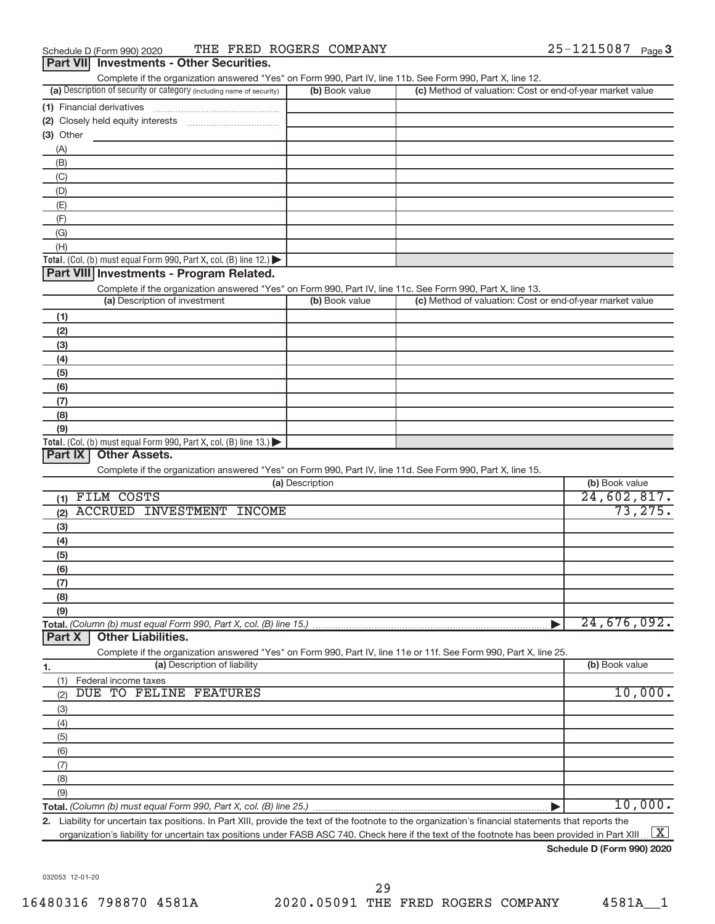| Complete if the organization answered "Yes" on Form 990, Part IV, line 11b. See Form 990, Part X, line 12. |                |                                                           |
|------------------------------------------------------------------------------------------------------------|----------------|-----------------------------------------------------------|
| (a) Description of security or category (including name of security)                                       | (b) Book value | (c) Method of valuation: Cost or end-of-year market value |
| (1) Financial derivatives                                                                                  |                |                                                           |
| (2) Closely held equity interests                                                                          |                |                                                           |
| (3) Other                                                                                                  |                |                                                           |
| (A)                                                                                                        |                |                                                           |
| (B)                                                                                                        |                |                                                           |
| (C)                                                                                                        |                |                                                           |
| (D)                                                                                                        |                |                                                           |
| (E)                                                                                                        |                |                                                           |
| (F)                                                                                                        |                |                                                           |
| (G)                                                                                                        |                |                                                           |
| (H)                                                                                                        |                |                                                           |
| <b>Total.</b> (Col. (b) must equal Form 990, Part X, col. (B) line $12$ .)                                 |                |                                                           |

# **Part VIII Investments - Program Related.**

Complete if the organization answered "Yes" on Form 990, Part IV, line 11c. See Form 990, Part X, line 13.

| (a) Description of investment                                                           | (b) Book value | (c) Method of valuation: Cost or end-of-year market value |
|-----------------------------------------------------------------------------------------|----------------|-----------------------------------------------------------|
| (1)                                                                                     |                |                                                           |
| (2)                                                                                     |                |                                                           |
| (3)                                                                                     |                |                                                           |
| (4)                                                                                     |                |                                                           |
| (5)                                                                                     |                |                                                           |
| (6)                                                                                     |                |                                                           |
| (7)                                                                                     |                |                                                           |
| (8)                                                                                     |                |                                                           |
| (9)                                                                                     |                |                                                           |
| Total. (Col. (b) must equal Form 990, Part X, col. (B) line $13.$ $\blacktriangleright$ |                |                                                           |

# **Part IX Other Assets.**

Complete if the organization answered "Yes" on Form 990, Part IV, line 11d. See Form 990, Part X, line 15.

| (a) Description                                                                                                   | (b) Book value |
|-------------------------------------------------------------------------------------------------------------------|----------------|
| FILM COSTS<br>(1)                                                                                                 | 24,602,817.    |
| ACCRUED INVESTMENT<br>INCOME<br>(2)                                                                               | 73, 275.       |
| (3)                                                                                                               |                |
| (4)                                                                                                               |                |
| (5)                                                                                                               |                |
| (6)                                                                                                               |                |
| (7)                                                                                                               |                |
| (8)                                                                                                               |                |
| (9)                                                                                                               |                |
|                                                                                                                   | 24,676,092.    |
| <b>Part X</b><br><b>Other Liabilities.</b>                                                                        |                |
| Complete if the organization answered "Yes" on Form 990, Part IV, line 11e or 11f. See Form 990, Part X, line 25. |                |

**1. (a)** Description of liability **Book value (b)** Book value **Total.**  *(Column (b) must equal Form 990, Part X, col. (B) line 25.)* (1) (2) (3) (4) (5) (6) (7) (8) (9) Federal income taxes | DUE TO FELINE FEATURES 10,000 10,000.

**2.** Liability for uncertain tax positions. In Part XIII, provide the text of the footnote to the organization's financial statements that reports the organization's liability for uncertain tax positions under FASB ASC 740. Check here if the text of the footnote has been provided in Part XIII ...  $\boxed{\mathrm{X}}$ 

**Schedule D (Form 990) 2020**

032053 12-01-20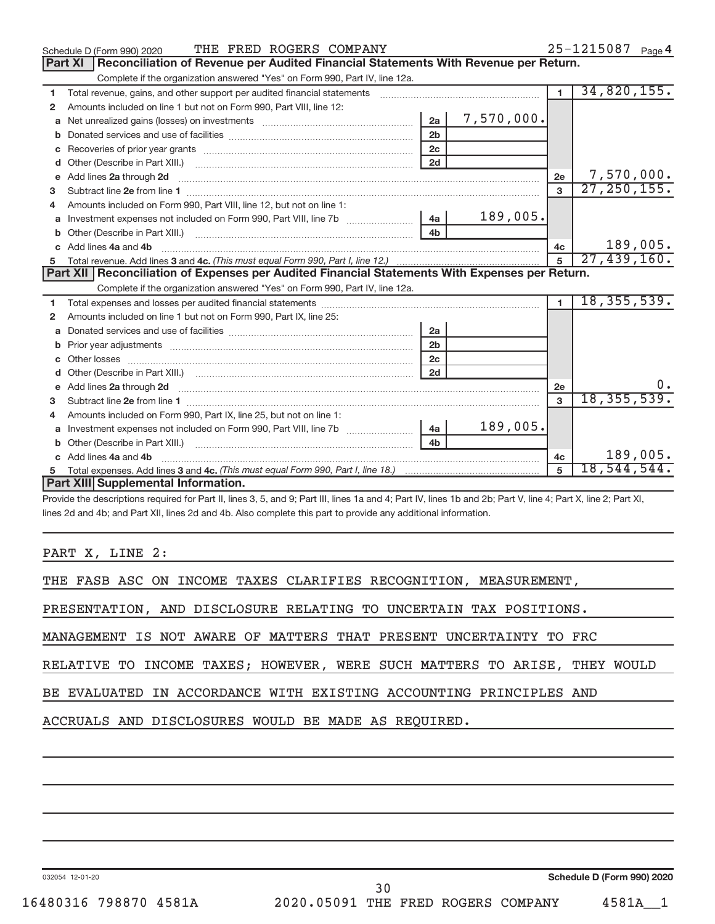|             | THE FRED ROGERS COMPANY<br>Schedule D (Form 990) 2020                                                                                                                                                                               |                |            |                | 25-1215087 Page 4 |
|-------------|-------------------------------------------------------------------------------------------------------------------------------------------------------------------------------------------------------------------------------------|----------------|------------|----------------|-------------------|
|             | Part XI   Reconciliation of Revenue per Audited Financial Statements With Revenue per Return.                                                                                                                                       |                |            |                |                   |
|             | Complete if the organization answered "Yes" on Form 990, Part IV, line 12a.                                                                                                                                                         |                |            |                |                   |
| 1           | Total revenue, gains, and other support per audited financial statements [111] [11] Total revenue, gains, and other support per audited financial statements                                                                        |                |            | $\mathbf{1}$   | 34,820,155.       |
| 2           | Amounts included on line 1 but not on Form 990, Part VIII, line 12:                                                                                                                                                                 |                |            |                |                   |
| a           |                                                                                                                                                                                                                                     | 2a             | 7,570,000. |                |                   |
| $\mathbf b$ |                                                                                                                                                                                                                                     | 2 <sub>b</sub> |            |                |                   |
| c           |                                                                                                                                                                                                                                     | 2c             |            |                |                   |
| d           |                                                                                                                                                                                                                                     | 2d             |            |                |                   |
| e           | Add lines 2a through 2d <b>continuum continuum contract and continuum contract a</b> through 2d continuum contract and continuum contract a term of the contract of the contract and contract a term of the contract of the contrac |                |            | 2e             | 7,570,000.        |
| 3           |                                                                                                                                                                                                                                     |                |            | 3              | 27, 250, 155.     |
|             | Amounts included on Form 990, Part VIII, line 12, but not on line 1:                                                                                                                                                                |                |            |                |                   |
| a           | Investment expenses not included on Form 990, Part VIII, line 7b                                                                                                                                                                    | 4a             | 189,005.   |                |                   |
|             |                                                                                                                                                                                                                                     | 4 <sub>h</sub> |            |                |                   |
|             | Add lines 4a and 4b                                                                                                                                                                                                                 |                |            | 4c             | 189,005.          |
| 5           |                                                                                                                                                                                                                                     |                |            | $\overline{5}$ | 27,439,160.       |
|             | Part XII   Reconciliation of Expenses per Audited Financial Statements With Expenses per Return.                                                                                                                                    |                |            |                |                   |
|             | Complete if the organization answered "Yes" on Form 990, Part IV, line 12a.                                                                                                                                                         |                |            |                |                   |
|             |                                                                                                                                                                                                                                     |                |            |                |                   |
| 1.          |                                                                                                                                                                                                                                     |                |            | $\blacksquare$ | 18, 355, 539.     |
| 2           | Amounts included on line 1 but not on Form 990, Part IX, line 25:                                                                                                                                                                   |                |            |                |                   |
| a           |                                                                                                                                                                                                                                     | 2a             |            |                |                   |
|             |                                                                                                                                                                                                                                     | 2 <sub>b</sub> |            |                |                   |
| C.          |                                                                                                                                                                                                                                     | 2 <sub>c</sub> |            |                |                   |
| d           |                                                                                                                                                                                                                                     | 2d             |            |                |                   |
|             |                                                                                                                                                                                                                                     |                |            | 2e             |                   |
| з.          |                                                                                                                                                                                                                                     |                |            |                | 18, 355, 539.     |
| 4           | Amounts included on Form 990, Part IX, line 25, but not on line 1:                                                                                                                                                                  |                |            |                |                   |
|             |                                                                                                                                                                                                                                     | 4a l           | 189,005.   |                |                   |
|             |                                                                                                                                                                                                                                     | 4h             |            |                |                   |
|             | c Add lines 4a and 4b                                                                                                                                                                                                               |                |            | 4c             | 189,005.          |
|             | Part XIII Supplemental Information.                                                                                                                                                                                                 |                |            | 5              | 18,544,544.       |

Provide the descriptions required for Part II, lines 3, 5, and 9; Part III, lines 1a and 4; Part IV, lines 1b and 2b; Part V, line 4; Part X, line 2; Part XI, lines 2d and 4b; and Part XII, lines 2d and 4b. Also complete this part to provide any additional information.

PART X, LINE 2:

THE FASB ASC ON INCOME TAXES CLARIFIES RECOGNITION, MEASUREMENT,

PRESENTATION, AND DISCLOSURE RELATING TO UNCERTAIN TAX POSITIONS.

MANAGEMENT IS NOT AWARE OF MATTERS THAT PRESENT UNCERTAINTY TO FRC

RELATIVE TO INCOME TAXES; HOWEVER, WERE SUCH MATTERS TO ARISE, THEY WOULD

BE EVALUATED IN ACCORDANCE WITH EXISTING ACCOUNTING PRINCIPLES AND

ACCRUALS AND DISCLOSURES WOULD BE MADE AS REQUIRED.

032054 12-01-20

**Schedule D (Form 990) 2020**

30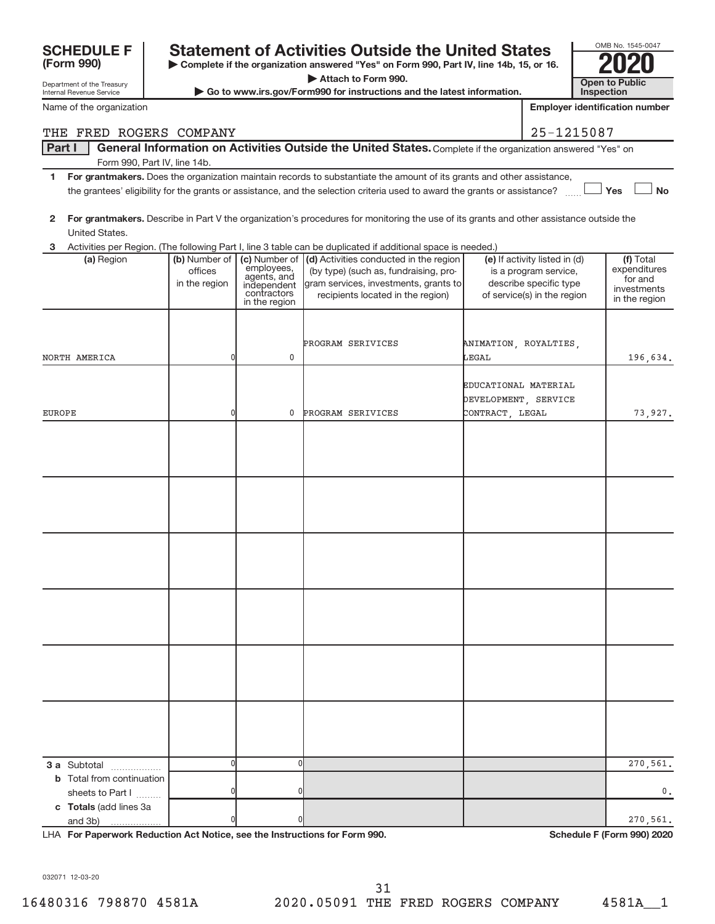| Name of the organization         |                          |                             |                                                                                                                                         |                       | <b>Employer identification number</b>                  |                              |
|----------------------------------|--------------------------|-----------------------------|-----------------------------------------------------------------------------------------------------------------------------------------|-----------------------|--------------------------------------------------------|------------------------------|
| THE FRED ROGERS COMPANY          |                          |                             |                                                                                                                                         |                       | 25-1215087                                             |                              |
| Part I                           |                          |                             | General Information on Activities Outside the United States. Complete if the organization answered "Yes" on                             |                       |                                                        |                              |
| Form 990, Part IV, line 14b.     |                          |                             |                                                                                                                                         |                       |                                                        |                              |
| 1                                |                          |                             | For grantmakers. Does the organization maintain records to substantiate the amount of its grants and other assistance,                  |                       |                                                        |                              |
|                                  |                          |                             | the grantees' eligibility for the grants or assistance, and the selection criteria used to award the grants or assistance?              |                       |                                                        | Yes<br><b>No</b>             |
|                                  |                          |                             |                                                                                                                                         |                       |                                                        |                              |
| $\mathbf{2}$                     |                          |                             | For grantmakers. Describe in Part V the organization's procedures for monitoring the use of its grants and other assistance outside the |                       |                                                        |                              |
| United States.                   |                          |                             |                                                                                                                                         |                       |                                                        |                              |
| 3                                |                          |                             | Activities per Region. (The following Part I, line 3 table can be duplicated if additional space is needed.)                            |                       |                                                        |                              |
| (a) Region                       | (b) Number of<br>offices | (c) Number of<br>employees, | (d) Activities conducted in the region<br>(by type) (such as, fundraising, pro-                                                         |                       | (e) If activity listed in (d)<br>is a program service, | (f) Total<br>expenditures    |
|                                  | in the region            | agents, and<br>independent  | gram services, investments, grants to                                                                                                   |                       | describe specific type                                 | for and                      |
|                                  |                          | contractors                 | recipients located in the region)                                                                                                       |                       | of service(s) in the region                            | investments<br>in the region |
|                                  |                          | in the region               |                                                                                                                                         |                       |                                                        |                              |
|                                  |                          |                             |                                                                                                                                         |                       |                                                        |                              |
|                                  |                          |                             | PROGRAM SERIVICES                                                                                                                       | ANIMATION, ROYALTIES, |                                                        |                              |
| NORTH AMERICA                    | 0                        | 0                           |                                                                                                                                         | LEGAL                 |                                                        | 196,634.                     |
|                                  |                          |                             |                                                                                                                                         |                       |                                                        |                              |
|                                  |                          |                             |                                                                                                                                         | EDUCATIONAL MATERIAL  |                                                        |                              |
|                                  |                          |                             |                                                                                                                                         | DEVELOPMENT, SERVICE  |                                                        |                              |
| EUROPE                           | 0                        | 0                           | PROGRAM SERIVICES                                                                                                                       | CONTRACT LEGAL        |                                                        | 73,927.                      |
|                                  |                          |                             |                                                                                                                                         |                       |                                                        |                              |
|                                  |                          |                             |                                                                                                                                         |                       |                                                        |                              |
|                                  |                          |                             |                                                                                                                                         |                       |                                                        |                              |
|                                  |                          |                             |                                                                                                                                         |                       |                                                        |                              |
|                                  |                          |                             |                                                                                                                                         |                       |                                                        |                              |
|                                  |                          |                             |                                                                                                                                         |                       |                                                        |                              |
|                                  |                          |                             |                                                                                                                                         |                       |                                                        |                              |
|                                  |                          |                             |                                                                                                                                         |                       |                                                        |                              |
|                                  |                          |                             |                                                                                                                                         |                       |                                                        |                              |
|                                  |                          |                             |                                                                                                                                         |                       |                                                        |                              |
|                                  |                          |                             |                                                                                                                                         |                       |                                                        |                              |
|                                  |                          |                             |                                                                                                                                         |                       |                                                        |                              |
|                                  |                          |                             |                                                                                                                                         |                       |                                                        |                              |
|                                  |                          |                             |                                                                                                                                         |                       |                                                        |                              |
|                                  |                          |                             |                                                                                                                                         |                       |                                                        |                              |
|                                  |                          |                             |                                                                                                                                         |                       |                                                        |                              |
|                                  |                          |                             |                                                                                                                                         |                       |                                                        |                              |
|                                  |                          |                             |                                                                                                                                         |                       |                                                        |                              |
|                                  |                          |                             |                                                                                                                                         |                       |                                                        |                              |
|                                  |                          |                             |                                                                                                                                         |                       |                                                        |                              |
|                                  |                          |                             |                                                                                                                                         |                       |                                                        |                              |
|                                  |                          |                             |                                                                                                                                         |                       |                                                        |                              |
|                                  |                          |                             |                                                                                                                                         |                       |                                                        |                              |
| 3 a Subtotal                     | 0                        | 0                           |                                                                                                                                         |                       |                                                        | 270,561.                     |
| <b>b</b> Total from continuation |                          |                             |                                                                                                                                         |                       |                                                        |                              |
| sheets to Part I                 | U                        | 0                           |                                                                                                                                         |                       |                                                        | 0.                           |
| c Totals (add lines 3a           |                          |                             |                                                                                                                                         |                       |                                                        |                              |
| and 3b)                          |                          | 0                           |                                                                                                                                         |                       |                                                        | 270,561.                     |

**SCHEDULE F Statement of Activities Outside the United States 2020**

**| Complete if the organization answered "Yes" on Form 990, Part IV, line 14b, 15, or 16. | Attach to Form 990.**

 $\triangleright$  Go to www.irs.gov/Form990 for instructions and the latest information.

OMB No. 1545-0047 **Open to Public<br>Inspection** 

Department of the Treasury Internal Revenue Service

**(Form 990)**

LHA For Paperwork Reduction Act Notice, see the Instructions for Form 990. **In the case of the Schedule F (Form 990) 2020** 

032071 12-03-20

16480316 798870 4581A 2020.05091 THE FRED ROGERS COMPANY 4581A\_\_1 31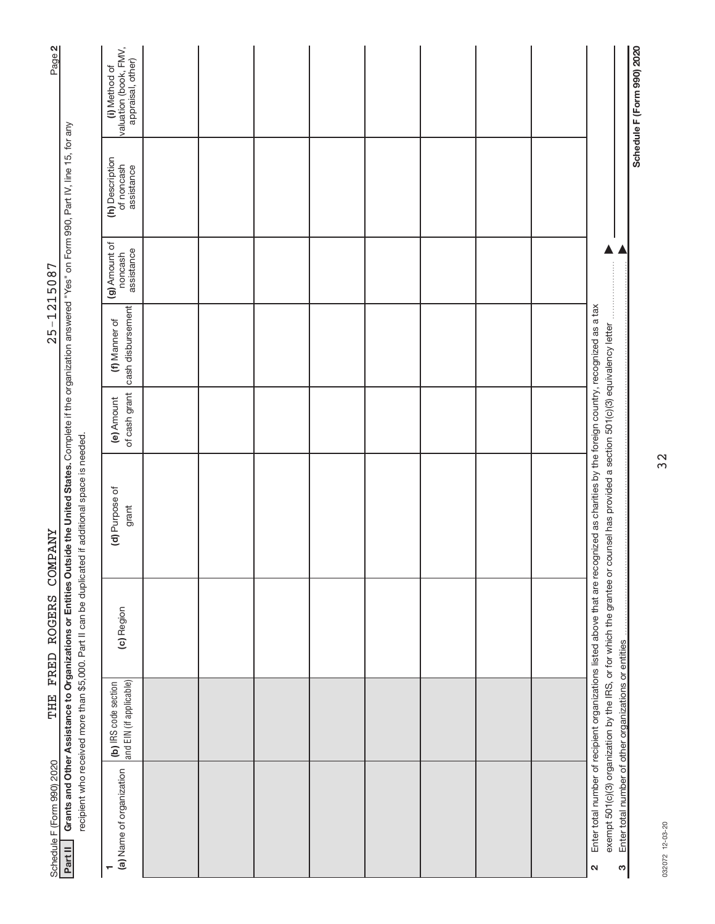| Page 2                     |                                                                                                                                                                                                                                                                              | (i) Method of<br>valuation (book, FMV,<br>appraisal, other) |  |  |  |  |                                                                                                                                                                                                        | Schedule F (Form 990) 2020 |
|----------------------------|------------------------------------------------------------------------------------------------------------------------------------------------------------------------------------------------------------------------------------------------------------------------------|-------------------------------------------------------------|--|--|--|--|--------------------------------------------------------------------------------------------------------------------------------------------------------------------------------------------------------|----------------------------|
|                            |                                                                                                                                                                                                                                                                              | (h) Description<br>of noncash<br>assistance                 |  |  |  |  |                                                                                                                                                                                                        |                            |
| $25 - 1215087$             |                                                                                                                                                                                                                                                                              | (g) Amount of<br>assistance<br>noncash                      |  |  |  |  |                                                                                                                                                                                                        |                            |
|                            |                                                                                                                                                                                                                                                                              | cash disbursement<br>(f) Manner of                          |  |  |  |  |                                                                                                                                                                                                        |                            |
|                            |                                                                                                                                                                                                                                                                              | of cash grant<br>(e) Amount                                 |  |  |  |  |                                                                                                                                                                                                        |                            |
| <b><i>CONFANY</i></b>      | Grants and Other Assistance to Organizations or Entities Outside the United States. Complete if the organization answered "Yes" on Form 990, Part IV, line 15, for any<br>recipient who received more than \$5,000. Part II can be duplicated if additional space is needed. | (d) Purpose of<br>grant                                     |  |  |  |  | Enter total number of recipient organizations listed above that are recognized as charities by the foreign country, recognized as a tax<br>counsel has provided a section 501(c)(3) equivalency letter |                            |
| FRED ROGERS                |                                                                                                                                                                                                                                                                              | (c) Region                                                  |  |  |  |  | exempt 501(c)(3) organization by the IRS, or for which the grantee or                                                                                                                                  |                            |
| THE                        |                                                                                                                                                                                                                                                                              | and EIN (if applicable)<br>(b) IRS code section             |  |  |  |  |                                                                                                                                                                                                        |                            |
| Schedule F (Form 990) 2020 | Part II                                                                                                                                                                                                                                                                      | (a) Name of organization                                    |  |  |  |  | Enter total number of other organizations or entities<br>S<br>$\mathbf{\Omega}$                                                                                                                        |                            |

032072 12-03-20 032072 12-03-20

32

# $25 - 1215087$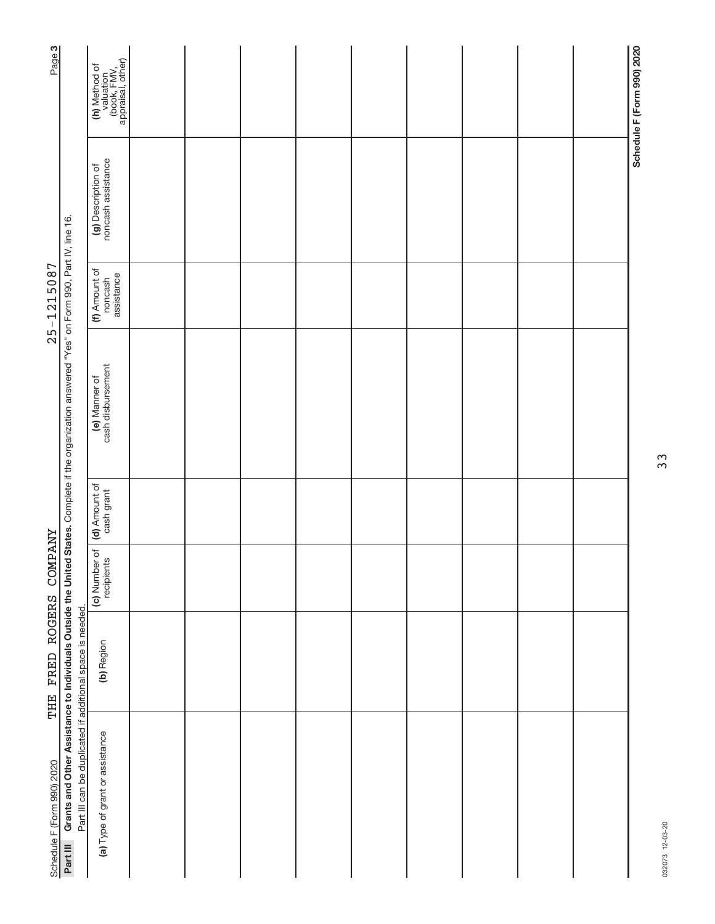| Page <sub>3</sub>          |                                                                                                                                                  | (h) Method of<br>valuation<br>(book, FMV,<br>appraisal, other) |  |  |  |  | Schedule F (Form 990) 2020 |
|----------------------------|--------------------------------------------------------------------------------------------------------------------------------------------------|----------------------------------------------------------------|--|--|--|--|----------------------------|
|                            |                                                                                                                                                  | (g) Description of<br>noncash assistance                       |  |  |  |  |                            |
| $25 - 1215087$             |                                                                                                                                                  | (f) Amount of<br>assistance<br>noncash                         |  |  |  |  |                            |
|                            | Grants and Other Assistance to Individuals Outside the United States. Complete if the organization answered "Yes" on Form 990, Part IV, line 16. | (e) Manner of<br>cash disbursement                             |  |  |  |  |                            |
|                            |                                                                                                                                                  | (d) Amount of<br>cash grant                                    |  |  |  |  |                            |
|                            |                                                                                                                                                  | (c) Number of<br>recipients                                    |  |  |  |  |                            |
| THE FRED ROGERS COMPANY    |                                                                                                                                                  | (b) Region                                                     |  |  |  |  |                            |
| Schedule F (Form 990) 2020 | Part III can be duplicated if additional space is needed.<br>Part III                                                                            | (a) Type of grant or assistance                                |  |  |  |  |                            |

33

032073 12-03-20 032073 12-03-20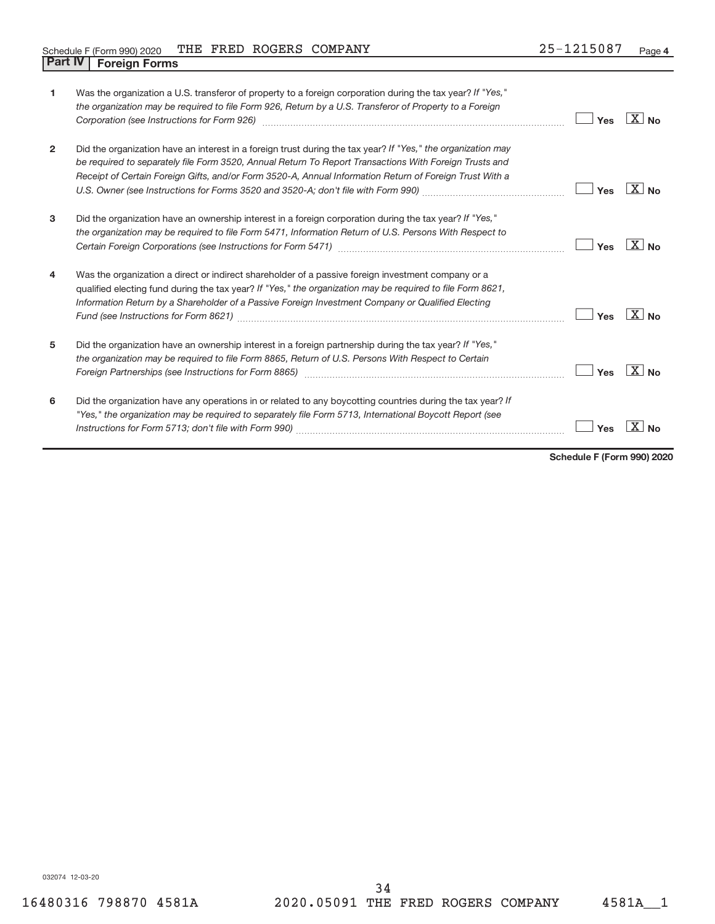|  |                                |  | Schedule F (Form 990) 2020 THE FRED ROGERS COMPANY | 25-1215087 | Page 4 |
|--|--------------------------------|--|----------------------------------------------------|------------|--------|
|  | <b>Part IV   Foreign Forms</b> |  |                                                    |            |        |

| 1              | Was the organization a U.S. transferor of property to a foreign corporation during the tax year? If "Yes,"     |     |                       |
|----------------|----------------------------------------------------------------------------------------------------------------|-----|-----------------------|
|                | the organization may be required to file Form 926, Return by a U.S. Transferor of Property to a Foreign        |     |                       |
|                | Corporation (see Instructions for Form 926) [11] March 1999 [12] March 1999 [13] March 1999 [13] March 1999 [1 | Yes | $X $ No               |
| $\overline{2}$ | Did the organization have an interest in a foreign trust during the tax year? If "Yes," the organization may   |     |                       |
|                | be required to separately file Form 3520, Annual Return To Report Transactions With Foreign Trusts and         |     |                       |
|                | Receipt of Certain Foreign Gifts, and/or Form 3520-A, Annual Information Return of Foreign Trust With a        |     |                       |
|                |                                                                                                                | Yes | $X _{\text{No}}$      |
| 3              | Did the organization have an ownership interest in a foreign corporation during the tax year? If "Yes,"        |     |                       |
|                | the organization may be required to file Form 5471, Information Return of U.S. Persons With Respect to         |     |                       |
|                |                                                                                                                | Yes | X l<br>N <sub>0</sub> |
| 4              | Was the organization a direct or indirect shareholder of a passive foreign investment company or a             |     |                       |
|                | qualified electing fund during the tax year? If "Yes," the organization may be required to file Form 8621,     |     |                       |
|                | Information Return by a Shareholder of a Passive Foreign Investment Company or Qualified Electing              |     |                       |
|                |                                                                                                                | Yes | $X _{\text{No}}$      |
| 5              | Did the organization have an ownership interest in a foreign partnership during the tax year? If "Yes,"        |     |                       |
|                | the organization may be required to file Form 8865, Return of U.S. Persons With Respect to Certain             |     |                       |
|                |                                                                                                                | Yes | $\overline{X}$ No     |
| 6              | Did the organization have any operations in or related to any boycotting countries during the tax year? If     |     |                       |
|                | "Yes," the organization may be required to separately file Form 5713, International Boycott Report (see        |     |                       |
|                |                                                                                                                | Yes |                       |
|                |                                                                                                                |     |                       |

**Schedule F (Form 990) 2020**

032074 12-03-20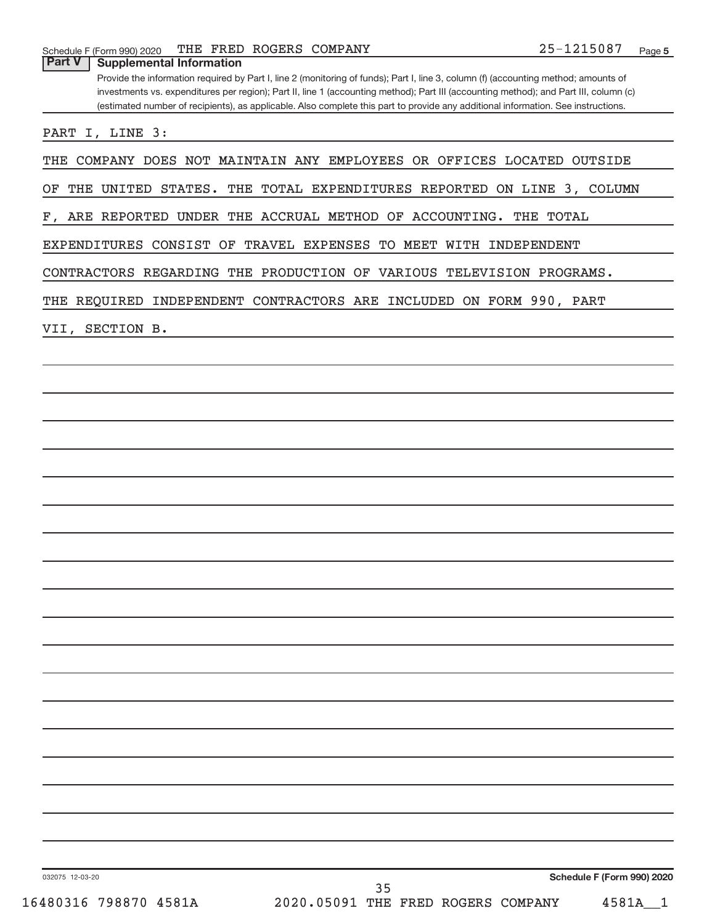# **Part V Supplemental Information**

Provide the information required by Part I, line 2 (monitoring of funds); Part I, line 3, column (f) (accounting method; amounts of investments vs. expenditures per region); Part II, line 1 (accounting method); Part III (accounting method); and Part III, column (c) (estimated number of recipients), as applicable. Also complete this part to provide any additional information. See instructions.

PART I, LINE 3:

THE COMPANY DOES NOT MAINTAIN ANY EMPLOYEES OR OFFICES LOCATED OUTSIDE

OF THE UNITED STATES. THE TOTAL EXPENDITURES REPORTED ON LINE 3, COLUMN

F, ARE REPORTED UNDER THE ACCRUAL METHOD OF ACCOUNTING. THE TOTAL

EXPENDITURES CONSIST OF TRAVEL EXPENSES TO MEET WITH INDEPENDENT

CONTRACTORS REGARDING THE PRODUCTION OF VARIOUS TELEVISION PROGRAMS.

THE REQUIRED INDEPENDENT CONTRACTORS ARE INCLUDED ON FORM 990, PART

VII, SECTION B.

032075 12-03-20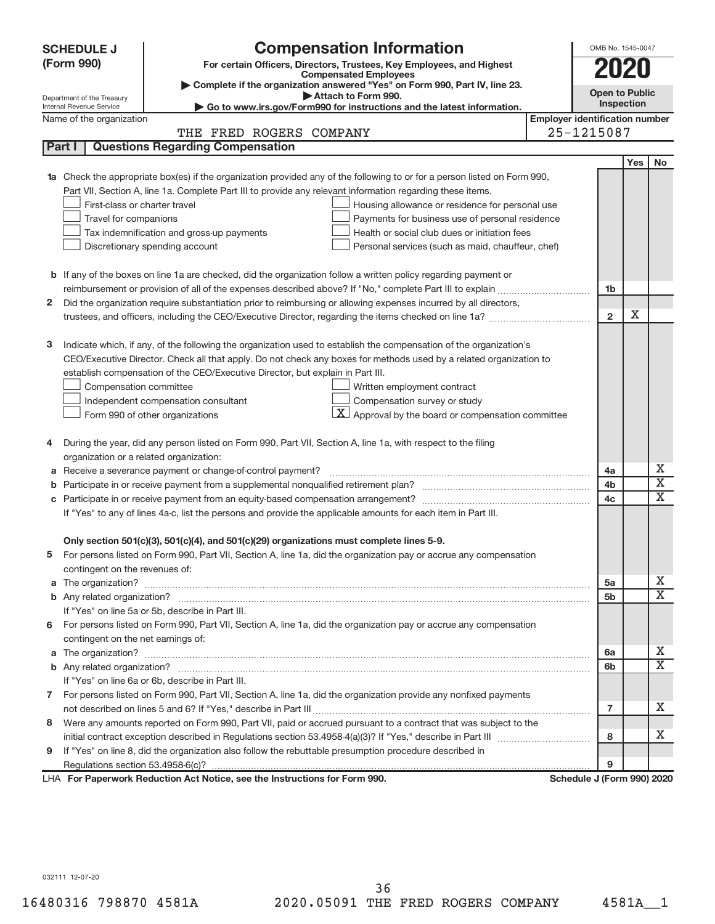| (Form 990)<br>For certain Officers, Directors, Trustees, Key Employees, and Highest<br>2020<br><b>Compensated Employees</b><br>Complete if the organization answered "Yes" on Form 990, Part IV, line 23.<br><b>Open to Public</b><br>Attach to Form 990.<br>Department of the Treasury<br>Inspection<br>Go to www.irs.gov/Form990 for instructions and the latest information.<br>Internal Revenue Service<br><b>Employer identification number</b><br>Name of the organization<br>25-1215087<br>THE FRED ROGERS COMPANY<br><b>Questions Regarding Compensation</b><br>Part I<br>Yes<br><b>No</b><br>Check the appropriate box(es) if the organization provided any of the following to or for a person listed on Form 990,<br>Part VII, Section A, line 1a. Complete Part III to provide any relevant information regarding these items.<br>First-class or charter travel<br>Housing allowance or residence for personal use<br>Travel for companions<br>Payments for business use of personal residence<br>Health or social club dues or initiation fees<br>Tax indemnification and gross-up payments<br>Discretionary spending account<br>Personal services (such as maid, chauffeur, chef)<br><b>b</b> If any of the boxes on line 1a are checked, did the organization follow a written policy regarding payment or<br>1 <sub>b</sub><br>Did the organization require substantiation prior to reimbursing or allowing expenses incurred by all directors,<br>2<br>х<br>$\overline{2}$<br>з<br>Indicate which, if any, of the following the organization used to establish the compensation of the organization's<br>CEO/Executive Director. Check all that apply. Do not check any boxes for methods used by a related organization to<br>establish compensation of the CEO/Executive Director, but explain in Part III.<br>Compensation committee<br>Written employment contract<br>Compensation survey or study<br>Independent compensation consultant<br>$\underline{\mathbf{X}}$ Approval by the board or compensation committee<br>Form 990 of other organizations<br>During the year, did any person listed on Form 990, Part VII, Section A, line 1a, with respect to the filing<br>4<br>organization or a related organization:<br>х<br>Receive a severance payment or change-of-control payment?<br>4a<br>а<br>$\overline{\textbf{X}}$<br>4b<br>b<br>X<br>4c<br>с<br>If "Yes" to any of lines 4a-c, list the persons and provide the applicable amounts for each item in Part III.<br>Only section 501(c)(3), 501(c)(4), and 501(c)(29) organizations must complete lines 5-9.<br>For persons listed on Form 990, Part VII, Section A, line 1a, did the organization pay or accrue any compensation<br>contingent on the revenues of:<br>х<br>5a<br>a<br>$\overline{\text{X}}$<br>5b<br>If "Yes" on line 5a or 5b, describe in Part III.<br>6 For persons listed on Form 990, Part VII, Section A, line 1a, did the organization pay or accrue any compensation<br>contingent on the net earnings of:<br>х<br>6a<br>a<br>$\overline{\text{X}}$<br>6b<br>If "Yes" on line 6a or 6b, describe in Part III.<br>7 For persons listed on Form 990, Part VII, Section A, line 1a, did the organization provide any nonfixed payments<br>x<br>$\overline{7}$<br>Were any amounts reported on Form 990, Part VII, paid or accrued pursuant to a contract that was subject to the<br>8<br>x<br>8<br>If "Yes" on line 8, did the organization also follow the rebuttable presumption procedure described in<br>9<br>LHA For Paperwork Reduction Act Notice, see the Instructions for Form 990.<br>Schedule J (Form 990) 2020 | <b>SCHEDULE J</b> | <b>Compensation Information</b> | OMB No. 1545-0047 |  |
|-----------------------------------------------------------------------------------------------------------------------------------------------------------------------------------------------------------------------------------------------------------------------------------------------------------------------------------------------------------------------------------------------------------------------------------------------------------------------------------------------------------------------------------------------------------------------------------------------------------------------------------------------------------------------------------------------------------------------------------------------------------------------------------------------------------------------------------------------------------------------------------------------------------------------------------------------------------------------------------------------------------------------------------------------------------------------------------------------------------------------------------------------------------------------------------------------------------------------------------------------------------------------------------------------------------------------------------------------------------------------------------------------------------------------------------------------------------------------------------------------------------------------------------------------------------------------------------------------------------------------------------------------------------------------------------------------------------------------------------------------------------------------------------------------------------------------------------------------------------------------------------------------------------------------------------------------------------------------------------------------------------------------------------------------------------------------------------------------------------------------------------------------------------------------------------------------------------------------------------------------------------------------------------------------------------------------------------------------------------------------------------------------------------------------------------------------------------------------------------------------------------------------------------------------------------------------------------------------------------------------------------------------------------------------------------------------------------------------------------------------------------------------------------------------------------------------------------------------------------------------------------------------------------------------------------------------------------------------------------------------------------------------------------------------------------------------------------------------------------------------------------------------------------------------------------------------------------------------------------------------------------------------------------------------------------------------------------------------------------------------------------------------------------------------------------------------------------------------------------------------------------------------------------------------------------------------------------------------------------------------------------|-------------------|---------------------------------|-------------------|--|
|                                                                                                                                                                                                                                                                                                                                                                                                                                                                                                                                                                                                                                                                                                                                                                                                                                                                                                                                                                                                                                                                                                                                                                                                                                                                                                                                                                                                                                                                                                                                                                                                                                                                                                                                                                                                                                                                                                                                                                                                                                                                                                                                                                                                                                                                                                                                                                                                                                                                                                                                                                                                                                                                                                                                                                                                                                                                                                                                                                                                                                                                                                                                                                                                                                                                                                                                                                                                                                                                                                                                                                                                                                   |                   |                                 |                   |  |
|                                                                                                                                                                                                                                                                                                                                                                                                                                                                                                                                                                                                                                                                                                                                                                                                                                                                                                                                                                                                                                                                                                                                                                                                                                                                                                                                                                                                                                                                                                                                                                                                                                                                                                                                                                                                                                                                                                                                                                                                                                                                                                                                                                                                                                                                                                                                                                                                                                                                                                                                                                                                                                                                                                                                                                                                                                                                                                                                                                                                                                                                                                                                                                                                                                                                                                                                                                                                                                                                                                                                                                                                                                   |                   |                                 |                   |  |
|                                                                                                                                                                                                                                                                                                                                                                                                                                                                                                                                                                                                                                                                                                                                                                                                                                                                                                                                                                                                                                                                                                                                                                                                                                                                                                                                                                                                                                                                                                                                                                                                                                                                                                                                                                                                                                                                                                                                                                                                                                                                                                                                                                                                                                                                                                                                                                                                                                                                                                                                                                                                                                                                                                                                                                                                                                                                                                                                                                                                                                                                                                                                                                                                                                                                                                                                                                                                                                                                                                                                                                                                                                   |                   |                                 |                   |  |
|                                                                                                                                                                                                                                                                                                                                                                                                                                                                                                                                                                                                                                                                                                                                                                                                                                                                                                                                                                                                                                                                                                                                                                                                                                                                                                                                                                                                                                                                                                                                                                                                                                                                                                                                                                                                                                                                                                                                                                                                                                                                                                                                                                                                                                                                                                                                                                                                                                                                                                                                                                                                                                                                                                                                                                                                                                                                                                                                                                                                                                                                                                                                                                                                                                                                                                                                                                                                                                                                                                                                                                                                                                   |                   |                                 |                   |  |
|                                                                                                                                                                                                                                                                                                                                                                                                                                                                                                                                                                                                                                                                                                                                                                                                                                                                                                                                                                                                                                                                                                                                                                                                                                                                                                                                                                                                                                                                                                                                                                                                                                                                                                                                                                                                                                                                                                                                                                                                                                                                                                                                                                                                                                                                                                                                                                                                                                                                                                                                                                                                                                                                                                                                                                                                                                                                                                                                                                                                                                                                                                                                                                                                                                                                                                                                                                                                                                                                                                                                                                                                                                   |                   |                                 |                   |  |
|                                                                                                                                                                                                                                                                                                                                                                                                                                                                                                                                                                                                                                                                                                                                                                                                                                                                                                                                                                                                                                                                                                                                                                                                                                                                                                                                                                                                                                                                                                                                                                                                                                                                                                                                                                                                                                                                                                                                                                                                                                                                                                                                                                                                                                                                                                                                                                                                                                                                                                                                                                                                                                                                                                                                                                                                                                                                                                                                                                                                                                                                                                                                                                                                                                                                                                                                                                                                                                                                                                                                                                                                                                   |                   |                                 |                   |  |
|                                                                                                                                                                                                                                                                                                                                                                                                                                                                                                                                                                                                                                                                                                                                                                                                                                                                                                                                                                                                                                                                                                                                                                                                                                                                                                                                                                                                                                                                                                                                                                                                                                                                                                                                                                                                                                                                                                                                                                                                                                                                                                                                                                                                                                                                                                                                                                                                                                                                                                                                                                                                                                                                                                                                                                                                                                                                                                                                                                                                                                                                                                                                                                                                                                                                                                                                                                                                                                                                                                                                                                                                                                   |                   |                                 |                   |  |
|                                                                                                                                                                                                                                                                                                                                                                                                                                                                                                                                                                                                                                                                                                                                                                                                                                                                                                                                                                                                                                                                                                                                                                                                                                                                                                                                                                                                                                                                                                                                                                                                                                                                                                                                                                                                                                                                                                                                                                                                                                                                                                                                                                                                                                                                                                                                                                                                                                                                                                                                                                                                                                                                                                                                                                                                                                                                                                                                                                                                                                                                                                                                                                                                                                                                                                                                                                                                                                                                                                                                                                                                                                   |                   |                                 |                   |  |
|                                                                                                                                                                                                                                                                                                                                                                                                                                                                                                                                                                                                                                                                                                                                                                                                                                                                                                                                                                                                                                                                                                                                                                                                                                                                                                                                                                                                                                                                                                                                                                                                                                                                                                                                                                                                                                                                                                                                                                                                                                                                                                                                                                                                                                                                                                                                                                                                                                                                                                                                                                                                                                                                                                                                                                                                                                                                                                                                                                                                                                                                                                                                                                                                                                                                                                                                                                                                                                                                                                                                                                                                                                   |                   |                                 |                   |  |
|                                                                                                                                                                                                                                                                                                                                                                                                                                                                                                                                                                                                                                                                                                                                                                                                                                                                                                                                                                                                                                                                                                                                                                                                                                                                                                                                                                                                                                                                                                                                                                                                                                                                                                                                                                                                                                                                                                                                                                                                                                                                                                                                                                                                                                                                                                                                                                                                                                                                                                                                                                                                                                                                                                                                                                                                                                                                                                                                                                                                                                                                                                                                                                                                                                                                                                                                                                                                                                                                                                                                                                                                                                   |                   |                                 |                   |  |
|                                                                                                                                                                                                                                                                                                                                                                                                                                                                                                                                                                                                                                                                                                                                                                                                                                                                                                                                                                                                                                                                                                                                                                                                                                                                                                                                                                                                                                                                                                                                                                                                                                                                                                                                                                                                                                                                                                                                                                                                                                                                                                                                                                                                                                                                                                                                                                                                                                                                                                                                                                                                                                                                                                                                                                                                                                                                                                                                                                                                                                                                                                                                                                                                                                                                                                                                                                                                                                                                                                                                                                                                                                   |                   |                                 |                   |  |
|                                                                                                                                                                                                                                                                                                                                                                                                                                                                                                                                                                                                                                                                                                                                                                                                                                                                                                                                                                                                                                                                                                                                                                                                                                                                                                                                                                                                                                                                                                                                                                                                                                                                                                                                                                                                                                                                                                                                                                                                                                                                                                                                                                                                                                                                                                                                                                                                                                                                                                                                                                                                                                                                                                                                                                                                                                                                                                                                                                                                                                                                                                                                                                                                                                                                                                                                                                                                                                                                                                                                                                                                                                   |                   |                                 |                   |  |
|                                                                                                                                                                                                                                                                                                                                                                                                                                                                                                                                                                                                                                                                                                                                                                                                                                                                                                                                                                                                                                                                                                                                                                                                                                                                                                                                                                                                                                                                                                                                                                                                                                                                                                                                                                                                                                                                                                                                                                                                                                                                                                                                                                                                                                                                                                                                                                                                                                                                                                                                                                                                                                                                                                                                                                                                                                                                                                                                                                                                                                                                                                                                                                                                                                                                                                                                                                                                                                                                                                                                                                                                                                   |                   |                                 |                   |  |
|                                                                                                                                                                                                                                                                                                                                                                                                                                                                                                                                                                                                                                                                                                                                                                                                                                                                                                                                                                                                                                                                                                                                                                                                                                                                                                                                                                                                                                                                                                                                                                                                                                                                                                                                                                                                                                                                                                                                                                                                                                                                                                                                                                                                                                                                                                                                                                                                                                                                                                                                                                                                                                                                                                                                                                                                                                                                                                                                                                                                                                                                                                                                                                                                                                                                                                                                                                                                                                                                                                                                                                                                                                   |                   |                                 |                   |  |
|                                                                                                                                                                                                                                                                                                                                                                                                                                                                                                                                                                                                                                                                                                                                                                                                                                                                                                                                                                                                                                                                                                                                                                                                                                                                                                                                                                                                                                                                                                                                                                                                                                                                                                                                                                                                                                                                                                                                                                                                                                                                                                                                                                                                                                                                                                                                                                                                                                                                                                                                                                                                                                                                                                                                                                                                                                                                                                                                                                                                                                                                                                                                                                                                                                                                                                                                                                                                                                                                                                                                                                                                                                   |                   |                                 |                   |  |
|                                                                                                                                                                                                                                                                                                                                                                                                                                                                                                                                                                                                                                                                                                                                                                                                                                                                                                                                                                                                                                                                                                                                                                                                                                                                                                                                                                                                                                                                                                                                                                                                                                                                                                                                                                                                                                                                                                                                                                                                                                                                                                                                                                                                                                                                                                                                                                                                                                                                                                                                                                                                                                                                                                                                                                                                                                                                                                                                                                                                                                                                                                                                                                                                                                                                                                                                                                                                                                                                                                                                                                                                                                   |                   |                                 |                   |  |
|                                                                                                                                                                                                                                                                                                                                                                                                                                                                                                                                                                                                                                                                                                                                                                                                                                                                                                                                                                                                                                                                                                                                                                                                                                                                                                                                                                                                                                                                                                                                                                                                                                                                                                                                                                                                                                                                                                                                                                                                                                                                                                                                                                                                                                                                                                                                                                                                                                                                                                                                                                                                                                                                                                                                                                                                                                                                                                                                                                                                                                                                                                                                                                                                                                                                                                                                                                                                                                                                                                                                                                                                                                   |                   |                                 |                   |  |
|                                                                                                                                                                                                                                                                                                                                                                                                                                                                                                                                                                                                                                                                                                                                                                                                                                                                                                                                                                                                                                                                                                                                                                                                                                                                                                                                                                                                                                                                                                                                                                                                                                                                                                                                                                                                                                                                                                                                                                                                                                                                                                                                                                                                                                                                                                                                                                                                                                                                                                                                                                                                                                                                                                                                                                                                                                                                                                                                                                                                                                                                                                                                                                                                                                                                                                                                                                                                                                                                                                                                                                                                                                   |                   |                                 |                   |  |
|                                                                                                                                                                                                                                                                                                                                                                                                                                                                                                                                                                                                                                                                                                                                                                                                                                                                                                                                                                                                                                                                                                                                                                                                                                                                                                                                                                                                                                                                                                                                                                                                                                                                                                                                                                                                                                                                                                                                                                                                                                                                                                                                                                                                                                                                                                                                                                                                                                                                                                                                                                                                                                                                                                                                                                                                                                                                                                                                                                                                                                                                                                                                                                                                                                                                                                                                                                                                                                                                                                                                                                                                                                   |                   |                                 |                   |  |
|                                                                                                                                                                                                                                                                                                                                                                                                                                                                                                                                                                                                                                                                                                                                                                                                                                                                                                                                                                                                                                                                                                                                                                                                                                                                                                                                                                                                                                                                                                                                                                                                                                                                                                                                                                                                                                                                                                                                                                                                                                                                                                                                                                                                                                                                                                                                                                                                                                                                                                                                                                                                                                                                                                                                                                                                                                                                                                                                                                                                                                                                                                                                                                                                                                                                                                                                                                                                                                                                                                                                                                                                                                   |                   |                                 |                   |  |
|                                                                                                                                                                                                                                                                                                                                                                                                                                                                                                                                                                                                                                                                                                                                                                                                                                                                                                                                                                                                                                                                                                                                                                                                                                                                                                                                                                                                                                                                                                                                                                                                                                                                                                                                                                                                                                                                                                                                                                                                                                                                                                                                                                                                                                                                                                                                                                                                                                                                                                                                                                                                                                                                                                                                                                                                                                                                                                                                                                                                                                                                                                                                                                                                                                                                                                                                                                                                                                                                                                                                                                                                                                   |                   |                                 |                   |  |
|                                                                                                                                                                                                                                                                                                                                                                                                                                                                                                                                                                                                                                                                                                                                                                                                                                                                                                                                                                                                                                                                                                                                                                                                                                                                                                                                                                                                                                                                                                                                                                                                                                                                                                                                                                                                                                                                                                                                                                                                                                                                                                                                                                                                                                                                                                                                                                                                                                                                                                                                                                                                                                                                                                                                                                                                                                                                                                                                                                                                                                                                                                                                                                                                                                                                                                                                                                                                                                                                                                                                                                                                                                   |                   |                                 |                   |  |
|                                                                                                                                                                                                                                                                                                                                                                                                                                                                                                                                                                                                                                                                                                                                                                                                                                                                                                                                                                                                                                                                                                                                                                                                                                                                                                                                                                                                                                                                                                                                                                                                                                                                                                                                                                                                                                                                                                                                                                                                                                                                                                                                                                                                                                                                                                                                                                                                                                                                                                                                                                                                                                                                                                                                                                                                                                                                                                                                                                                                                                                                                                                                                                                                                                                                                                                                                                                                                                                                                                                                                                                                                                   |                   |                                 |                   |  |
|                                                                                                                                                                                                                                                                                                                                                                                                                                                                                                                                                                                                                                                                                                                                                                                                                                                                                                                                                                                                                                                                                                                                                                                                                                                                                                                                                                                                                                                                                                                                                                                                                                                                                                                                                                                                                                                                                                                                                                                                                                                                                                                                                                                                                                                                                                                                                                                                                                                                                                                                                                                                                                                                                                                                                                                                                                                                                                                                                                                                                                                                                                                                                                                                                                                                                                                                                                                                                                                                                                                                                                                                                                   |                   |                                 |                   |  |
|                                                                                                                                                                                                                                                                                                                                                                                                                                                                                                                                                                                                                                                                                                                                                                                                                                                                                                                                                                                                                                                                                                                                                                                                                                                                                                                                                                                                                                                                                                                                                                                                                                                                                                                                                                                                                                                                                                                                                                                                                                                                                                                                                                                                                                                                                                                                                                                                                                                                                                                                                                                                                                                                                                                                                                                                                                                                                                                                                                                                                                                                                                                                                                                                                                                                                                                                                                                                                                                                                                                                                                                                                                   |                   |                                 |                   |  |
|                                                                                                                                                                                                                                                                                                                                                                                                                                                                                                                                                                                                                                                                                                                                                                                                                                                                                                                                                                                                                                                                                                                                                                                                                                                                                                                                                                                                                                                                                                                                                                                                                                                                                                                                                                                                                                                                                                                                                                                                                                                                                                                                                                                                                                                                                                                                                                                                                                                                                                                                                                                                                                                                                                                                                                                                                                                                                                                                                                                                                                                                                                                                                                                                                                                                                                                                                                                                                                                                                                                                                                                                                                   |                   |                                 |                   |  |
|                                                                                                                                                                                                                                                                                                                                                                                                                                                                                                                                                                                                                                                                                                                                                                                                                                                                                                                                                                                                                                                                                                                                                                                                                                                                                                                                                                                                                                                                                                                                                                                                                                                                                                                                                                                                                                                                                                                                                                                                                                                                                                                                                                                                                                                                                                                                                                                                                                                                                                                                                                                                                                                                                                                                                                                                                                                                                                                                                                                                                                                                                                                                                                                                                                                                                                                                                                                                                                                                                                                                                                                                                                   |                   |                                 |                   |  |
|                                                                                                                                                                                                                                                                                                                                                                                                                                                                                                                                                                                                                                                                                                                                                                                                                                                                                                                                                                                                                                                                                                                                                                                                                                                                                                                                                                                                                                                                                                                                                                                                                                                                                                                                                                                                                                                                                                                                                                                                                                                                                                                                                                                                                                                                                                                                                                                                                                                                                                                                                                                                                                                                                                                                                                                                                                                                                                                                                                                                                                                                                                                                                                                                                                                                                                                                                                                                                                                                                                                                                                                                                                   |                   |                                 |                   |  |
|                                                                                                                                                                                                                                                                                                                                                                                                                                                                                                                                                                                                                                                                                                                                                                                                                                                                                                                                                                                                                                                                                                                                                                                                                                                                                                                                                                                                                                                                                                                                                                                                                                                                                                                                                                                                                                                                                                                                                                                                                                                                                                                                                                                                                                                                                                                                                                                                                                                                                                                                                                                                                                                                                                                                                                                                                                                                                                                                                                                                                                                                                                                                                                                                                                                                                                                                                                                                                                                                                                                                                                                                                                   |                   |                                 |                   |  |
|                                                                                                                                                                                                                                                                                                                                                                                                                                                                                                                                                                                                                                                                                                                                                                                                                                                                                                                                                                                                                                                                                                                                                                                                                                                                                                                                                                                                                                                                                                                                                                                                                                                                                                                                                                                                                                                                                                                                                                                                                                                                                                                                                                                                                                                                                                                                                                                                                                                                                                                                                                                                                                                                                                                                                                                                                                                                                                                                                                                                                                                                                                                                                                                                                                                                                                                                                                                                                                                                                                                                                                                                                                   |                   |                                 |                   |  |
|                                                                                                                                                                                                                                                                                                                                                                                                                                                                                                                                                                                                                                                                                                                                                                                                                                                                                                                                                                                                                                                                                                                                                                                                                                                                                                                                                                                                                                                                                                                                                                                                                                                                                                                                                                                                                                                                                                                                                                                                                                                                                                                                                                                                                                                                                                                                                                                                                                                                                                                                                                                                                                                                                                                                                                                                                                                                                                                                                                                                                                                                                                                                                                                                                                                                                                                                                                                                                                                                                                                                                                                                                                   |                   |                                 |                   |  |
|                                                                                                                                                                                                                                                                                                                                                                                                                                                                                                                                                                                                                                                                                                                                                                                                                                                                                                                                                                                                                                                                                                                                                                                                                                                                                                                                                                                                                                                                                                                                                                                                                                                                                                                                                                                                                                                                                                                                                                                                                                                                                                                                                                                                                                                                                                                                                                                                                                                                                                                                                                                                                                                                                                                                                                                                                                                                                                                                                                                                                                                                                                                                                                                                                                                                                                                                                                                                                                                                                                                                                                                                                                   |                   |                                 |                   |  |
|                                                                                                                                                                                                                                                                                                                                                                                                                                                                                                                                                                                                                                                                                                                                                                                                                                                                                                                                                                                                                                                                                                                                                                                                                                                                                                                                                                                                                                                                                                                                                                                                                                                                                                                                                                                                                                                                                                                                                                                                                                                                                                                                                                                                                                                                                                                                                                                                                                                                                                                                                                                                                                                                                                                                                                                                                                                                                                                                                                                                                                                                                                                                                                                                                                                                                                                                                                                                                                                                                                                                                                                                                                   |                   |                                 |                   |  |
|                                                                                                                                                                                                                                                                                                                                                                                                                                                                                                                                                                                                                                                                                                                                                                                                                                                                                                                                                                                                                                                                                                                                                                                                                                                                                                                                                                                                                                                                                                                                                                                                                                                                                                                                                                                                                                                                                                                                                                                                                                                                                                                                                                                                                                                                                                                                                                                                                                                                                                                                                                                                                                                                                                                                                                                                                                                                                                                                                                                                                                                                                                                                                                                                                                                                                                                                                                                                                                                                                                                                                                                                                                   |                   |                                 |                   |  |
|                                                                                                                                                                                                                                                                                                                                                                                                                                                                                                                                                                                                                                                                                                                                                                                                                                                                                                                                                                                                                                                                                                                                                                                                                                                                                                                                                                                                                                                                                                                                                                                                                                                                                                                                                                                                                                                                                                                                                                                                                                                                                                                                                                                                                                                                                                                                                                                                                                                                                                                                                                                                                                                                                                                                                                                                                                                                                                                                                                                                                                                                                                                                                                                                                                                                                                                                                                                                                                                                                                                                                                                                                                   |                   |                                 |                   |  |
|                                                                                                                                                                                                                                                                                                                                                                                                                                                                                                                                                                                                                                                                                                                                                                                                                                                                                                                                                                                                                                                                                                                                                                                                                                                                                                                                                                                                                                                                                                                                                                                                                                                                                                                                                                                                                                                                                                                                                                                                                                                                                                                                                                                                                                                                                                                                                                                                                                                                                                                                                                                                                                                                                                                                                                                                                                                                                                                                                                                                                                                                                                                                                                                                                                                                                                                                                                                                                                                                                                                                                                                                                                   |                   |                                 |                   |  |
|                                                                                                                                                                                                                                                                                                                                                                                                                                                                                                                                                                                                                                                                                                                                                                                                                                                                                                                                                                                                                                                                                                                                                                                                                                                                                                                                                                                                                                                                                                                                                                                                                                                                                                                                                                                                                                                                                                                                                                                                                                                                                                                                                                                                                                                                                                                                                                                                                                                                                                                                                                                                                                                                                                                                                                                                                                                                                                                                                                                                                                                                                                                                                                                                                                                                                                                                                                                                                                                                                                                                                                                                                                   |                   |                                 |                   |  |
|                                                                                                                                                                                                                                                                                                                                                                                                                                                                                                                                                                                                                                                                                                                                                                                                                                                                                                                                                                                                                                                                                                                                                                                                                                                                                                                                                                                                                                                                                                                                                                                                                                                                                                                                                                                                                                                                                                                                                                                                                                                                                                                                                                                                                                                                                                                                                                                                                                                                                                                                                                                                                                                                                                                                                                                                                                                                                                                                                                                                                                                                                                                                                                                                                                                                                                                                                                                                                                                                                                                                                                                                                                   |                   |                                 |                   |  |
|                                                                                                                                                                                                                                                                                                                                                                                                                                                                                                                                                                                                                                                                                                                                                                                                                                                                                                                                                                                                                                                                                                                                                                                                                                                                                                                                                                                                                                                                                                                                                                                                                                                                                                                                                                                                                                                                                                                                                                                                                                                                                                                                                                                                                                                                                                                                                                                                                                                                                                                                                                                                                                                                                                                                                                                                                                                                                                                                                                                                                                                                                                                                                                                                                                                                                                                                                                                                                                                                                                                                                                                                                                   |                   |                                 |                   |  |
|                                                                                                                                                                                                                                                                                                                                                                                                                                                                                                                                                                                                                                                                                                                                                                                                                                                                                                                                                                                                                                                                                                                                                                                                                                                                                                                                                                                                                                                                                                                                                                                                                                                                                                                                                                                                                                                                                                                                                                                                                                                                                                                                                                                                                                                                                                                                                                                                                                                                                                                                                                                                                                                                                                                                                                                                                                                                                                                                                                                                                                                                                                                                                                                                                                                                                                                                                                                                                                                                                                                                                                                                                                   |                   |                                 |                   |  |
|                                                                                                                                                                                                                                                                                                                                                                                                                                                                                                                                                                                                                                                                                                                                                                                                                                                                                                                                                                                                                                                                                                                                                                                                                                                                                                                                                                                                                                                                                                                                                                                                                                                                                                                                                                                                                                                                                                                                                                                                                                                                                                                                                                                                                                                                                                                                                                                                                                                                                                                                                                                                                                                                                                                                                                                                                                                                                                                                                                                                                                                                                                                                                                                                                                                                                                                                                                                                                                                                                                                                                                                                                                   |                   |                                 |                   |  |
|                                                                                                                                                                                                                                                                                                                                                                                                                                                                                                                                                                                                                                                                                                                                                                                                                                                                                                                                                                                                                                                                                                                                                                                                                                                                                                                                                                                                                                                                                                                                                                                                                                                                                                                                                                                                                                                                                                                                                                                                                                                                                                                                                                                                                                                                                                                                                                                                                                                                                                                                                                                                                                                                                                                                                                                                                                                                                                                                                                                                                                                                                                                                                                                                                                                                                                                                                                                                                                                                                                                                                                                                                                   |                   |                                 |                   |  |
|                                                                                                                                                                                                                                                                                                                                                                                                                                                                                                                                                                                                                                                                                                                                                                                                                                                                                                                                                                                                                                                                                                                                                                                                                                                                                                                                                                                                                                                                                                                                                                                                                                                                                                                                                                                                                                                                                                                                                                                                                                                                                                                                                                                                                                                                                                                                                                                                                                                                                                                                                                                                                                                                                                                                                                                                                                                                                                                                                                                                                                                                                                                                                                                                                                                                                                                                                                                                                                                                                                                                                                                                                                   |                   |                                 |                   |  |
|                                                                                                                                                                                                                                                                                                                                                                                                                                                                                                                                                                                                                                                                                                                                                                                                                                                                                                                                                                                                                                                                                                                                                                                                                                                                                                                                                                                                                                                                                                                                                                                                                                                                                                                                                                                                                                                                                                                                                                                                                                                                                                                                                                                                                                                                                                                                                                                                                                                                                                                                                                                                                                                                                                                                                                                                                                                                                                                                                                                                                                                                                                                                                                                                                                                                                                                                                                                                                                                                                                                                                                                                                                   |                   |                                 |                   |  |
|                                                                                                                                                                                                                                                                                                                                                                                                                                                                                                                                                                                                                                                                                                                                                                                                                                                                                                                                                                                                                                                                                                                                                                                                                                                                                                                                                                                                                                                                                                                                                                                                                                                                                                                                                                                                                                                                                                                                                                                                                                                                                                                                                                                                                                                                                                                                                                                                                                                                                                                                                                                                                                                                                                                                                                                                                                                                                                                                                                                                                                                                                                                                                                                                                                                                                                                                                                                                                                                                                                                                                                                                                                   |                   |                                 |                   |  |
|                                                                                                                                                                                                                                                                                                                                                                                                                                                                                                                                                                                                                                                                                                                                                                                                                                                                                                                                                                                                                                                                                                                                                                                                                                                                                                                                                                                                                                                                                                                                                                                                                                                                                                                                                                                                                                                                                                                                                                                                                                                                                                                                                                                                                                                                                                                                                                                                                                                                                                                                                                                                                                                                                                                                                                                                                                                                                                                                                                                                                                                                                                                                                                                                                                                                                                                                                                                                                                                                                                                                                                                                                                   |                   |                                 |                   |  |
|                                                                                                                                                                                                                                                                                                                                                                                                                                                                                                                                                                                                                                                                                                                                                                                                                                                                                                                                                                                                                                                                                                                                                                                                                                                                                                                                                                                                                                                                                                                                                                                                                                                                                                                                                                                                                                                                                                                                                                                                                                                                                                                                                                                                                                                                                                                                                                                                                                                                                                                                                                                                                                                                                                                                                                                                                                                                                                                                                                                                                                                                                                                                                                                                                                                                                                                                                                                                                                                                                                                                                                                                                                   |                   |                                 |                   |  |
|                                                                                                                                                                                                                                                                                                                                                                                                                                                                                                                                                                                                                                                                                                                                                                                                                                                                                                                                                                                                                                                                                                                                                                                                                                                                                                                                                                                                                                                                                                                                                                                                                                                                                                                                                                                                                                                                                                                                                                                                                                                                                                                                                                                                                                                                                                                                                                                                                                                                                                                                                                                                                                                                                                                                                                                                                                                                                                                                                                                                                                                                                                                                                                                                                                                                                                                                                                                                                                                                                                                                                                                                                                   |                   |                                 |                   |  |
|                                                                                                                                                                                                                                                                                                                                                                                                                                                                                                                                                                                                                                                                                                                                                                                                                                                                                                                                                                                                                                                                                                                                                                                                                                                                                                                                                                                                                                                                                                                                                                                                                                                                                                                                                                                                                                                                                                                                                                                                                                                                                                                                                                                                                                                                                                                                                                                                                                                                                                                                                                                                                                                                                                                                                                                                                                                                                                                                                                                                                                                                                                                                                                                                                                                                                                                                                                                                                                                                                                                                                                                                                                   |                   |                                 |                   |  |
|                                                                                                                                                                                                                                                                                                                                                                                                                                                                                                                                                                                                                                                                                                                                                                                                                                                                                                                                                                                                                                                                                                                                                                                                                                                                                                                                                                                                                                                                                                                                                                                                                                                                                                                                                                                                                                                                                                                                                                                                                                                                                                                                                                                                                                                                                                                                                                                                                                                                                                                                                                                                                                                                                                                                                                                                                                                                                                                                                                                                                                                                                                                                                                                                                                                                                                                                                                                                                                                                                                                                                                                                                                   |                   |                                 |                   |  |
|                                                                                                                                                                                                                                                                                                                                                                                                                                                                                                                                                                                                                                                                                                                                                                                                                                                                                                                                                                                                                                                                                                                                                                                                                                                                                                                                                                                                                                                                                                                                                                                                                                                                                                                                                                                                                                                                                                                                                                                                                                                                                                                                                                                                                                                                                                                                                                                                                                                                                                                                                                                                                                                                                                                                                                                                                                                                                                                                                                                                                                                                                                                                                                                                                                                                                                                                                                                                                                                                                                                                                                                                                                   |                   |                                 |                   |  |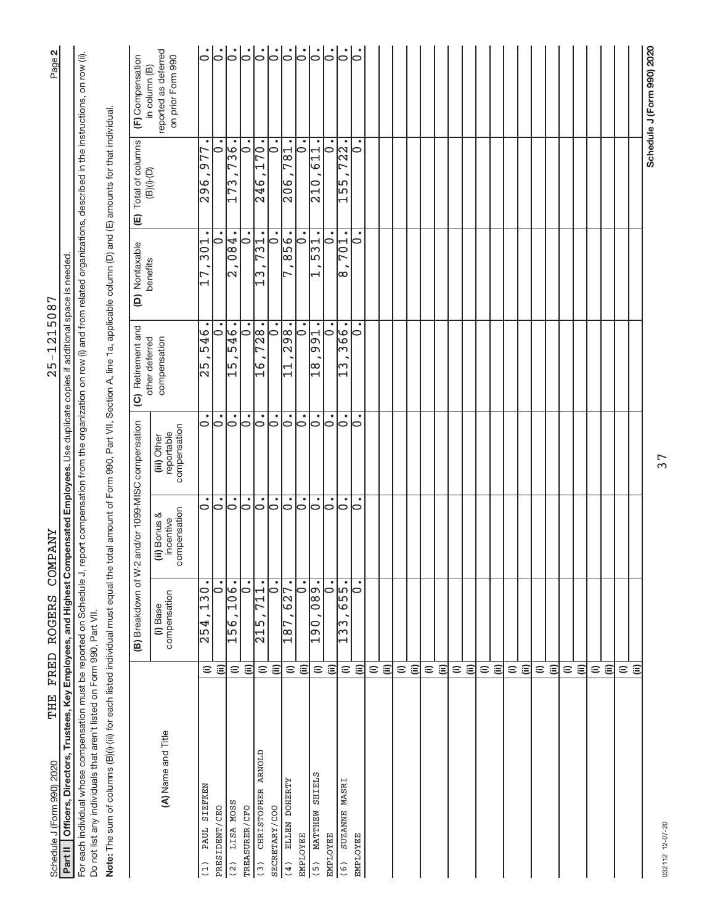| Schedule J (Form 990) 2020                                                                                                                                                                       |                    | THE FRED ROGERS COMPANY                                                           |                                           |                                           | $25 - 1215087$                                                                                                                   |                          |                                                                          | Page 2                                                     |
|--------------------------------------------------------------------------------------------------------------------------------------------------------------------------------------------------|--------------------|-----------------------------------------------------------------------------------|-------------------------------------------|-------------------------------------------|----------------------------------------------------------------------------------------------------------------------------------|--------------------------|--------------------------------------------------------------------------|------------------------------------------------------------|
| Part II   Officers, Directors, Trustees, Key Employees, and Highest Compensated Employees. Use duplicate copies if additional space is needed                                                    |                    |                                                                                   |                                           |                                           |                                                                                                                                  |                          |                                                                          |                                                            |
| For each individual whose compensation must be reported on Schedule J,<br>Do not list any individuals that aren't listed on Form 990, Part VII.                                                  |                    |                                                                                   |                                           |                                           | report compensation from the organization on row (i) and from related organizations, described in the instructions, on row (ii). |                          |                                                                          |                                                            |
| Note: The sum of columns (B)(i)-(ii) for each listed individual must equal the total anount of Form 990, Part VII, Section A, line 1a, applicable column (D) and (E) amounts for that individual |                    |                                                                                   |                                           |                                           |                                                                                                                                  |                          |                                                                          |                                                            |
|                                                                                                                                                                                                  |                    | (B) Breakdown of W                                                                |                                           | 2 and/or 1099-MISC compensation           | Retirement and<br>$\overline{c}$                                                                                                 | (D) Nontaxable           | Total of columns<br>(B)(i)-(D)<br>$\mathbf{E}$                           | (F) Compensation                                           |
| (A) Name and Title                                                                                                                                                                               |                    | compensation<br>(i) Base                                                          | compensation<br>(ii) Bonus &<br>incentive | compensation<br>reportable<br>(iii) Other | other deferred<br>compensation                                                                                                   | benefits                 |                                                                          | reported as deferred<br>on prior Form 990<br>in column (B) |
| PAUL SIEFKEN<br>(1)                                                                                                                                                                              | Ξ                  | $\bullet$<br>130<br>$\sqrt{254}$ ,                                                | $\circ$                                   | $\circ$                                   | 546<br> 5<br> 25                                                                                                                 | $\overline{301}$         | $\bullet$<br>77<br>ഐ<br>296                                              | $\dot{\circ}$                                              |
| PRESIDENT/CEO                                                                                                                                                                                    | ε                  | $\bullet$<br>⊃                                                                    | ွ.                                        | <br> <br>                                 | $\dot{\circ}$                                                                                                                    | $\overline{\phantom{0}}$ | ٠<br>⊃                                                                   | $\dot{\bar{\circ}}^!$                                      |
| LISA MOSS<br>(2)                                                                                                                                                                                 | $\widehat{=}$      | 106.<br>156                                                                       | $\circ$                                   | $\circ$                                   | 546.<br>$\frac{15}{1}$                                                                                                           | 184<br>k                 | $-96$<br>$\overline{ }$<br>173                                           | $\dot{\circ}$                                              |
| TREASURER/CFO                                                                                                                                                                                    | $\widehat{\equiv}$ | ٠<br>b                                                                            | ွ.                                        | ွ.                                        | $\bullet$<br>10                                                                                                                  | 10                       | $\dot{\circ}$                                                            | $\overline{0}$                                             |
| CHRISTOPHER ARNOLD<br>(3)                                                                                                                                                                        | $\widehat{=}$      | $\bullet$<br>$\overline{\phantom{0}}$<br>$\mathbf{\mathbf{I}}$<br>$\frac{15}{21}$ | $\dot{\circ}$                             | $\overline{\circ}$                        | 728.<br>$\frac{1}{6}$                                                                                                            | 731<br>lw                | $-0.7$<br>246                                                            | $\overline{6}$                                             |
| SECRETARY/COO                                                                                                                                                                                    | ⊜                  | $\bullet$<br>$\circ$                                                              | ٠<br>$\circ$                              | $\circ$                                   | $\circ$                                                                                                                          | $\circ$                  | $\overline{\cdot}$                                                       | $\dot{\circ}$                                              |
| ELLEN DOHERTY<br>(4)                                                                                                                                                                             | $\widehat{=}$      | $\bullet$<br>$\overline{27}$<br>$\bullet$<br>$\frac{8}{1}$                        | 0                                         | lo                                        | $\frac{1}{98}$<br>M                                                                                                              | 856                      | $\bullet$<br>$\frac{1}{81}$<br>206                                       | $ \cdot $                                                  |
| <b>EMPLOYEE</b>                                                                                                                                                                                  | $\widehat{\equiv}$ | $\dot{\circ}$                                                                     | ွ.                                        | ွ.                                        | $\overline{\varepsilon}$                                                                                                         | $\dot{\circ}$            | $\overline{\circ}$                                                       | ွ.                                                         |
| MATTHEW SHIELS<br>(5)                                                                                                                                                                            | $\widehat{=}$      | .680<br>061                                                                       | $\overline{\bullet}$                      | $\circ$                                   | $\bullet$<br>991<br>$\frac{8}{11}$                                                                                               | 531                      | $\bullet$<br>$\overline{\phantom{a}}$<br>$\frac{1}{6}$<br>$\frac{0}{10}$ | $  \text{.}$                                               |
| <b>EMPLOYEE</b>                                                                                                                                                                                  | $\widehat{\equiv}$ | $\bullet$<br>$\overline{\bullet}$                                                 | 0                                         | 0                                         | ٠<br>0                                                                                                                           | b                        | ٠<br>$\circ$                                                             | $\overline{5}$                                             |
| SUZANNE MASRI<br>(6)                                                                                                                                                                             | $\widehat{=}$      | 655.<br>$\sqrt{133}$                                                              | $\overline{\circ}$                        | ွ.                                        | 366.<br>$\Xi$                                                                                                                    | <b>701</b><br> <br>က     | 722.<br>$\frac{155}{5}$                                                  | ွ.                                                         |
| <b>EMPLOYEE</b>                                                                                                                                                                                  | ⊜                  | 0                                                                                 | $\circ$                                   | $\circ$                                   | 0                                                                                                                                | 0                        | 0                                                                        | 0                                                          |
|                                                                                                                                                                                                  | $\widehat{=}$      |                                                                                   |                                           |                                           |                                                                                                                                  |                          |                                                                          |                                                            |
|                                                                                                                                                                                                  | $\widehat{\equiv}$ |                                                                                   |                                           |                                           |                                                                                                                                  |                          |                                                                          |                                                            |
|                                                                                                                                                                                                  | $\widehat{=}$      |                                                                                   |                                           |                                           |                                                                                                                                  |                          |                                                                          |                                                            |
|                                                                                                                                                                                                  | (ii)               |                                                                                   |                                           |                                           |                                                                                                                                  |                          |                                                                          |                                                            |
|                                                                                                                                                                                                  | $\widehat{=}$      |                                                                                   |                                           |                                           |                                                                                                                                  |                          |                                                                          |                                                            |
|                                                                                                                                                                                                  | $\widehat{\equiv}$ |                                                                                   |                                           |                                           |                                                                                                                                  |                          |                                                                          |                                                            |
|                                                                                                                                                                                                  | $\widehat{=}$      |                                                                                   |                                           |                                           |                                                                                                                                  |                          |                                                                          |                                                            |
|                                                                                                                                                                                                  | $\widehat{\equiv}$ |                                                                                   |                                           |                                           |                                                                                                                                  |                          |                                                                          |                                                            |
|                                                                                                                                                                                                  | $\widehat{=}$      |                                                                                   |                                           |                                           |                                                                                                                                  |                          |                                                                          |                                                            |
|                                                                                                                                                                                                  | $\widehat{\equiv}$ |                                                                                   |                                           |                                           |                                                                                                                                  |                          |                                                                          |                                                            |
|                                                                                                                                                                                                  | $\widehat{=}$      |                                                                                   |                                           |                                           |                                                                                                                                  |                          |                                                                          |                                                            |
|                                                                                                                                                                                                  | $\widehat{\equiv}$ |                                                                                   |                                           |                                           |                                                                                                                                  |                          |                                                                          |                                                            |
|                                                                                                                                                                                                  | $\widehat{=}$      |                                                                                   |                                           |                                           |                                                                                                                                  |                          |                                                                          |                                                            |
|                                                                                                                                                                                                  | $\widehat{\equiv}$ |                                                                                   |                                           |                                           |                                                                                                                                  |                          |                                                                          |                                                            |
|                                                                                                                                                                                                  | $\widehat{=}$      |                                                                                   |                                           |                                           |                                                                                                                                  |                          |                                                                          |                                                            |
|                                                                                                                                                                                                  | $\widehat{\equiv}$ |                                                                                   |                                           |                                           |                                                                                                                                  |                          |                                                                          |                                                            |
|                                                                                                                                                                                                  | $\widehat{=}$      |                                                                                   |                                           |                                           |                                                                                                                                  |                          |                                                                          |                                                            |
|                                                                                                                                                                                                  | $\widehat{=}$      |                                                                                   |                                           |                                           |                                                                                                                                  |                          |                                                                          |                                                            |
|                                                                                                                                                                                                  | $\widehat{=}$      |                                                                                   |                                           |                                           |                                                                                                                                  |                          |                                                                          |                                                            |
|                                                                                                                                                                                                  | ε                  |                                                                                   |                                           |                                           |                                                                                                                                  |                          |                                                                          |                                                            |
|                                                                                                                                                                                                  |                    |                                                                                   |                                           |                                           |                                                                                                                                  |                          |                                                                          | Schedule J (Form 990) 2020                                 |

 $25 - 1215087$ 

THE FRED ROGERS COMPANY

37

032112 12-07-20 032112 12-07-20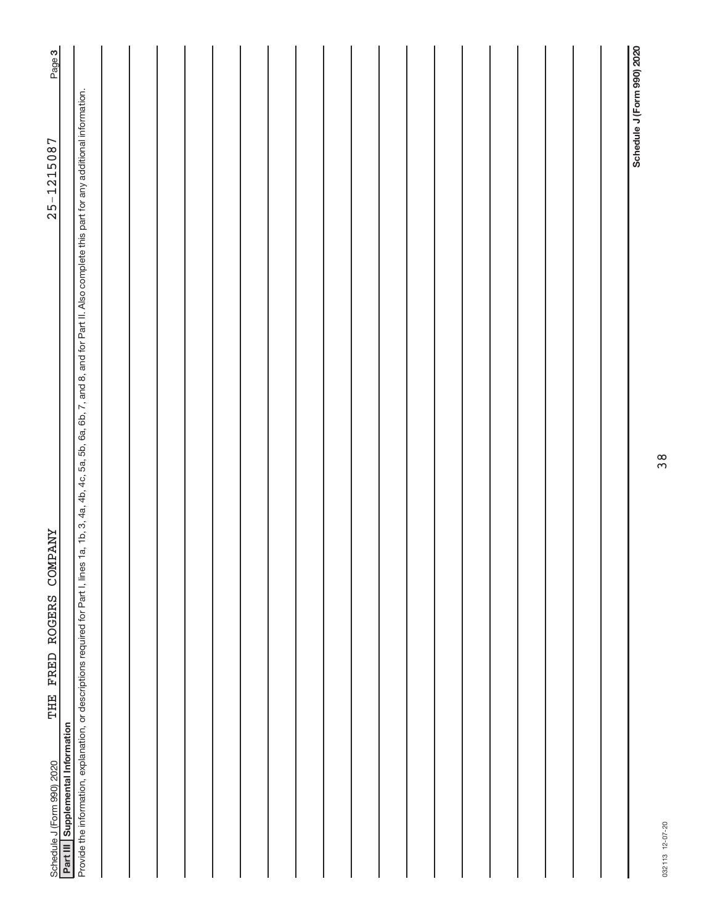| Provide the information, explanation, or descriptions required for Part I, lines 1a, 1b, 3, 4a, 4b, 4c, 5a, 5b, 6a, 6b, 7, and 8, and for Part II. Also complete this part for any additional information.<br>$25 - 1215087$<br><b>COMPANY</b><br>FRED ROGERS<br>THE | Page 3                            |  |  |  |  |  |  |  |  |  |  |
|----------------------------------------------------------------------------------------------------------------------------------------------------------------------------------------------------------------------------------------------------------------------|-----------------------------------|--|--|--|--|--|--|--|--|--|--|
|                                                                                                                                                                                                                                                                      |                                   |  |  |  |  |  |  |  |  |  |  |
| Schedule J (Form 990) 2020                                                                                                                                                                                                                                           | Part III Supplemental Information |  |  |  |  |  |  |  |  |  |  |

032113 12-07-20 032113 12-07-20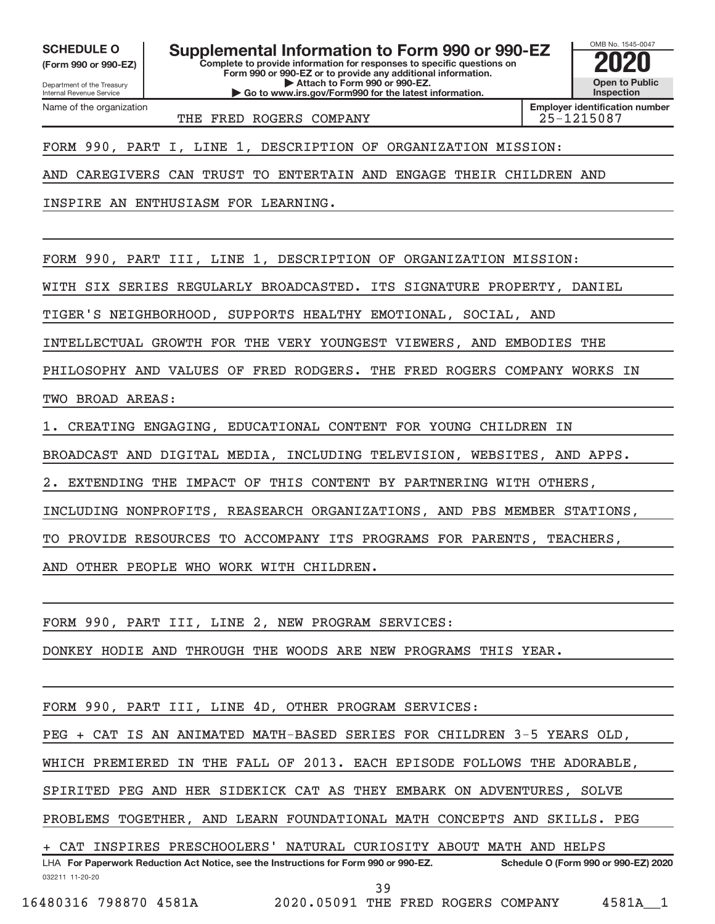Department of the Treasury **(Form 990 or 990-EZ)**

Name of the organization

Internal Revenue Service

**SCHEDULE O Supplemental Information to Form 990 or 990-EZ 2020** 

**Complete to provide information for responses to specific questions on Form 990 or 990-EZ or to provide any additional information. | Attach to Form 990 or 990-EZ. | Go to www.irs.gov/Form990 for the latest information.**

OMB No. 1545-0047 **Open to Public Inspection**

THE FRED ROGERS COMPANY THE 25-1215087

**Employer identification number**

FORM 990, PART I, LINE 1, DESCRIPTION OF ORGANIZATION MISSION:

AND CAREGIVERS CAN TRUST TO ENTERTAIN AND ENGAGE THEIR CHILDREN AND

INSPIRE AN ENTHUSIASM FOR LEARNING.

FORM 990, PART III, LINE 1, DESCRIPTION OF ORGANIZATION MISSION:

WITH SIX SERIES REGULARLY BROADCASTED. ITS SIGNATURE PROPERTY, DANIEL

TIGER'S NEIGHBORHOOD, SUPPORTS HEALTHY EMOTIONAL, SOCIAL, AND

INTELLECTUAL GROWTH FOR THE VERY YOUNGEST VIEWERS, AND EMBODIES THE

PHILOSOPHY AND VALUES OF FRED RODGERS. THE FRED ROGERS COMPANY WORKS IN TWO BROAD AREAS:

1. CREATING ENGAGING, EDUCATIONAL CONTENT FOR YOUNG CHILDREN IN

BROADCAST AND DIGITAL MEDIA, INCLUDING TELEVISION, WEBSITES, AND APPS.

EXTENDING THE IMPACT OF THIS CONTENT BY PARTNERING WITH OTHERS

INCLUDING NONPROFITS, REASEARCH ORGANIZATIONS, AND PBS MEMBER STATIONS,

TO PROVIDE RESOURCES TO ACCOMPANY ITS PROGRAMS FOR PARENTS, TEACHERS,

AND OTHER PEOPLE WHO WORK WITH CHILDREN.

FORM 990, PART III, LINE 2, NEW PROGRAM SERVICES:

DONKEY HODIE AND THROUGH THE WOODS ARE NEW PROGRAMS THIS YEAR.

FORM 990, PART III, LINE 4D, OTHER PROGRAM SERVICES:

PEG + CAT IS AN ANIMATED MATH-BASED SERIES FOR CHILDREN 3-5 YEARS OLD,

WHICH PREMIERED IN THE FALL OF 2013. EACH EPISODE FOLLOWS THE ADORABLE,

SPIRITED PEG AND HER SIDEKICK CAT AS THEY EMBARK ON ADVENTURES, SOLVE

PROBLEMS TOGETHER, AND LEARN FOUNDATIONAL MATH CONCEPTS AND SKILLS. PEG

CAT INSPIRES PRESCHOOLERS' NATURAL CURIOSITY ABOUT MATH AND HELPS

032211 11-20-20 **For Paperwork Reduction Act Notice, see the Instructions for Form 990 or 990-EZ. Schedule O (Form 990 or 990-EZ) 2020** LHA 39

16480316 798870 4581A 2020.05091 THE FRED ROGERS COMPANY 4581A\_\_1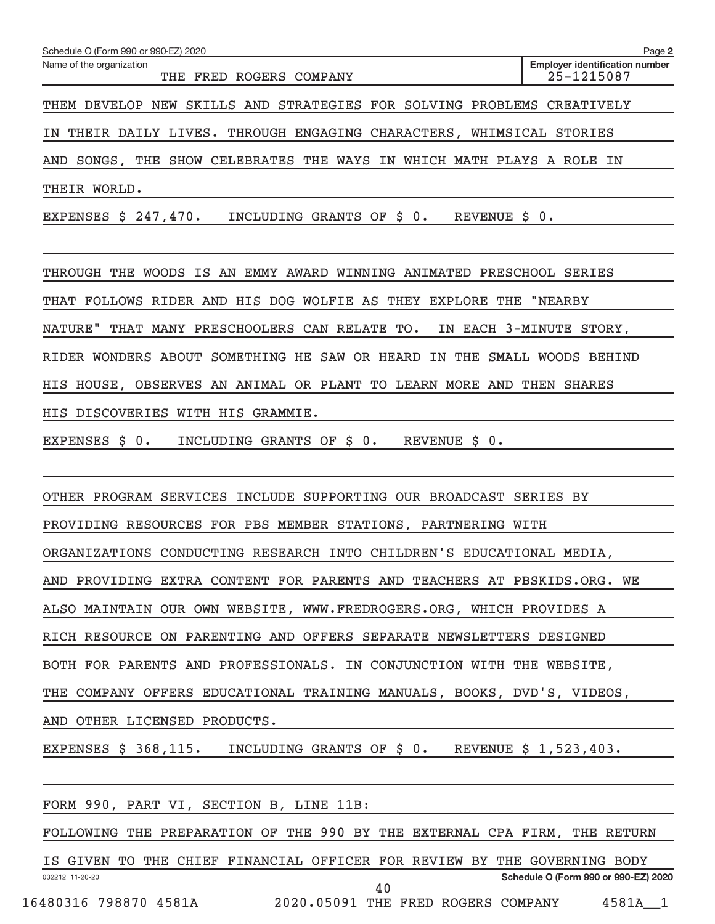| Schedule O (Form 990 or 990-EZ) 2020                                         | Page 2                                              |
|------------------------------------------------------------------------------|-----------------------------------------------------|
| Name of the organization<br>FRED ROGERS COMPANY<br>THE                       | <b>Employer identification number</b><br>25-1215087 |
| SKILLS AND STRATEGIES FOR SOLVING PROBLEMS CREATIVELY<br>DEVELOP NEW<br>THEM |                                                     |
| THEIR DAILY LIVES. THROUGH ENGAGING CHARACTERS,<br>WHIMSICAL<br>ΤN           | STORIES                                             |
| SHOW CELEBRATES THE WAYS IN WHICH MATH PLAYS A<br>SONGS, THE<br>AND          | ΙN<br>ROLE                                          |
| THEIR WORLD.                                                                 |                                                     |
| \$247,470.<br>REVENUE \$ 0.<br>EXPENSES<br>INCLUDING<br>GRANTS OF<br>\$ 0.   |                                                     |
| THE WOODS IS AN EMMY AWARD WINNING ANIMATED<br>THROUGH<br>PRESCHOOL          | <b>SERIES</b>                                       |
| WOLFIE AS<br>FOLLOWS RIDER AND HIS DOG<br>EXPLORE<br>THAT<br>THE<br>THEY     | "NEARBY                                             |

NATURE" THAT MANY PRESCHOOLERS CAN RELATE TO. IN EACH 3-MINUTE STORY,

RIDER WONDERS ABOUT SOMETHING HE SAW OR HEARD IN THE SMALL WOODS BEHIND

HIS HOUSE, OBSERVES AN ANIMAL OR PLANT TO LEARN MORE AND THEN SHARES

HIS DISCOVERIES WITH HIS GRAMMIE.

EXPENSES \$ 0. INCLUDING GRANTS OF \$ 0. REVENUE \$ 0.

OTHER PROGRAM SERVICES INCLUDE SUPPORTING OUR BROADCAST SERIES BY

PROVIDING RESOURCES FOR PBS MEMBER STATIONS, PARTNERING WITH

ORGANIZATIONS CONDUCTING RESEARCH INTO CHILDREN'S EDUCATIONAL MEDIA,

AND PROVIDING EXTRA CONTENT FOR PARENTS AND TEACHERS AT PBSKIDS.ORG. WE

ALSO MAINTAIN OUR OWN WEBSITE, WWW.FREDROGERS.ORG, WHICH PROVIDES A

RICH RESOURCE ON PARENTING AND OFFERS SEPARATE NEWSLETTERS DESIGNED

BOTH FOR PARENTS AND PROFESSIONALS. IN CONJUNCTION WITH THE WEBSITE,

THE COMPANY OFFERS EDUCATIONAL TRAINING MANUALS, BOOKS, DVD'S, VIDEOS,

AND OTHER LICENSED PRODUCTS.

EXPENSES \$ 368,115. INCLUDING GRANTS OF \$ 0. REVENUE \$ 1,523,403.

|  |                 |  |                       | FORM 990, PART VI, SECTION B, LINE 11B:                                   |  |  |    |  |                                    |                                      |  |
|--|-----------------|--|-----------------------|---------------------------------------------------------------------------|--|--|----|--|------------------------------------|--------------------------------------|--|
|  |                 |  |                       | FOLLOWING THE PREPARATION OF THE 990 BY THE EXTERNAL CPA FIRM, THE RETURN |  |  |    |  |                                    |                                      |  |
|  |                 |  |                       | IS GIVEN TO THE CHIEF FINANCIAL OFFICER FOR REVIEW BY THE GOVERNING BODY  |  |  |    |  |                                    |                                      |  |
|  | 032212 11-20-20 |  |                       |                                                                           |  |  |    |  |                                    | Schedule O (Form 990 or 990-EZ) 2020 |  |
|  |                 |  | 16480316 798870 4581A |                                                                           |  |  | 40 |  | 2020.05091 THE FRED ROGERS COMPANY | 4581A 1                              |  |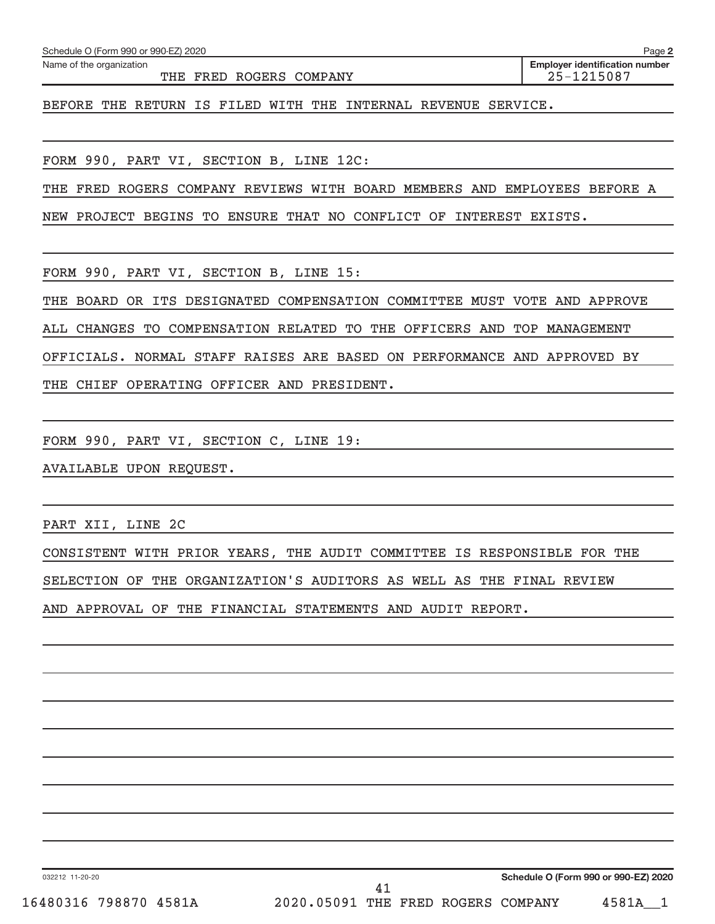| FORM 990, PART VI, SECTION C, LINE 19:<br>AVAILABLE UPON REQUEST.<br>PART XII, LINE 2C<br><u> 1989 - Johann Stoff, amerikansk politiker (d. 1989)</u><br>CONSISTENT WITH PRIOR YEARS, THE AUDIT COMMITTEE IS RESPONSIBLE FOR THE<br>SELECTION OF THE ORGANIZATION'S AUDITORS AS WELL AS THE FINAL REVIEW<br>AND APPROVAL OF THE FINANCIAL STATEMENTS AND AUDIT REPORT.<br>the control of the control of the control of<br><u> 1989 - Andrea Santana, amerikana amerikana amerikana amerikana amerikana amerikana amerikana amerikana amerika</u><br>Schedule O (Form 990 or 990-EZ) 2020<br>032212 11-20-20<br>41<br>16480316 798870 4581A 2020.05091 THE FRED ROGERS COMPANY 4581A_1 |  |
|---------------------------------------------------------------------------------------------------------------------------------------------------------------------------------------------------------------------------------------------------------------------------------------------------------------------------------------------------------------------------------------------------------------------------------------------------------------------------------------------------------------------------------------------------------------------------------------------------------------------------------------------------------------------------------------|--|
|                                                                                                                                                                                                                                                                                                                                                                                                                                                                                                                                                                                                                                                                                       |  |
|                                                                                                                                                                                                                                                                                                                                                                                                                                                                                                                                                                                                                                                                                       |  |
|                                                                                                                                                                                                                                                                                                                                                                                                                                                                                                                                                                                                                                                                                       |  |
|                                                                                                                                                                                                                                                                                                                                                                                                                                                                                                                                                                                                                                                                                       |  |
|                                                                                                                                                                                                                                                                                                                                                                                                                                                                                                                                                                                                                                                                                       |  |
|                                                                                                                                                                                                                                                                                                                                                                                                                                                                                                                                                                                                                                                                                       |  |
|                                                                                                                                                                                                                                                                                                                                                                                                                                                                                                                                                                                                                                                                                       |  |
|                                                                                                                                                                                                                                                                                                                                                                                                                                                                                                                                                                                                                                                                                       |  |
|                                                                                                                                                                                                                                                                                                                                                                                                                                                                                                                                                                                                                                                                                       |  |
|                                                                                                                                                                                                                                                                                                                                                                                                                                                                                                                                                                                                                                                                                       |  |
|                                                                                                                                                                                                                                                                                                                                                                                                                                                                                                                                                                                                                                                                                       |  |
|                                                                                                                                                                                                                                                                                                                                                                                                                                                                                                                                                                                                                                                                                       |  |
|                                                                                                                                                                                                                                                                                                                                                                                                                                                                                                                                                                                                                                                                                       |  |
|                                                                                                                                                                                                                                                                                                                                                                                                                                                                                                                                                                                                                                                                                       |  |
|                                                                                                                                                                                                                                                                                                                                                                                                                                                                                                                                                                                                                                                                                       |  |
|                                                                                                                                                                                                                                                                                                                                                                                                                                                                                                                                                                                                                                                                                       |  |
|                                                                                                                                                                                                                                                                                                                                                                                                                                                                                                                                                                                                                                                                                       |  |
|                                                                                                                                                                                                                                                                                                                                                                                                                                                                                                                                                                                                                                                                                       |  |
|                                                                                                                                                                                                                                                                                                                                                                                                                                                                                                                                                                                                                                                                                       |  |
|                                                                                                                                                                                                                                                                                                                                                                                                                                                                                                                                                                                                                                                                                       |  |

Schedule O (Form 990 or 990-EZ) 2020

Name of the organization

THE FRED ROGERS COMPANY **1999 125-1215087** 

**2 Employer identification number**

BEFORE THE RETURN IS FILED WITH THE INTERNAL REVENUE SERVICE.

FORM 990, PART VI, SECTION B, LINE 12C:

THE FRED ROGERS COMPANY REVIEWS WITH BOARD MEMBERS AND EMPLOYEES BEFORE A

NEW PROJECT BEGINS TO ENSURE THAT NO CONFLICT OF INTEREST EXISTS.

FORM 990, PART VI, SECTION B, LINE 15:

THE BOARD OR ITS DESIGNATED COMPENSATION COMMITTEE MUST VOTE AND APPROVE

ALL CHANGES TO COMPENSATION RELATED TO THE OFFICERS AND TOP MANAGEMENT

OFFICIALS. NORMAL STAFF RAISES ARE BASED ON PERFORMANCE AND APPROVED BY

THE CHIEF OPERATING OFFICER AND PRESIDENT.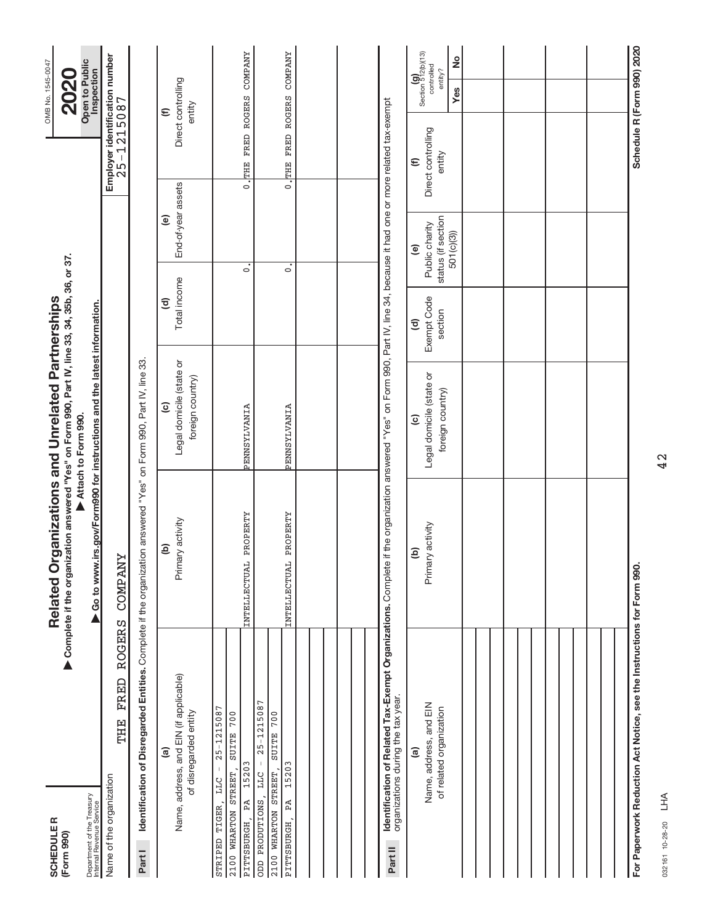| <b>SCHEDULER</b><br>(Form 990)                                                                                              |                       | ▶ Complete if the organization answered "Yes" on Form 990, Part IV, line 33, 34, 35b, 36, or 37.<br>Related O      | rganizations and Unrelated Partnerships                                                                         |                                                  |                                                                             |                                                      | OMB No. 1545-0047<br><b>2020</b>                                    |
|-----------------------------------------------------------------------------------------------------------------------------|-----------------------|--------------------------------------------------------------------------------------------------------------------|-----------------------------------------------------------------------------------------------------------------|--------------------------------------------------|-----------------------------------------------------------------------------|------------------------------------------------------|---------------------------------------------------------------------|
| Department of the Treasury<br>Internal Revenue Service                                                                      |                       | ▶ Go to www.irs.gov/Form990 for instructions and the latest information.                                           | Attach to Form 990.                                                                                             |                                                  |                                                                             |                                                      | Open to Public<br>Inspection                                        |
| THE<br>Name of the organization                                                                                             | <b>ROGERS</b><br>FRED | ≻<br><b>COMPAN</b>                                                                                                 |                                                                                                                 |                                                  |                                                                             | Employer identification number<br>25-1215087         |                                                                     |
| Part I                                                                                                                      |                       | Identification of Disregarded Entities. Complete if the organization answered "Yes" on Form 990, Part IV, line 33. |                                                                                                                 |                                                  |                                                                             |                                                      |                                                                     |
| Name, address, and EIN (if applicable)<br>of disregarded entity<br>@                                                        |                       | Primary activity<br>$\widehat{e}$                                                                                  | Legal domicile (state or<br>foreign country)<br>$\widehat{\mathbf{c}}$                                          | Total income<br>$\widehat{\mathbf{c}}$           | End-of-year assets<br>$\widehat{\mathbf{e}}$                                |                                                      | Direct controlling<br>entity<br>$\mathbf{\widehat{\Xi}}$            |
| $25 - 1215087$<br>700<br><b>SUITE</b><br>15203<br>2100 WHARTON STREET,<br><b>LLC</b><br>PA<br>STRIPED TIGER,<br>PITTSBURGH, |                       | PROPERTY<br>INTELLECTUAL                                                                                           | PENNSYLVANIA                                                                                                    |                                                  | $\circ$                                                                     | 0. THE FRED ROGERS                                   | <b>COMPANY</b>                                                      |
| $25 - 1215087$<br>700<br><b>SUITE</b><br>15203<br>2100 WHARTON STREET,<br><b>LLC</b><br>ODD PRODUTIONS,<br>PA<br>PITTSBURGH |                       | PROPERTY<br>INTELLECTUAL                                                                                           | <b>PENNSYLVANIA</b>                                                                                             |                                                  | $\circ$                                                                     | 0. THE FRED ROGERS COMPANY                           |                                                                     |
|                                                                                                                             |                       |                                                                                                                    |                                                                                                                 |                                                  |                                                                             |                                                      |                                                                     |
| Identification of Related Tax-Exempt Organizations. Complete<br>organizations during the tax year.<br>Part II               |                       |                                                                                                                    | if the organization answered "Yes" on Form 990, Part IV, line 34, because it had one or more related tax-exempt |                                                  |                                                                             |                                                      |                                                                     |
| Name, address, and EIN<br>of related organization<br>$\widehat{a}$                                                          |                       | Primary activity<br>Э)                                                                                             | Legal domicile (state or<br>foreign country)<br>$\widehat{c}$                                                   | Exempt Code<br>section<br>$\widehat{\mathbf{c}}$ | status (if section<br>Public charity<br>501(c)(3)<br>$\widehat{\mathbf{e}}$ | Direct controlling<br>entity<br>$\widehat{\epsilon}$ | Section 512(b)(13)<br>controlled<br>$\frac{1}{2}$<br>entity?<br>Yes |
|                                                                                                                             |                       |                                                                                                                    |                                                                                                                 |                                                  |                                                                             |                                                      |                                                                     |
|                                                                                                                             |                       |                                                                                                                    |                                                                                                                 |                                                  |                                                                             |                                                      |                                                                     |
|                                                                                                                             |                       |                                                                                                                    |                                                                                                                 |                                                  |                                                                             |                                                      |                                                                     |
|                                                                                                                             |                       |                                                                                                                    |                                                                                                                 |                                                  |                                                                             |                                                      |                                                                     |
| For Paperwork Reduction Act Notice, see the Instructions for Form 990.                                                      |                       |                                                                                                                    |                                                                                                                 |                                                  |                                                                             |                                                      | Schedule R (Form 990) 2020                                          |

032161 10-28-20 032161 10-28-20 LHA

42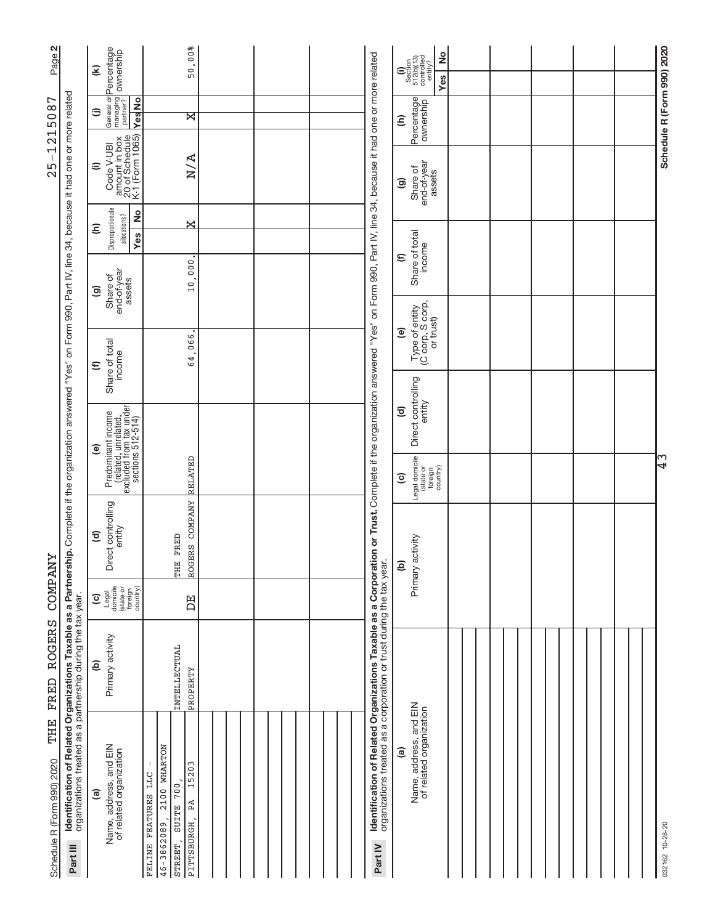| $\mathbf{N}$<br>Page?                                                                                                                                                                                                             |                                                                         | General or <b>Percentage</b><br>managing <b>ownership</b><br>partner?<br>E                      | 50.00%                                                                                                                 |  |  |                                                                                                                                                                                                                                                                             | $\frac{1}{2}$<br>Section<br>512(b)(13)<br>controlled<br>entity?<br>Ξ<br>Yes  |  |  |  |
|-----------------------------------------------------------------------------------------------------------------------------------------------------------------------------------------------------------------------------------|-------------------------------------------------------------------------|-------------------------------------------------------------------------------------------------|------------------------------------------------------------------------------------------------------------------------|--|--|-----------------------------------------------------------------------------------------------------------------------------------------------------------------------------------------------------------------------------------------------------------------------------|------------------------------------------------------------------------------|--|--|--|
| 215087<br>$\overline{\phantom{0}}$<br>$\mathbf I$<br>25                                                                                                                                                                           |                                                                         | <b>Yes</b> No<br>⊜                                                                              | ੇ                                                                                                                      |  |  |                                                                                                                                                                                                                                                                             | Percentage<br>Ξ                                                              |  |  |  |
|                                                                                                                                                                                                                                   |                                                                         | amount in box<br>20 of Schedule<br>K-1 (Form 1065)<br>Code V-UBI<br>$\widehat{=}$               | N/A                                                                                                                    |  |  |                                                                                                                                                                                                                                                                             | end-of-year<br>Share of<br>assets<br>ම                                       |  |  |  |
|                                                                                                                                                                                                                                   |                                                                         | Disproportionate<br>2<br>allocations?<br>Ξ<br>Yes                                               | X                                                                                                                      |  |  |                                                                                                                                                                                                                                                                             |                                                                              |  |  |  |
|                                                                                                                                                                                                                                   |                                                                         | end-of-year<br>Share of<br>assets<br>ම                                                          | 10,000                                                                                                                 |  |  |                                                                                                                                                                                                                                                                             | Share of total<br>income<br>$\epsilon$                                       |  |  |  |
|                                                                                                                                                                                                                                   |                                                                         |                                                                                                 |                                                                                                                        |  |  |                                                                                                                                                                                                                                                                             | Type of entity<br>(C corp, S corp,<br>or trust)<br>ම                         |  |  |  |
|                                                                                                                                                                                                                                   |                                                                         | Share of total<br>income<br>$\widehat{\epsilon}$                                                | 64,066                                                                                                                 |  |  |                                                                                                                                                                                                                                                                             |                                                                              |  |  |  |
| Identification of Related Organizations Taxable as a Partnership. Complete if the organization answered "Yes" on Form 990, Part IV, line 34, because it had one or more related<br><b><i>COMPANY</i></b><br><b>ROGERS</b><br>FRED |                                                                         |                                                                                                 |                                                                                                                        |  |  |                                                                                                                                                                                                                                                                             | Direct controlling<br>entity<br>$\mathbf{E}$                                 |  |  |  |
|                                                                                                                                                                                                                                   |                                                                         | Predominant income<br>(related, unrelated,<br>excluded from tax under<br>sections 512-514)<br>ම | RELATED                                                                                                                |  |  |                                                                                                                                                                                                                                                                             | Legal domicile<br>(state or<br>foreign<br>country)<br>$\widehat{\mathbf{c}}$ |  |  |  |
|                                                                                                                                                                                                                                   |                                                                         | Direct controlling<br>entity<br>$\widehat{\mathbf{c}}$                                          | ROGERS COMPANY<br>THE FRED                                                                                             |  |  | activity<br>ê                                                                                                                                                                                                                                                               |                                                                              |  |  |  |
|                                                                                                                                                                                                                                   |                                                                         | Legal<br>domicile<br>(state or<br>foreign<br>country)<br>$\widehat{\mathbf{c}}$                 | 呂                                                                                                                      |  |  |                                                                                                                                                                                                                                                                             | Primary                                                                      |  |  |  |
|                                                                                                                                                                                                                                   |                                                                         | Primary activity<br>$\widehat{e}$                                                               | INTELLECTUAL<br>PROPERTY                                                                                               |  |  |                                                                                                                                                                                                                                                                             |                                                                              |  |  |  |
| THE<br>Schedule R (Form 990) 2020                                                                                                                                                                                                 | organizations treated as a partnership during the tax year.<br>Part III | Name, address, and EIN<br>of related organization<br>ම                                          | 2100 WHARTON<br>15203<br>FELINE FEATURES LLC<br>700<br>PĀ<br><b>SUITE</b><br>$46 - 3862089$ ,<br>PITTSBURGH<br>STREET, |  |  | Identification of Related Organizations Taxable as a Corporation or Trust. Complete if the organization answered "Yes" on Form 990, Part IV, line 34, because it had one or more related<br>organizations treated as a corporation or trust during the tax year.<br>Part IV | Name, address, and EIN<br>of related organization<br>ම                       |  |  |  |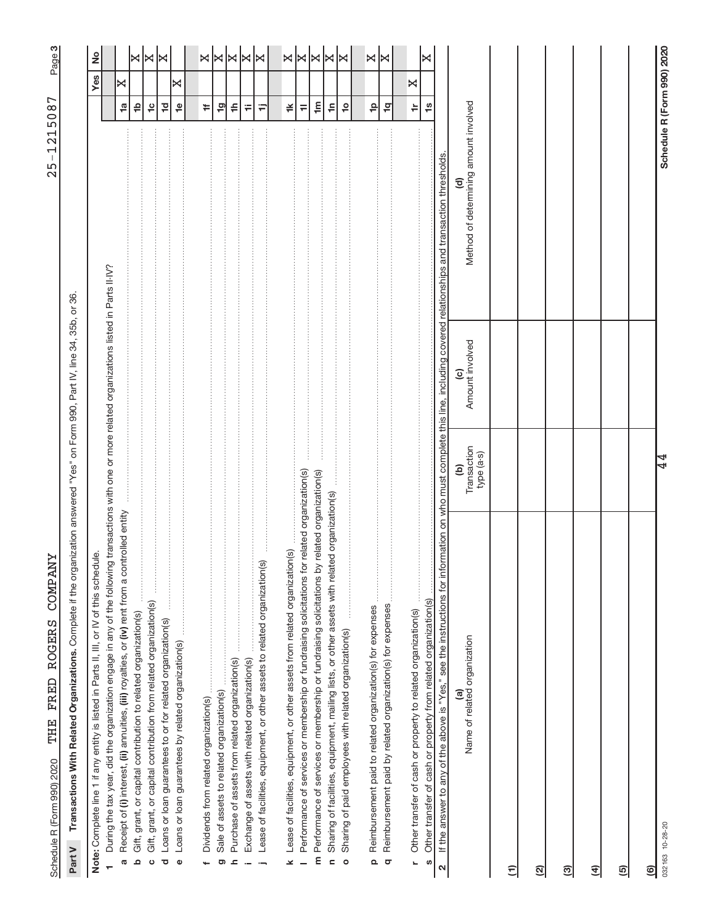က|

Part V Transactions With Related Organizations. Complete if the organization answered "Yes" on Form 990, Part IV, line 34, 35b, or 36. Complete if the organization answered "Yes" on Form 990, Part IV, line 34, 35b, or 36. **Part V Transactions With Related Organizations.** 

| Note: Complete line 1 if any entity is listed in Parts II, III, or IV of this schedule.                                                                                           |                                |                       |                                            |                                 | Yes | 2                     |
|-----------------------------------------------------------------------------------------------------------------------------------------------------------------------------------|--------------------------------|-----------------------|--------------------------------------------|---------------------------------|-----|-----------------------|
| During the tax year, did the organization engage in any of the following transactions with one or more related organizations listed in Parts II-IV?                               |                                |                       |                                            |                                 |     |                       |
| Receipt of (i) interest, (ii) annuities, (iii) royalties, or (iv) rent from a controlled entity<br>Ø                                                                              |                                |                       |                                            | $\frac{1}{\omega}$              | ×   |                       |
| Gift, grant, or capital contribution to related organization(s)<br>$\Omega$                                                                                                       |                                |                       |                                            | ₽                               |     | $\bowtie$             |
| Gift, grant, or capital contribution from related organization(s)<br>$\circ$                                                                                                      |                                |                       |                                            | $\frac{1}{2}$                   |     | X                     |
| Loans or loan guarantees to or for related organization(s)<br>Ō                                                                                                                   |                                |                       |                                            | 卫                               |     | ×                     |
| Loans or loan guarantees by related organization(s)<br>$\bullet$                                                                                                                  |                                |                       |                                            | $\frac{\Theta}{\Gamma}$         | ×   |                       |
|                                                                                                                                                                                   |                                |                       |                                            |                                 |     |                       |
| Dividends from related organization(s)                                                                                                                                            |                                |                       |                                            | <b>÷</b>                        |     | ×∣×                   |
| Sale of assets to related organization(s)<br>ō                                                                                                                                    |                                |                       |                                            | $\overline{9}$                  |     |                       |
| Purchase of assets from related organization(s)<br>$\mathbf{r}$                                                                                                                   |                                |                       |                                            | ≑                               |     | $ \Join  \Join$       |
| Exchange of assets with related organization(s)<br>$\overline{a}$                                                                                                                 |                                |                       |                                            | Ŧ                               |     |                       |
| Lease of facilities, equipment, or other assets to related organization(s)<br>$\overline{\phantom{a}}$                                                                            |                                |                       |                                            | Ξ                               |     | ∣≍                    |
| Lease of facilities, equipment, or other assets from related organization(s)<br>×                                                                                                 |                                |                       |                                            | ≚                               |     |                       |
| related organization(s)<br>Performance of services or membership or fundraising solicitations for                                                                                 |                                |                       |                                            | $\equiv$                        |     |                       |
| related organization(s)<br>Performance of services or membership or fundraising solicitations by<br>E                                                                             |                                |                       |                                            | $\mathbf{m}$                    |     |                       |
| Sharing of facilities, equipment, mailing lists, or other assets with related organization(s)<br>$\mathbf{r}$                                                                     |                                |                       |                                            | $\frac{c}{1}$                   |     | $x \times x \times x$ |
| Sharing of paid employees with related organization(s)<br>$\circ$                                                                                                                 |                                |                       |                                            | $\overline{10}$                 |     |                       |
| Reimbursement paid to related organization(s) for expenses                                                                                                                        |                                |                       |                                            | $\frac{\mathsf{o}}{\mathsf{r}}$ |     | X                     |
| Reimbursement paid by related organization(s) for expenses<br>$\Omega$<br>$\sigma$                                                                                                |                                |                       |                                            | $\frac{1}{2}$                   |     | l×                    |
|                                                                                                                                                                                   |                                |                       |                                            |                                 |     |                       |
| Other transfer of cash or property to related organization(s)<br>L,                                                                                                               |                                |                       |                                            | $\doteq$                        | ×   |                       |
| Other transfer of cash or property from related organization(s)<br>S                                                                                                              |                                |                       |                                            | $\frac{6}{10}$                  |     | ⊠                     |
| If the answer to any of the above is "Yes," see the instructions for information on who must complete this line, including covered relationships and transaction thresholds.<br>N |                                |                       |                                            |                                 |     |                       |
| Name of related organization<br>@                                                                                                                                                 | Transaction<br>type (a-s)<br>ê | Amount involved<br>ၜႍ | Method of determining amount involved<br>₹ |                                 |     |                       |
| Ξ                                                                                                                                                                                 |                                |                       |                                            |                                 |     |                       |
| ତ୍ର                                                                                                                                                                               |                                |                       |                                            |                                 |     |                       |
| ඔ                                                                                                                                                                                 |                                |                       |                                            |                                 |     |                       |
| E                                                                                                                                                                                 |                                |                       |                                            |                                 |     |                       |
| <u>ම</u>                                                                                                                                                                          |                                |                       |                                            |                                 |     |                       |
| <u>ම</u>                                                                                                                                                                          |                                |                       |                                            |                                 |     |                       |
| 032163 10-28-20                                                                                                                                                                   | 4                              |                       |                                            | Schedule R (Form 990) 2020      |     |                       |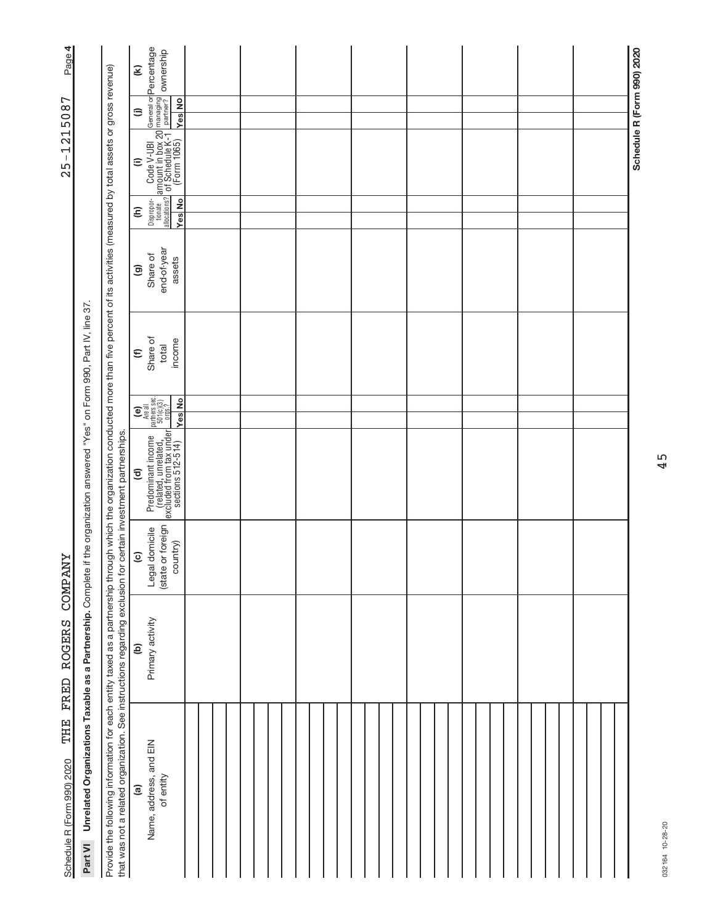| Page 4                                                                                                   |                                                                       |                                                                                                                                                                                                                                                                                                                          | $\mathbf{\widehat{\epsilon}}$                                                                                                                                                                                                                                                                                                                                                                                                                                                                                                                                                                         | General or <b>Percentage</b><br>managing<br>partner? <b>OWNership</b>                                             |               |  |  |  |  |  |  |  |  |  |  |  |  |                            |  |
|----------------------------------------------------------------------------------------------------------|-----------------------------------------------------------------------|--------------------------------------------------------------------------------------------------------------------------------------------------------------------------------------------------------------------------------------------------------------------------------------------------------------------------|-------------------------------------------------------------------------------------------------------------------------------------------------------------------------------------------------------------------------------------------------------------------------------------------------------------------------------------------------------------------------------------------------------------------------------------------------------------------------------------------------------------------------------------------------------------------------------------------------------|-------------------------------------------------------------------------------------------------------------------|---------------|--|--|--|--|--|--|--|--|--|--|--|--|----------------------------|--|
| 5087                                                                                                     |                                                                       |                                                                                                                                                                                                                                                                                                                          | $\widehat{=}$                                                                                                                                                                                                                                                                                                                                                                                                                                                                                                                                                                                         |                                                                                                                   | <b>Yes</b> No |  |  |  |  |  |  |  |  |  |  |  |  |                            |  |
| $-121$<br>25                                                                                             |                                                                       | $\widehat{=}$                                                                                                                                                                                                                                                                                                            | $\frac{1}{2}$ Code V-UBI<br>amount in box 20 m<br>$\frac{2}{1}$ of Schedule K-1 $\frac{1}{N}$                                                                                                                                                                                                                                                                                                                                                                                                                                                                                                         |                                                                                                                   |               |  |  |  |  |  |  |  |  |  |  |  |  | Schedule R (Form 990) 2020 |  |
|                                                                                                          |                                                                       |                                                                                                                                                                                                                                                                                                                          | ê                                                                                                                                                                                                                                                                                                                                                                                                                                                                                                                                                                                                     | Dispropor-<br>tionate<br>allocations?                                                                             | <b>Yes</b> No |  |  |  |  |  |  |  |  |  |  |  |  |                            |  |
| if the organization answered "Yes" on Form 990, Part IV, line 37<br><b><i>COMPANY</i></b><br>FRED ROGERS |                                                                       | $\widehat{\mathbf{e}}$                                                                                                                                                                                                                                                                                                   | end-of-year<br>Share of<br>assets                                                                                                                                                                                                                                                                                                                                                                                                                                                                                                                                                                     |                                                                                                                   |               |  |  |  |  |  |  |  |  |  |  |  |  |                            |  |
|                                                                                                          |                                                                       | $\widehat{\epsilon}$                                                                                                                                                                                                                                                                                                     | Share of<br>income<br>total                                                                                                                                                                                                                                                                                                                                                                                                                                                                                                                                                                           |                                                                                                                   |               |  |  |  |  |  |  |  |  |  |  |  |  |                            |  |
|                                                                                                          |                                                                       |                                                                                                                                                                                                                                                                                                                          |                                                                                                                                                                                                                                                                                                                                                                                                                                                                                                                                                                                                       | $\begin{pmatrix}\n\mathbf{e} \\ \mathbf{h} \\ \mathbf{h}\n\end{pmatrix}$<br>Are all<br>partners sec.<br>501(c)(3) | <b>Yes</b> No |  |  |  |  |  |  |  |  |  |  |  |  |                            |  |
|                                                                                                          |                                                                       | ਰ                                                                                                                                                                                                                                                                                                                        | $\begin{tabular}{ p_{\footnotesize \it redominant income} } \hline \textcolor{red}{\textcolor{black}{\mathit{Predominant income}}}\textcolor{red}{\textcolor{black}{\mathit{pe}}} \textcolor{red}{\textcolor{red}{\mathit{reated}}}, \textcolor{red}{\textcolor{red}{\mathit{unrelated}}}\textcolor{red}{\textcolor{red}{\mathit{undeated}}}, \textcolor{red}{\textcolor{red}{\mathit{undeated}}}\textcolor{red}{\textcolor{red}{\mathit{undeib}}}\textcolor{red}{\textcolor{red}{\mathit{rebold}}}\textcolor{red}{\textcolor{red}{\mathit{rebold}}}\textcolor{red}{\textcolor{red}{\mathit{rebold}}$ |                                                                                                                   |               |  |  |  |  |  |  |  |  |  |  |  |  |                            |  |
|                                                                                                          |                                                                       | $\widehat{\mathbf{c}}$                                                                                                                                                                                                                                                                                                   | or foreign<br>Legal domicile<br>country)<br>(state                                                                                                                                                                                                                                                                                                                                                                                                                                                                                                                                                    |                                                                                                                   |               |  |  |  |  |  |  |  |  |  |  |  |  |                            |  |
|                                                                                                          |                                                                       | ê                                                                                                                                                                                                                                                                                                                        | Primary activity                                                                                                                                                                                                                                                                                                                                                                                                                                                                                                                                                                                      |                                                                                                                   |               |  |  |  |  |  |  |  |  |  |  |  |  |                            |  |
| THE<br>Schedule R (Form 990) 2020                                                                        | Unrelated Organizations Taxable as a Partnership. Complete<br>Part VI | Provide the following information for each entity taxed as a partnership through which the organization conducted more than five percent of its activities (measured by total assets or gross revenue)<br>that was not a related organization. See instructions regarding exclusion for certain investment partnerships. | <u>ි</u>                                                                                                                                                                                                                                                                                                                                                                                                                                                                                                                                                                                              | Name, address, and EIN<br>of entity                                                                               |               |  |  |  |  |  |  |  |  |  |  |  |  |                            |  |

45

032164 10-28-20 032164 10-28-20